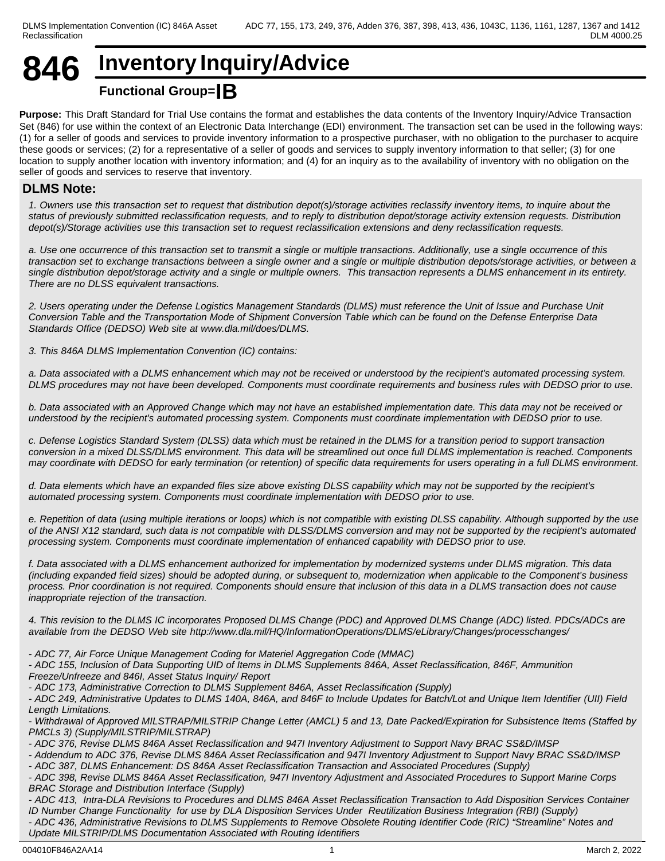## **846 Inventory Inquiry/Advice Functional Group=IB**

**Purpose:** This Draft Standard for Trial Use contains the format and establishes the data contents of the Inventory Inquiry/Advice Transaction Set (846) for use within the context of an Electronic Data Interchange (EDI) environment. The transaction set can be used in the following ways: (1) for a seller of goods and services to provide inventory information to a prospective purchaser, with no obligation to the purchaser to acquire these goods or services; (2) for a representative of a seller of goods and services to supply inventory information to that seller; (3) for one location to supply another location with inventory information; and (4) for an inquiry as to the availability of inventory with no obligation on the seller of goods and services to reserve that inventory.

## **DLMS Note:**

*1. Owners use this transaction set to request that distribution depot(s)/storage activities reclassify inventory items, to inquire about the status of previously submitted reclassification requests, and to reply to distribution depot/storage activity extension requests. Distribution depot(s)/Storage activities use this transaction set to request reclassification extensions and deny reclassification requests.*

*a. Use one occurrence of this transaction set to transmit a single or multiple transactions. Additionally, use a single occurrence of this transaction set to exchange transactions between a single owner and a single or multiple distribution depots/storage activities, or between a single distribution depot/storage activity and a single or multiple owners. This transaction represents a DLMS enhancement in its entirety. There are no DLSS equivalent transactions.*

*2. Users operating under the Defense Logistics Management Standards (DLMS) must reference the Unit of Issue and Purchase Unit Conversion Table and the Transportation Mode of Shipment Conversion Table which can be found on the Defense Enterprise Data Standards Office (DEDSO) Web site at www.dla.mil/does/DLMS.*

*3. This 846A DLMS Implementation Convention (IC) contains:*

*a. Data associated with a DLMS enhancement which may not be received or understood by the recipient's automated processing system. DLMS procedures may not have been developed. Components must coordinate requirements and business rules with DEDSO prior to use.*

*b. Data associated with an Approved Change which may not have an established implementation date. This data may not be received or understood by the recipient's automated processing system. Components must coordinate implementation with DEDSO prior to use.*

*c. Defense Logistics Standard System (DLSS) data which must be retained in the DLMS for a transition period to support transaction conversion in a mixed DLSS/DLMS environment. This data will be streamlined out once full DLMS implementation is reached. Components may coordinate with DEDSO for early termination (or retention) of specific data requirements for users operating in a full DLMS environment.*

*d. Data elements which have an expanded files size above existing DLSS capability which may not be supported by the recipient's automated processing system. Components must coordinate implementation with DEDSO prior to use.*

*e. Repetition of data (using multiple iterations or loops) which is not compatible with existing DLSS capability. Although supported by the use of the ANSI X12 standard, such data is not compatible with DLSS/DLMS conversion and may not be supported by the recipient's automated processing system. Components must coordinate implementation of enhanced capability with DEDSO prior to use.*

*f. Data associated with a DLMS enhancement authorized for implementation by modernized systems under DLMS migration. This data (including expanded field sizes) should be adopted during, or subsequent to, modernization when applicable to the Component's business process. Prior coordination is not required. Components should ensure that inclusion of this data in a DLMS transaction does not cause inappropriate rejection of the transaction.*

*4. This revision to the DLMS IC incorporates Proposed DLMS Change (PDC) and Approved DLMS Change (ADC) listed. PDCs/ADCs are available from the DEDSO Web site http://www.dla.mil/HQ/InformationOperations/DLMS/eLibrary/Changes/processchanges/*

*- ADC 77, Air Force Unique Management Coding for Materiel Aggregation Code (MMAC)*

*- ADC 155, Inclusion of Data Supporting UID of Items in DLMS Supplements 846A, Asset Reclassification, 846F, Ammunition Freeze/Unfreeze and 846I, Asset Status Inquiry/ Report*

*- ADC 173, Administrative Correction to DLMS Supplement 846A, Asset Reclassification (Supply)*

*- ADC 249, Administrative Updates to DLMS 140A, 846A, and 846F to Include Updates for Batch/Lot and Unique Item Identifier (UII) Field Length Limitations.*

*- Withdrawal of Approved MILSTRAP/MILSTRIP Change Letter (AMCL) 5 and 13, Date Packed/Expiration for Subsistence Items (Staffed by PMCLs 3) (Supply/MILSTRIP/MILSTRAP)*

*- ADC 376, Revise DLMS 846A Asset Reclassification and 947I Inventory Adjustment to Support Navy BRAC SS&D/IMSP*

*- Addendum to ADC 376, Revise DLMS 846A Asset Reclassification and 947I Inventory Adjustment to Support Navy BRAC SS&D/IMSP*

*- ADC 387, DLMS Enhancement: DS 846A Asset Reclassification Transaction and Associated Procedures (Supply)*

*- ADC 398, Revise DLMS 846A Asset Reclassification, 947I Inventory Adjustment and Associated Procedures to Support Marine Corps BRAC Storage and Distribution Interface (Supply)*

*- ADC 413, Intra-DLA Revisions to Procedures and DLMS 846A Asset Reclassification Transaction to Add Disposition Services Container ID Number Change Functionality for use by DLA Disposition Services Under Reutilization Business Integration (RBI) (Supply) - ADC 436, Administrative Revisions to DLMS Supplements to Remove Obsolete Routing Identifier Code (RIC) "Streamline" Notes and Update MILSTRIP/DLMS Documentation Associated with Routing Identifiers*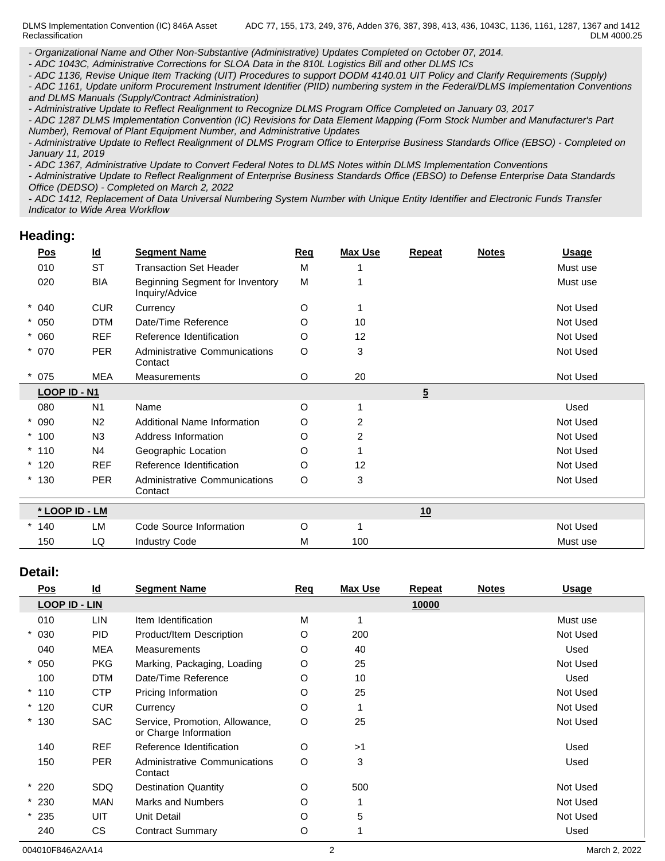DLMS Implementation Convention (IC) 846A Asset Reclassification ADC 77, 155, 173, 249, 376, Adden 376, 387, 398, 413, 436, 1043C, 1136, 1161, 1287, 1367 and 1412 DLM 4000.25

*- Organizational Name and Other Non-Substantive (Administrative) Updates Completed on October 07, 2014.*

*- ADC 1043C, Administrative Corrections for SLOA Data in the 810L Logistics Bill and other DLMS ICs*

*- ADC 1136, Revise Unique Item Tracking (UIT) Procedures to support DODM 4140.01 UIT Policy and Clarify Requirements (Supply) - ADC 1161, Update uniform Procurement Instrument Identifier (PIID) numbering system in the Federal/DLMS Implementation Conventions*

*and DLMS Manuals (Supply/Contract Administration)*

*- Administrative Update to Reflect Realignment to Recognize DLMS Program Office Completed on January 03, 2017*

*- ADC 1287 DLMS Implementation Convention (IC) Revisions for Data Element Mapping (Form Stock Number and Manufacturer's Part Number), Removal of Plant Equipment Number, and Administrative Updates*

*- Administrative Update to Reflect Realignment of DLMS Program Office to Enterprise Business Standards Office (EBSO) - Completed on January 11, 2019*

*- ADC 1367, Administrative Update to Convert Federal Notes to DLMS Notes within DLMS Implementation Conventions*

*- Administrative Update to Reflect Realignment of Enterprise Business Standards Office (EBSO) to Defense Enterprise Data Standards Office (DEDSO) - Completed on March 2, 2022*

*- ADC 1412, Replacement of Data Universal Numbering System Number with Unique Entity Identifier and Electronic Funds Transfer Indicator to Wide Area Workflow*

### **Heading:**

| $\underline{\mathsf{Pos}}$ | $\underline{\mathsf{Id}}$ | <b>Segment Name</b>                               | Req | <b>Max Use</b> | <b>Repeat</b>  | <b>Notes</b> | <u>Usage</u> |
|----------------------------|---------------------------|---------------------------------------------------|-----|----------------|----------------|--------------|--------------|
| 010                        | <b>ST</b>                 | <b>Transaction Set Header</b>                     | M   |                |                |              | Must use     |
| 020                        | <b>BIA</b>                | Beginning Segment for Inventory<br>Inquiry/Advice | M   |                |                |              | Must use     |
| $* 040$                    | <b>CUR</b>                | Currency                                          | O   |                |                |              | Not Used     |
| $* 050$                    | <b>DTM</b>                | Date/Time Reference                               | O   | 10             |                |              | Not Used     |
| $* 060$                    | <b>REF</b>                | Reference Identification                          | O   | 12             |                |              | Not Used     |
| $* 070$                    | <b>PER</b>                | Administrative Communications<br>Contact          | O   | 3              |                |              | Not Used     |
| $*075$                     | <b>MEA</b>                | <b>Measurements</b>                               | O   | 20             |                |              | Not Used     |
| LOOP ID - N1               |                           |                                                   |     |                | $\overline{5}$ |              |              |
| 080                        | N <sub>1</sub>            | Name                                              | O   |                |                |              | Used         |
| $* 090$                    | N <sub>2</sub>            | Additional Name Information                       | O   | $\overline{2}$ |                |              | Not Used     |
| $*100$                     | N <sub>3</sub>            | Address Information                               | O   | $\overline{2}$ |                |              | Not Used     |
| $*110$                     | N <sub>4</sub>            | Geographic Location                               | O   |                |                |              | Not Used     |
| $*120$                     | <b>REF</b>                | Reference Identification                          | O   | 12             |                |              | Not Used     |
| $*130$                     | <b>PER</b>                | Administrative Communications<br>Contact          | O   | 3              |                |              | Not Used     |
| * LOOP ID - LM             |                           |                                                   |     |                | 10             |              |              |
| $*140$                     | LM                        | Code Source Information                           | O   | 1              |                |              | Not Used     |
| 150                        | LQ                        | <b>Industry Code</b>                              | M   | 100            |                |              | Must use     |

#### **Detail:**

| <u>Pos</u>           | $\underline{\mathsf{Id}}$ | <b>Segment Name</b>                                     | <b>Req</b> | <b>Max Use</b> | Repeat | <b>Notes</b> | <u>Usage</u> |
|----------------------|---------------------------|---------------------------------------------------------|------------|----------------|--------|--------------|--------------|
| <b>LOOP ID - LIN</b> |                           |                                                         |            |                | 10000  |              |              |
| 010                  | LIN                       | Item Identification                                     | M          |                |        |              | Must use     |
| $* 030$              | <b>PID</b>                | Product/Item Description                                | O          | 200            |        |              | Not Used     |
| 040                  | <b>MEA</b>                | Measurements                                            | O          | 40             |        |              | Used         |
| $* 050$              | <b>PKG</b>                | Marking, Packaging, Loading                             | O          | 25             |        |              | Not Used     |
| 100                  | <b>DTM</b>                | Date/Time Reference                                     | O          | 10             |        |              | Used         |
| $*110$               | <b>CTP</b>                | Pricing Information                                     | O          | 25             |        |              | Not Used     |
| $*120$               | <b>CUR</b>                | Currency                                                | O          |                |        |              | Not Used     |
| $*130$               | <b>SAC</b>                | Service, Promotion, Allowance,<br>or Charge Information | O          | 25             |        |              | Not Used     |
| 140                  | <b>REF</b>                | Reference Identification                                | O          | >1             |        |              | Used         |
| 150                  | <b>PER</b>                | <b>Administrative Communications</b><br>Contact         | O          | 3              |        |              | Used         |
| $*220$               | <b>SDQ</b>                | <b>Destination Quantity</b>                             | O          | 500            |        |              | Not Used     |
| $*230$               | <b>MAN</b>                | Marks and Numbers                                       | O          |                |        |              | Not Used     |
| $*235$               | UIT                       | Unit Detail                                             | O          | 5              |        |              | Not Used     |
| 240                  | <b>CS</b>                 | <b>Contract Summary</b>                                 | O          |                |        |              | Used         |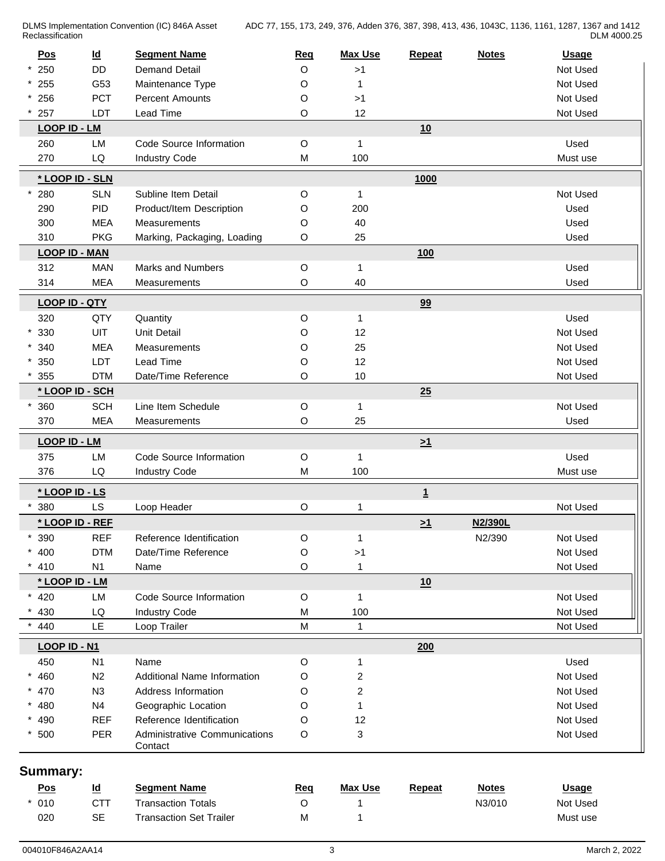DLMS Implementation Convention (IC) 846A Asset Reclassification **Reclassification** 

ADC 77, 155, 173, 249, 376, Adden 376, 387, 398, 413, 436, 1043C, 1136, 1161, 1287, 1367 and 1412 DLM 4000.25

| $*250$<br><b>DD</b><br><b>Demand Detail</b><br>O<br>>1<br>Not Used<br>$* 255$<br>O<br>Not Used<br>G53<br>Maintenance Type<br>1<br>$* 256$<br>PCT<br><b>Percent Amounts</b><br>O<br>>1<br>Not Used<br>257<br>LDT<br>12<br>Lead Time<br>O<br>Not Used<br>LOOP ID - LM<br>10<br>260<br>LM<br>Code Source Information<br>O<br>$\mathbf{1}$<br>Used<br>270<br>LQ<br><b>Industry Code</b><br>100<br>M<br>Must use<br>* LOOP ID - SLN<br>1000<br>$\mathsf O$<br>Not Used<br>280<br><b>SLN</b><br>Subline Item Detail<br>$\mathbf{1}$<br>PID<br>O<br>200<br>Used<br>290<br>Product/Item Description<br><b>MEA</b><br>O<br>40<br>Used<br>300<br>Measurements<br><b>PKG</b><br>310<br>Marking, Packaging, Loading<br>O<br>25<br>Used<br><b>LOOP ID - MAN</b><br>100<br><b>MAN</b><br>Marks and Numbers<br>312<br>O<br>Used<br>$\mathbf{1}$<br><b>MEA</b><br>O<br>40<br>314<br>Measurements<br>Used<br>99<br><b>LOOP ID - QTY</b><br>Used<br>320<br>QTY<br>Quantity<br>O<br>$\mathbf{1}$<br>UIT<br>$*330$<br><b>Unit Detail</b><br>O<br>12<br>Not Used<br>$*340$<br><b>MEA</b><br>O<br>25<br>Not Used<br>Measurements<br>12<br>$*350$<br>LDT<br>Lead Time<br>O<br>Not Used<br><b>DTM</b><br>O<br>10<br>Date/Time Reference<br>Not Used<br>355<br>* LOOP ID - SCH<br>25<br>Not Used<br>360<br><b>SCH</b><br>Line Item Schedule<br>O<br>1<br><b>MEA</b><br>25<br>370<br>O<br>Used<br>Measurements<br>LOOP ID - LM<br>$\geq 1$<br>375<br>LM<br>Code Source Information<br>O<br>Used<br>1<br>376<br>LQ<br><b>Industry Code</b><br>100<br>M<br>Must use<br>* LOOP ID - LS<br>$\overline{1}$<br><b>LS</b><br>380<br>O<br>Not Used<br>Loop Header<br>1<br>* LOOP ID - REF<br>N2/390L<br>$\geq 1$<br>390<br><b>REF</b><br>N2/390<br>Not Used<br>*<br>Reference Identification<br>O<br>$\mathbf{1}$<br><b>DTM</b><br>$* 400$<br>O<br>Not Used<br>Date/Time Reference<br>>1<br>410<br>N <sub>1</sub><br>O<br>1<br>Not Used<br>Name<br>* LOOP ID - LM<br>10<br>Not Used<br>$* 420$<br>LM<br>Code Source Information<br>O<br>$\mathbf{1}$<br>430<br>LQ<br><b>Industry Code</b><br>100<br>Not Used<br>M<br>LE<br>M<br>440<br>Loop Trailer<br>$\mathbf{1}$<br>Not Used<br><b>LOOP ID - N1</b><br>200<br>N <sub>1</sub><br>O<br>Used<br>450<br>Name<br>1<br>$\overline{c}$<br>$* 460$<br>Additional Name Information<br>O<br>Not Used<br>N <sub>2</sub><br>$\overline{c}$<br>$* 470$<br>N3<br>Address Information<br>Not Used<br>O<br>$* 480$<br>O<br>Not Used<br>N <sub>4</sub><br>Geographic Location<br>1<br><b>REF</b><br>* 490<br>Reference Identification<br>O<br>12<br>Not Used<br>PER<br>3<br>$*500$<br>Administrative Communications<br>O<br>Not Used<br>Contact<br>Summary:<br>$\underline{\mathsf{Id}}$<br><b>Segment Name</b><br><b>Max Use</b><br><u>Pos</u><br><b>Repeat</b><br><b>Notes</b><br><b>Usage</b><br><u>Req</u><br>010<br><b>CTT</b><br><b>Transaction Totals</b><br>O<br>N3/010<br>Not Used<br><b>SE</b><br>020<br><b>Transaction Set Trailer</b><br>M<br>Must use<br>1 | Pos | $\underline{\mathsf{Id}}$ | <b>Segment Name</b> | <b>Req</b> | <b>Max Use</b> | Repeat | <b>Notes</b> | <b>Usage</b> |
|-------------------------------------------------------------------------------------------------------------------------------------------------------------------------------------------------------------------------------------------------------------------------------------------------------------------------------------------------------------------------------------------------------------------------------------------------------------------------------------------------------------------------------------------------------------------------------------------------------------------------------------------------------------------------------------------------------------------------------------------------------------------------------------------------------------------------------------------------------------------------------------------------------------------------------------------------------------------------------------------------------------------------------------------------------------------------------------------------------------------------------------------------------------------------------------------------------------------------------------------------------------------------------------------------------------------------------------------------------------------------------------------------------------------------------------------------------------------------------------------------------------------------------------------------------------------------------------------------------------------------------------------------------------------------------------------------------------------------------------------------------------------------------------------------------------------------------------------------------------------------------------------------------------------------------------------------------------------------------------------------------------------------------------------------------------------------------------------------------------------------------------------------------------------------------------------------------------------------------------------------------------------------------------------------------------------------------------------------------------------------------------------------------------------------------------------------------------------------------------------------------------------------------------------------------------------------------------------------------------------------------------------------------------------------------------------------------------------------------------------------------------------------------------------------------------------------------------------------------------------------------------------------------------------------------------------------------------------------|-----|---------------------------|---------------------|------------|----------------|--------|--------------|--------------|
|                                                                                                                                                                                                                                                                                                                                                                                                                                                                                                                                                                                                                                                                                                                                                                                                                                                                                                                                                                                                                                                                                                                                                                                                                                                                                                                                                                                                                                                                                                                                                                                                                                                                                                                                                                                                                                                                                                                                                                                                                                                                                                                                                                                                                                                                                                                                                                                                                                                                                                                                                                                                                                                                                                                                                                                                                                                                                                                                                                         |     |                           |                     |            |                |        |              |              |
|                                                                                                                                                                                                                                                                                                                                                                                                                                                                                                                                                                                                                                                                                                                                                                                                                                                                                                                                                                                                                                                                                                                                                                                                                                                                                                                                                                                                                                                                                                                                                                                                                                                                                                                                                                                                                                                                                                                                                                                                                                                                                                                                                                                                                                                                                                                                                                                                                                                                                                                                                                                                                                                                                                                                                                                                                                                                                                                                                                         |     |                           |                     |            |                |        |              |              |
|                                                                                                                                                                                                                                                                                                                                                                                                                                                                                                                                                                                                                                                                                                                                                                                                                                                                                                                                                                                                                                                                                                                                                                                                                                                                                                                                                                                                                                                                                                                                                                                                                                                                                                                                                                                                                                                                                                                                                                                                                                                                                                                                                                                                                                                                                                                                                                                                                                                                                                                                                                                                                                                                                                                                                                                                                                                                                                                                                                         |     |                           |                     |            |                |        |              |              |
|                                                                                                                                                                                                                                                                                                                                                                                                                                                                                                                                                                                                                                                                                                                                                                                                                                                                                                                                                                                                                                                                                                                                                                                                                                                                                                                                                                                                                                                                                                                                                                                                                                                                                                                                                                                                                                                                                                                                                                                                                                                                                                                                                                                                                                                                                                                                                                                                                                                                                                                                                                                                                                                                                                                                                                                                                                                                                                                                                                         |     |                           |                     |            |                |        |              |              |
|                                                                                                                                                                                                                                                                                                                                                                                                                                                                                                                                                                                                                                                                                                                                                                                                                                                                                                                                                                                                                                                                                                                                                                                                                                                                                                                                                                                                                                                                                                                                                                                                                                                                                                                                                                                                                                                                                                                                                                                                                                                                                                                                                                                                                                                                                                                                                                                                                                                                                                                                                                                                                                                                                                                                                                                                                                                                                                                                                                         |     |                           |                     |            |                |        |              |              |
|                                                                                                                                                                                                                                                                                                                                                                                                                                                                                                                                                                                                                                                                                                                                                                                                                                                                                                                                                                                                                                                                                                                                                                                                                                                                                                                                                                                                                                                                                                                                                                                                                                                                                                                                                                                                                                                                                                                                                                                                                                                                                                                                                                                                                                                                                                                                                                                                                                                                                                                                                                                                                                                                                                                                                                                                                                                                                                                                                                         |     |                           |                     |            |                |        |              |              |
|                                                                                                                                                                                                                                                                                                                                                                                                                                                                                                                                                                                                                                                                                                                                                                                                                                                                                                                                                                                                                                                                                                                                                                                                                                                                                                                                                                                                                                                                                                                                                                                                                                                                                                                                                                                                                                                                                                                                                                                                                                                                                                                                                                                                                                                                                                                                                                                                                                                                                                                                                                                                                                                                                                                                                                                                                                                                                                                                                                         |     |                           |                     |            |                |        |              |              |
|                                                                                                                                                                                                                                                                                                                                                                                                                                                                                                                                                                                                                                                                                                                                                                                                                                                                                                                                                                                                                                                                                                                                                                                                                                                                                                                                                                                                                                                                                                                                                                                                                                                                                                                                                                                                                                                                                                                                                                                                                                                                                                                                                                                                                                                                                                                                                                                                                                                                                                                                                                                                                                                                                                                                                                                                                                                                                                                                                                         |     |                           |                     |            |                |        |              |              |
|                                                                                                                                                                                                                                                                                                                                                                                                                                                                                                                                                                                                                                                                                                                                                                                                                                                                                                                                                                                                                                                                                                                                                                                                                                                                                                                                                                                                                                                                                                                                                                                                                                                                                                                                                                                                                                                                                                                                                                                                                                                                                                                                                                                                                                                                                                                                                                                                                                                                                                                                                                                                                                                                                                                                                                                                                                                                                                                                                                         |     |                           |                     |            |                |        |              |              |
|                                                                                                                                                                                                                                                                                                                                                                                                                                                                                                                                                                                                                                                                                                                                                                                                                                                                                                                                                                                                                                                                                                                                                                                                                                                                                                                                                                                                                                                                                                                                                                                                                                                                                                                                                                                                                                                                                                                                                                                                                                                                                                                                                                                                                                                                                                                                                                                                                                                                                                                                                                                                                                                                                                                                                                                                                                                                                                                                                                         |     |                           |                     |            |                |        |              |              |
|                                                                                                                                                                                                                                                                                                                                                                                                                                                                                                                                                                                                                                                                                                                                                                                                                                                                                                                                                                                                                                                                                                                                                                                                                                                                                                                                                                                                                                                                                                                                                                                                                                                                                                                                                                                                                                                                                                                                                                                                                                                                                                                                                                                                                                                                                                                                                                                                                                                                                                                                                                                                                                                                                                                                                                                                                                                                                                                                                                         |     |                           |                     |            |                |        |              |              |
|                                                                                                                                                                                                                                                                                                                                                                                                                                                                                                                                                                                                                                                                                                                                                                                                                                                                                                                                                                                                                                                                                                                                                                                                                                                                                                                                                                                                                                                                                                                                                                                                                                                                                                                                                                                                                                                                                                                                                                                                                                                                                                                                                                                                                                                                                                                                                                                                                                                                                                                                                                                                                                                                                                                                                                                                                                                                                                                                                                         |     |                           |                     |            |                |        |              |              |
|                                                                                                                                                                                                                                                                                                                                                                                                                                                                                                                                                                                                                                                                                                                                                                                                                                                                                                                                                                                                                                                                                                                                                                                                                                                                                                                                                                                                                                                                                                                                                                                                                                                                                                                                                                                                                                                                                                                                                                                                                                                                                                                                                                                                                                                                                                                                                                                                                                                                                                                                                                                                                                                                                                                                                                                                                                                                                                                                                                         |     |                           |                     |            |                |        |              |              |
|                                                                                                                                                                                                                                                                                                                                                                                                                                                                                                                                                                                                                                                                                                                                                                                                                                                                                                                                                                                                                                                                                                                                                                                                                                                                                                                                                                                                                                                                                                                                                                                                                                                                                                                                                                                                                                                                                                                                                                                                                                                                                                                                                                                                                                                                                                                                                                                                                                                                                                                                                                                                                                                                                                                                                                                                                                                                                                                                                                         |     |                           |                     |            |                |        |              |              |
|                                                                                                                                                                                                                                                                                                                                                                                                                                                                                                                                                                                                                                                                                                                                                                                                                                                                                                                                                                                                                                                                                                                                                                                                                                                                                                                                                                                                                                                                                                                                                                                                                                                                                                                                                                                                                                                                                                                                                                                                                                                                                                                                                                                                                                                                                                                                                                                                                                                                                                                                                                                                                                                                                                                                                                                                                                                                                                                                                                         |     |                           |                     |            |                |        |              |              |
|                                                                                                                                                                                                                                                                                                                                                                                                                                                                                                                                                                                                                                                                                                                                                                                                                                                                                                                                                                                                                                                                                                                                                                                                                                                                                                                                                                                                                                                                                                                                                                                                                                                                                                                                                                                                                                                                                                                                                                                                                                                                                                                                                                                                                                                                                                                                                                                                                                                                                                                                                                                                                                                                                                                                                                                                                                                                                                                                                                         |     |                           |                     |            |                |        |              |              |
|                                                                                                                                                                                                                                                                                                                                                                                                                                                                                                                                                                                                                                                                                                                                                                                                                                                                                                                                                                                                                                                                                                                                                                                                                                                                                                                                                                                                                                                                                                                                                                                                                                                                                                                                                                                                                                                                                                                                                                                                                                                                                                                                                                                                                                                                                                                                                                                                                                                                                                                                                                                                                                                                                                                                                                                                                                                                                                                                                                         |     |                           |                     |            |                |        |              |              |
|                                                                                                                                                                                                                                                                                                                                                                                                                                                                                                                                                                                                                                                                                                                                                                                                                                                                                                                                                                                                                                                                                                                                                                                                                                                                                                                                                                                                                                                                                                                                                                                                                                                                                                                                                                                                                                                                                                                                                                                                                                                                                                                                                                                                                                                                                                                                                                                                                                                                                                                                                                                                                                                                                                                                                                                                                                                                                                                                                                         |     |                           |                     |            |                |        |              |              |
|                                                                                                                                                                                                                                                                                                                                                                                                                                                                                                                                                                                                                                                                                                                                                                                                                                                                                                                                                                                                                                                                                                                                                                                                                                                                                                                                                                                                                                                                                                                                                                                                                                                                                                                                                                                                                                                                                                                                                                                                                                                                                                                                                                                                                                                                                                                                                                                                                                                                                                                                                                                                                                                                                                                                                                                                                                                                                                                                                                         |     |                           |                     |            |                |        |              |              |
|                                                                                                                                                                                                                                                                                                                                                                                                                                                                                                                                                                                                                                                                                                                                                                                                                                                                                                                                                                                                                                                                                                                                                                                                                                                                                                                                                                                                                                                                                                                                                                                                                                                                                                                                                                                                                                                                                                                                                                                                                                                                                                                                                                                                                                                                                                                                                                                                                                                                                                                                                                                                                                                                                                                                                                                                                                                                                                                                                                         |     |                           |                     |            |                |        |              |              |
|                                                                                                                                                                                                                                                                                                                                                                                                                                                                                                                                                                                                                                                                                                                                                                                                                                                                                                                                                                                                                                                                                                                                                                                                                                                                                                                                                                                                                                                                                                                                                                                                                                                                                                                                                                                                                                                                                                                                                                                                                                                                                                                                                                                                                                                                                                                                                                                                                                                                                                                                                                                                                                                                                                                                                                                                                                                                                                                                                                         |     |                           |                     |            |                |        |              |              |
|                                                                                                                                                                                                                                                                                                                                                                                                                                                                                                                                                                                                                                                                                                                                                                                                                                                                                                                                                                                                                                                                                                                                                                                                                                                                                                                                                                                                                                                                                                                                                                                                                                                                                                                                                                                                                                                                                                                                                                                                                                                                                                                                                                                                                                                                                                                                                                                                                                                                                                                                                                                                                                                                                                                                                                                                                                                                                                                                                                         |     |                           |                     |            |                |        |              |              |
|                                                                                                                                                                                                                                                                                                                                                                                                                                                                                                                                                                                                                                                                                                                                                                                                                                                                                                                                                                                                                                                                                                                                                                                                                                                                                                                                                                                                                                                                                                                                                                                                                                                                                                                                                                                                                                                                                                                                                                                                                                                                                                                                                                                                                                                                                                                                                                                                                                                                                                                                                                                                                                                                                                                                                                                                                                                                                                                                                                         |     |                           |                     |            |                |        |              |              |
|                                                                                                                                                                                                                                                                                                                                                                                                                                                                                                                                                                                                                                                                                                                                                                                                                                                                                                                                                                                                                                                                                                                                                                                                                                                                                                                                                                                                                                                                                                                                                                                                                                                                                                                                                                                                                                                                                                                                                                                                                                                                                                                                                                                                                                                                                                                                                                                                                                                                                                                                                                                                                                                                                                                                                                                                                                                                                                                                                                         |     |                           |                     |            |                |        |              |              |
|                                                                                                                                                                                                                                                                                                                                                                                                                                                                                                                                                                                                                                                                                                                                                                                                                                                                                                                                                                                                                                                                                                                                                                                                                                                                                                                                                                                                                                                                                                                                                                                                                                                                                                                                                                                                                                                                                                                                                                                                                                                                                                                                                                                                                                                                                                                                                                                                                                                                                                                                                                                                                                                                                                                                                                                                                                                                                                                                                                         |     |                           |                     |            |                |        |              |              |
|                                                                                                                                                                                                                                                                                                                                                                                                                                                                                                                                                                                                                                                                                                                                                                                                                                                                                                                                                                                                                                                                                                                                                                                                                                                                                                                                                                                                                                                                                                                                                                                                                                                                                                                                                                                                                                                                                                                                                                                                                                                                                                                                                                                                                                                                                                                                                                                                                                                                                                                                                                                                                                                                                                                                                                                                                                                                                                                                                                         |     |                           |                     |            |                |        |              |              |
|                                                                                                                                                                                                                                                                                                                                                                                                                                                                                                                                                                                                                                                                                                                                                                                                                                                                                                                                                                                                                                                                                                                                                                                                                                                                                                                                                                                                                                                                                                                                                                                                                                                                                                                                                                                                                                                                                                                                                                                                                                                                                                                                                                                                                                                                                                                                                                                                                                                                                                                                                                                                                                                                                                                                                                                                                                                                                                                                                                         |     |                           |                     |            |                |        |              |              |
|                                                                                                                                                                                                                                                                                                                                                                                                                                                                                                                                                                                                                                                                                                                                                                                                                                                                                                                                                                                                                                                                                                                                                                                                                                                                                                                                                                                                                                                                                                                                                                                                                                                                                                                                                                                                                                                                                                                                                                                                                                                                                                                                                                                                                                                                                                                                                                                                                                                                                                                                                                                                                                                                                                                                                                                                                                                                                                                                                                         |     |                           |                     |            |                |        |              |              |
|                                                                                                                                                                                                                                                                                                                                                                                                                                                                                                                                                                                                                                                                                                                                                                                                                                                                                                                                                                                                                                                                                                                                                                                                                                                                                                                                                                                                                                                                                                                                                                                                                                                                                                                                                                                                                                                                                                                                                                                                                                                                                                                                                                                                                                                                                                                                                                                                                                                                                                                                                                                                                                                                                                                                                                                                                                                                                                                                                                         |     |                           |                     |            |                |        |              |              |
|                                                                                                                                                                                                                                                                                                                                                                                                                                                                                                                                                                                                                                                                                                                                                                                                                                                                                                                                                                                                                                                                                                                                                                                                                                                                                                                                                                                                                                                                                                                                                                                                                                                                                                                                                                                                                                                                                                                                                                                                                                                                                                                                                                                                                                                                                                                                                                                                                                                                                                                                                                                                                                                                                                                                                                                                                                                                                                                                                                         |     |                           |                     |            |                |        |              |              |
|                                                                                                                                                                                                                                                                                                                                                                                                                                                                                                                                                                                                                                                                                                                                                                                                                                                                                                                                                                                                                                                                                                                                                                                                                                                                                                                                                                                                                                                                                                                                                                                                                                                                                                                                                                                                                                                                                                                                                                                                                                                                                                                                                                                                                                                                                                                                                                                                                                                                                                                                                                                                                                                                                                                                                                                                                                                                                                                                                                         |     |                           |                     |            |                |        |              |              |
|                                                                                                                                                                                                                                                                                                                                                                                                                                                                                                                                                                                                                                                                                                                                                                                                                                                                                                                                                                                                                                                                                                                                                                                                                                                                                                                                                                                                                                                                                                                                                                                                                                                                                                                                                                                                                                                                                                                                                                                                                                                                                                                                                                                                                                                                                                                                                                                                                                                                                                                                                                                                                                                                                                                                                                                                                                                                                                                                                                         |     |                           |                     |            |                |        |              |              |
|                                                                                                                                                                                                                                                                                                                                                                                                                                                                                                                                                                                                                                                                                                                                                                                                                                                                                                                                                                                                                                                                                                                                                                                                                                                                                                                                                                                                                                                                                                                                                                                                                                                                                                                                                                                                                                                                                                                                                                                                                                                                                                                                                                                                                                                                                                                                                                                                                                                                                                                                                                                                                                                                                                                                                                                                                                                                                                                                                                         |     |                           |                     |            |                |        |              |              |
|                                                                                                                                                                                                                                                                                                                                                                                                                                                                                                                                                                                                                                                                                                                                                                                                                                                                                                                                                                                                                                                                                                                                                                                                                                                                                                                                                                                                                                                                                                                                                                                                                                                                                                                                                                                                                                                                                                                                                                                                                                                                                                                                                                                                                                                                                                                                                                                                                                                                                                                                                                                                                                                                                                                                                                                                                                                                                                                                                                         |     |                           |                     |            |                |        |              |              |
|                                                                                                                                                                                                                                                                                                                                                                                                                                                                                                                                                                                                                                                                                                                                                                                                                                                                                                                                                                                                                                                                                                                                                                                                                                                                                                                                                                                                                                                                                                                                                                                                                                                                                                                                                                                                                                                                                                                                                                                                                                                                                                                                                                                                                                                                                                                                                                                                                                                                                                                                                                                                                                                                                                                                                                                                                                                                                                                                                                         |     |                           |                     |            |                |        |              |              |
|                                                                                                                                                                                                                                                                                                                                                                                                                                                                                                                                                                                                                                                                                                                                                                                                                                                                                                                                                                                                                                                                                                                                                                                                                                                                                                                                                                                                                                                                                                                                                                                                                                                                                                                                                                                                                                                                                                                                                                                                                                                                                                                                                                                                                                                                                                                                                                                                                                                                                                                                                                                                                                                                                                                                                                                                                                                                                                                                                                         |     |                           |                     |            |                |        |              |              |
|                                                                                                                                                                                                                                                                                                                                                                                                                                                                                                                                                                                                                                                                                                                                                                                                                                                                                                                                                                                                                                                                                                                                                                                                                                                                                                                                                                                                                                                                                                                                                                                                                                                                                                                                                                                                                                                                                                                                                                                                                                                                                                                                                                                                                                                                                                                                                                                                                                                                                                                                                                                                                                                                                                                                                                                                                                                                                                                                                                         |     |                           |                     |            |                |        |              |              |
|                                                                                                                                                                                                                                                                                                                                                                                                                                                                                                                                                                                                                                                                                                                                                                                                                                                                                                                                                                                                                                                                                                                                                                                                                                                                                                                                                                                                                                                                                                                                                                                                                                                                                                                                                                                                                                                                                                                                                                                                                                                                                                                                                                                                                                                                                                                                                                                                                                                                                                                                                                                                                                                                                                                                                                                                                                                                                                                                                                         |     |                           |                     |            |                |        |              |              |
|                                                                                                                                                                                                                                                                                                                                                                                                                                                                                                                                                                                                                                                                                                                                                                                                                                                                                                                                                                                                                                                                                                                                                                                                                                                                                                                                                                                                                                                                                                                                                                                                                                                                                                                                                                                                                                                                                                                                                                                                                                                                                                                                                                                                                                                                                                                                                                                                                                                                                                                                                                                                                                                                                                                                                                                                                                                                                                                                                                         |     |                           |                     |            |                |        |              |              |
|                                                                                                                                                                                                                                                                                                                                                                                                                                                                                                                                                                                                                                                                                                                                                                                                                                                                                                                                                                                                                                                                                                                                                                                                                                                                                                                                                                                                                                                                                                                                                                                                                                                                                                                                                                                                                                                                                                                                                                                                                                                                                                                                                                                                                                                                                                                                                                                                                                                                                                                                                                                                                                                                                                                                                                                                                                                                                                                                                                         |     |                           |                     |            |                |        |              |              |
|                                                                                                                                                                                                                                                                                                                                                                                                                                                                                                                                                                                                                                                                                                                                                                                                                                                                                                                                                                                                                                                                                                                                                                                                                                                                                                                                                                                                                                                                                                                                                                                                                                                                                                                                                                                                                                                                                                                                                                                                                                                                                                                                                                                                                                                                                                                                                                                                                                                                                                                                                                                                                                                                                                                                                                                                                                                                                                                                                                         |     |                           |                     |            |                |        |              |              |
|                                                                                                                                                                                                                                                                                                                                                                                                                                                                                                                                                                                                                                                                                                                                                                                                                                                                                                                                                                                                                                                                                                                                                                                                                                                                                                                                                                                                                                                                                                                                                                                                                                                                                                                                                                                                                                                                                                                                                                                                                                                                                                                                                                                                                                                                                                                                                                                                                                                                                                                                                                                                                                                                                                                                                                                                                                                                                                                                                                         |     |                           |                     |            |                |        |              |              |
|                                                                                                                                                                                                                                                                                                                                                                                                                                                                                                                                                                                                                                                                                                                                                                                                                                                                                                                                                                                                                                                                                                                                                                                                                                                                                                                                                                                                                                                                                                                                                                                                                                                                                                                                                                                                                                                                                                                                                                                                                                                                                                                                                                                                                                                                                                                                                                                                                                                                                                                                                                                                                                                                                                                                                                                                                                                                                                                                                                         |     |                           |                     |            |                |        |              |              |
|                                                                                                                                                                                                                                                                                                                                                                                                                                                                                                                                                                                                                                                                                                                                                                                                                                                                                                                                                                                                                                                                                                                                                                                                                                                                                                                                                                                                                                                                                                                                                                                                                                                                                                                                                                                                                                                                                                                                                                                                                                                                                                                                                                                                                                                                                                                                                                                                                                                                                                                                                                                                                                                                                                                                                                                                                                                                                                                                                                         |     |                           |                     |            |                |        |              |              |
|                                                                                                                                                                                                                                                                                                                                                                                                                                                                                                                                                                                                                                                                                                                                                                                                                                                                                                                                                                                                                                                                                                                                                                                                                                                                                                                                                                                                                                                                                                                                                                                                                                                                                                                                                                                                                                                                                                                                                                                                                                                                                                                                                                                                                                                                                                                                                                                                                                                                                                                                                                                                                                                                                                                                                                                                                                                                                                                                                                         |     |                           |                     |            |                |        |              |              |
|                                                                                                                                                                                                                                                                                                                                                                                                                                                                                                                                                                                                                                                                                                                                                                                                                                                                                                                                                                                                                                                                                                                                                                                                                                                                                                                                                                                                                                                                                                                                                                                                                                                                                                                                                                                                                                                                                                                                                                                                                                                                                                                                                                                                                                                                                                                                                                                                                                                                                                                                                                                                                                                                                                                                                                                                                                                                                                                                                                         |     |                           |                     |            |                |        |              |              |
|                                                                                                                                                                                                                                                                                                                                                                                                                                                                                                                                                                                                                                                                                                                                                                                                                                                                                                                                                                                                                                                                                                                                                                                                                                                                                                                                                                                                                                                                                                                                                                                                                                                                                                                                                                                                                                                                                                                                                                                                                                                                                                                                                                                                                                                                                                                                                                                                                                                                                                                                                                                                                                                                                                                                                                                                                                                                                                                                                                         |     |                           |                     |            |                |        |              |              |
|                                                                                                                                                                                                                                                                                                                                                                                                                                                                                                                                                                                                                                                                                                                                                                                                                                                                                                                                                                                                                                                                                                                                                                                                                                                                                                                                                                                                                                                                                                                                                                                                                                                                                                                                                                                                                                                                                                                                                                                                                                                                                                                                                                                                                                                                                                                                                                                                                                                                                                                                                                                                                                                                                                                                                                                                                                                                                                                                                                         |     |                           |                     |            |                |        |              |              |
|                                                                                                                                                                                                                                                                                                                                                                                                                                                                                                                                                                                                                                                                                                                                                                                                                                                                                                                                                                                                                                                                                                                                                                                                                                                                                                                                                                                                                                                                                                                                                                                                                                                                                                                                                                                                                                                                                                                                                                                                                                                                                                                                                                                                                                                                                                                                                                                                                                                                                                                                                                                                                                                                                                                                                                                                                                                                                                                                                                         |     |                           |                     |            |                |        |              |              |
|                                                                                                                                                                                                                                                                                                                                                                                                                                                                                                                                                                                                                                                                                                                                                                                                                                                                                                                                                                                                                                                                                                                                                                                                                                                                                                                                                                                                                                                                                                                                                                                                                                                                                                                                                                                                                                                                                                                                                                                                                                                                                                                                                                                                                                                                                                                                                                                                                                                                                                                                                                                                                                                                                                                                                                                                                                                                                                                                                                         |     |                           |                     |            |                |        |              |              |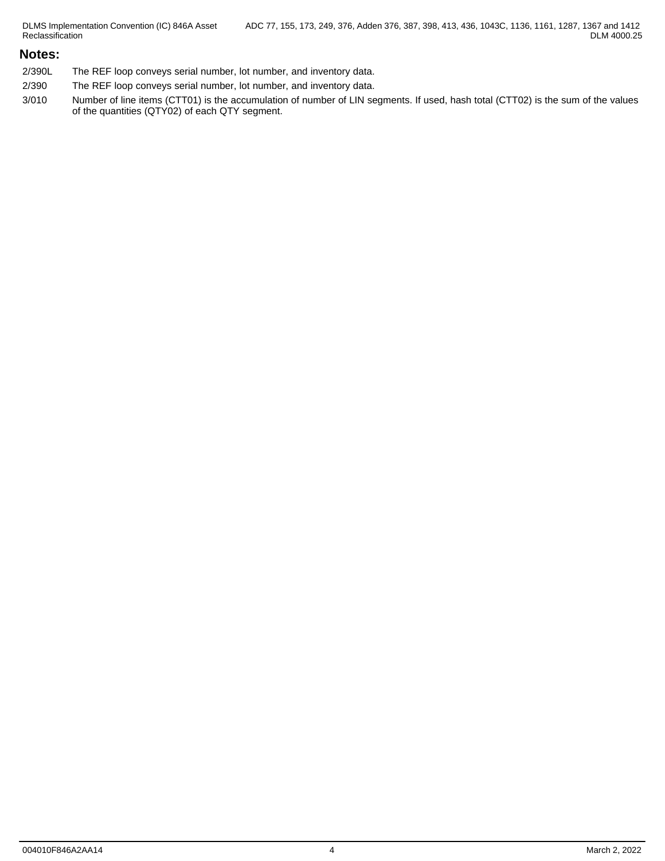DLMS Implementation Convention (IC) 846A Asset Reclassification

### **Notes:**

- 2/390L The REF loop conveys serial number, lot number, and inventory data.
- 2/390 The REF loop conveys serial number, lot number, and inventory data.
- 3/010 Number of line items (CTT01) is the accumulation of number of LIN segments. If used, hash total (CTT02) is the sum of the values of the quantities (QTY02) of each QTY segment.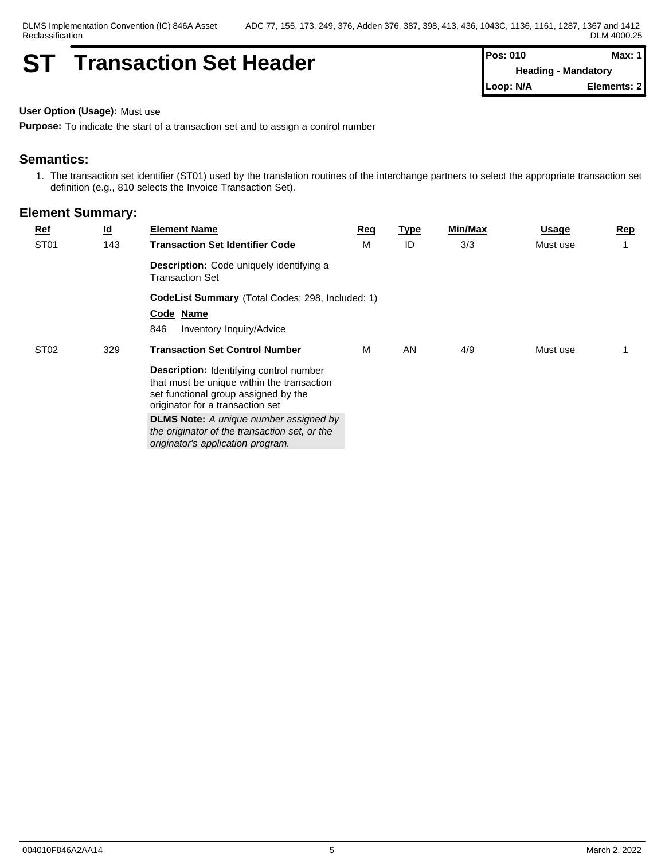## **ST Transaction Set Header Pos: 010 Max: 1 Max: 1**

**Heading - Mandatory Loop: N/A Elements: 2**

**User Option (Usage):** Must use

**Purpose:** To indicate the start of a transaction set and to assign a control number

## **Semantics:**

1. The transaction set identifier (ST01) used by the translation routines of the interchange partners to select the appropriate transaction set definition (e.g., 810 selects the Invoice Transaction Set).

| $Ref$            | <u>ld</u> | <b>Element Name</b>                                                                                                                                                      | Req | <u>Type</u> | Min/Max | <u>Usage</u> | <u>Rep</u> |
|------------------|-----------|--------------------------------------------------------------------------------------------------------------------------------------------------------------------------|-----|-------------|---------|--------------|------------|
| ST <sub>01</sub> | 143       | <b>Transaction Set Identifier Code</b>                                                                                                                                   | М   | ID          | 3/3     | Must use     |            |
|                  |           | <b>Description:</b> Code uniquely identifying a<br><b>Transaction Set</b>                                                                                                |     |             |         |              |            |
|                  |           | <b>CodeList Summary (Total Codes: 298, Included: 1)</b>                                                                                                                  |     |             |         |              |            |
|                  |           | Code Name                                                                                                                                                                |     |             |         |              |            |
|                  |           | 846<br>Inventory Inquiry/Advice                                                                                                                                          |     |             |         |              |            |
| ST <sub>02</sub> | 329       | <b>Transaction Set Control Number</b>                                                                                                                                    | M   | AN          | 4/9     | Must use     |            |
|                  |           | <b>Description:</b> Identifying control number<br>that must be unique within the transaction<br>set functional group assigned by the<br>originator for a transaction set |     |             |         |              |            |
|                  |           | <b>DLMS Note:</b> A unique number assigned by<br>the originator of the transaction set, or the<br>originator's application program.                                      |     |             |         |              |            |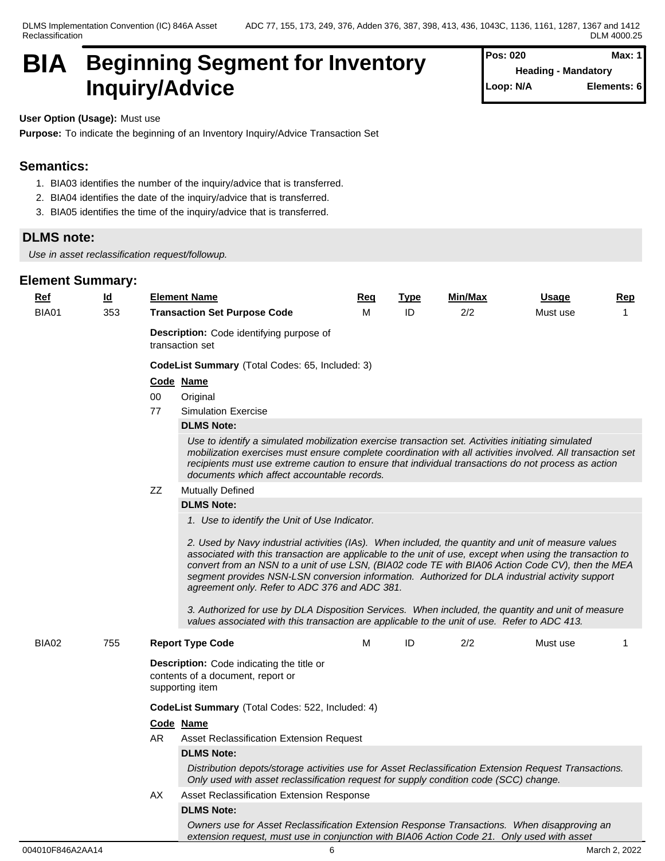## **BIA Beginning Segment for Inventory Inquiry/Advice**

| Pos: 020                   | Max: $1$    |
|----------------------------|-------------|
| <b>Heading - Mandatory</b> |             |
| Loop: N/A                  | Elements: 6 |

**User Option (Usage):** Must use

**Purpose:** To indicate the beginning of an Inventory Inquiry/Advice Transaction Set

## **Semantics:**

- 1. BIA03 identifies the number of the inquiry/advice that is transferred.
- 2. BIA04 identifies the date of the inquiry/advice that is transferred.
- 3. BIA05 identifies the time of the inquiry/advice that is transferred.

## **DLMS note:**

*Use in asset reclassification request/followup.*

| Ref   | $\underline{\mathsf{Id}}$ |     | <b>Element Name</b>                                                                                                                                                                                                                                                                                                                                                                                                                                                                                                                                                                                                                                                            | Req | <b>Type</b> | Min/Max | <b>Usage</b> | <u>Rep</u> |  |  |
|-------|---------------------------|-----|--------------------------------------------------------------------------------------------------------------------------------------------------------------------------------------------------------------------------------------------------------------------------------------------------------------------------------------------------------------------------------------------------------------------------------------------------------------------------------------------------------------------------------------------------------------------------------------------------------------------------------------------------------------------------------|-----|-------------|---------|--------------|------------|--|--|
| BIA01 | 353                       |     | <b>Transaction Set Purpose Code</b>                                                                                                                                                                                                                                                                                                                                                                                                                                                                                                                                                                                                                                            | м   | ID          | 2/2     | Must use     | 1          |  |  |
|       |                           |     | <b>Description:</b> Code identifying purpose of<br>transaction set                                                                                                                                                                                                                                                                                                                                                                                                                                                                                                                                                                                                             |     |             |         |              |            |  |  |
|       |                           |     | CodeList Summary (Total Codes: 65, Included: 3)                                                                                                                                                                                                                                                                                                                                                                                                                                                                                                                                                                                                                                |     |             |         |              |            |  |  |
|       |                           |     | Code Name                                                                                                                                                                                                                                                                                                                                                                                                                                                                                                                                                                                                                                                                      |     |             |         |              |            |  |  |
|       |                           | 00  | Original                                                                                                                                                                                                                                                                                                                                                                                                                                                                                                                                                                                                                                                                       |     |             |         |              |            |  |  |
|       |                           | 77  | <b>Simulation Exercise</b>                                                                                                                                                                                                                                                                                                                                                                                                                                                                                                                                                                                                                                                     |     |             |         |              |            |  |  |
|       |                           |     | <b>DLMS Note:</b>                                                                                                                                                                                                                                                                                                                                                                                                                                                                                                                                                                                                                                                              |     |             |         |              |            |  |  |
|       |                           |     | Use to identify a simulated mobilization exercise transaction set. Activities initiating simulated<br>mobilization exercises must ensure complete coordination with all activities involved. All transaction set<br>recipients must use extreme caution to ensure that individual transactions do not process as action<br>documents which affect accountable records.                                                                                                                                                                                                                                                                                                         |     |             |         |              |            |  |  |
|       |                           | ZZ  | Mutually Defined                                                                                                                                                                                                                                                                                                                                                                                                                                                                                                                                                                                                                                                               |     |             |         |              |            |  |  |
|       |                           |     | <b>DLMS Note:</b>                                                                                                                                                                                                                                                                                                                                                                                                                                                                                                                                                                                                                                                              |     |             |         |              |            |  |  |
|       |                           |     | 1. Use to identify the Unit of Use Indicator.                                                                                                                                                                                                                                                                                                                                                                                                                                                                                                                                                                                                                                  |     |             |         |              |            |  |  |
|       |                           |     | 2. Used by Navy industrial activities (IAs). When included, the quantity and unit of measure values<br>associated with this transaction are applicable to the unit of use, except when using the transaction to<br>convert from an NSN to a unit of use LSN, (BIA02 code TE with BIA06 Action Code CV), then the MEA<br>segment provides NSN-LSN conversion information. Authorized for DLA industrial activity support<br>agreement only. Refer to ADC 376 and ADC 381.<br>3. Authorized for use by DLA Disposition Services. When included, the quantity and unit of measure<br>values associated with this transaction are applicable to the unit of use. Refer to ADC 413. |     |             |         |              |            |  |  |
| BIA02 | 755                       |     | <b>Report Type Code</b>                                                                                                                                                                                                                                                                                                                                                                                                                                                                                                                                                                                                                                                        | м   | ID          | 2/2     | Must use     | 1          |  |  |
|       |                           |     | Description: Code indicating the title or<br>contents of a document, report or<br>supporting item                                                                                                                                                                                                                                                                                                                                                                                                                                                                                                                                                                              |     |             |         |              |            |  |  |
|       |                           |     | CodeList Summary (Total Codes: 522, Included: 4)                                                                                                                                                                                                                                                                                                                                                                                                                                                                                                                                                                                                                               |     |             |         |              |            |  |  |
|       |                           |     | Code Name                                                                                                                                                                                                                                                                                                                                                                                                                                                                                                                                                                                                                                                                      |     |             |         |              |            |  |  |
|       |                           | AR. | Asset Reclassification Extension Request                                                                                                                                                                                                                                                                                                                                                                                                                                                                                                                                                                                                                                       |     |             |         |              |            |  |  |
|       |                           |     | <b>DLMS Note:</b>                                                                                                                                                                                                                                                                                                                                                                                                                                                                                                                                                                                                                                                              |     |             |         |              |            |  |  |
|       |                           | AX  | Distribution depots/storage activities use for Asset Reclassification Extension Request Transactions.<br>Only used with asset reclassification request for supply condition code (SCC) change.                                                                                                                                                                                                                                                                                                                                                                                                                                                                                 |     |             |         |              |            |  |  |
|       |                           |     | Asset Reclassification Extension Response                                                                                                                                                                                                                                                                                                                                                                                                                                                                                                                                                                                                                                      |     |             |         |              |            |  |  |
|       |                           |     | <b>DLMS Note:</b>                                                                                                                                                                                                                                                                                                                                                                                                                                                                                                                                                                                                                                                              |     |             |         |              |            |  |  |
|       |                           |     | Owners use for Asset Reclassification Extension Response Transactions. When disapproving an<br>extension request, must use in conjunction with BIA06 Action Code 21. Only used with asset                                                                                                                                                                                                                                                                                                                                                                                                                                                                                      |     |             |         |              |            |  |  |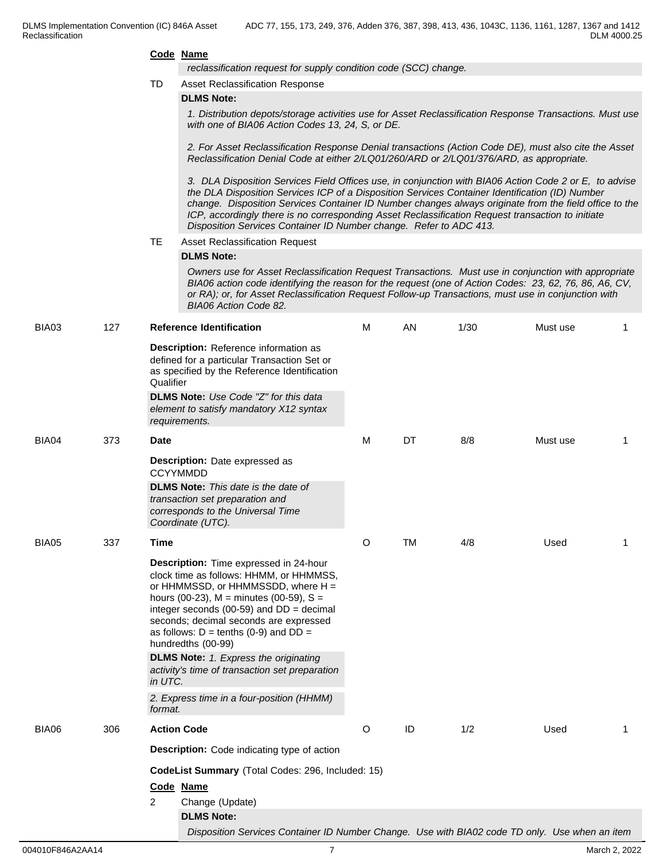*reclassification request for supply condition code (SCC) change.* 

TD Asset Reclassification Response

#### **DLMS Note:**

*1. Distribution depots/storage activities use for Asset Reclassification Response Transactions. Must use with one of BIA06 Action Codes 13, 24, S, or DE.*

*2. For Asset Reclassification Response Denial transactions (Action Code DE), must also cite the Asset Reclassification Denial Code at either 2/LQ01/260/ARD or 2/LQ01/376/ARD, as appropriate.*

*3. DLA Disposition Services Field Offices use, in conjunction with BIA06 Action Code 2 or E, to advise the DLA Disposition Services ICP of a Disposition Services Container Identification (ID) Number change. Disposition Services Container ID Number changes always originate from the field office to the ICP, accordingly there is no corresponding Asset Reclassification Request transaction to initiate Disposition Services Container ID Number change. Refer to ADC 413.*

#### TE Asset Reclassification Request

#### **DLMS Note:**

*Owners use for Asset Reclassification Request Transactions. Must use in conjunction with appropriate BIA06 action code identifying the reason for the request (one of Action Codes: 23, 62, 76, 86, A6, CV, or RA); or, for Asset Reclassification Request Follow-up Transactions, must use in conjunction with BIA06 Action Code 82.*

| BIA03 | 127 | <b>Reference Identification</b>                                                                                                                                                                                                                                                                                                          | M | AN        | 1/30 | Must use | -1          |
|-------|-----|------------------------------------------------------------------------------------------------------------------------------------------------------------------------------------------------------------------------------------------------------------------------------------------------------------------------------------------|---|-----------|------|----------|-------------|
|       |     | Description: Reference information as<br>defined for a particular Transaction Set or<br>as specified by the Reference Identification<br>Qualifier<br>DLMS Note: Use Code "Z" for this data<br>element to satisfy mandatory X12 syntax<br>requirements.                                                                                   |   |           |      |          |             |
| BIA04 | 373 | Date                                                                                                                                                                                                                                                                                                                                     | M | DT        | 8/8  | Must use | $\mathbf 1$ |
|       |     | Description: Date expressed as<br><b>CCYYMMDD</b><br><b>DLMS Note:</b> This date is the date of<br>transaction set preparation and<br>corresponds to the Universal Time<br>Coordinate (UTC).                                                                                                                                             |   |           |      |          |             |
| BIA05 | 337 | <b>Time</b>                                                                                                                                                                                                                                                                                                                              | O | <b>TM</b> | 4/8  | Used     | $\mathbf 1$ |
|       |     | Description: Time expressed in 24-hour<br>clock time as follows: HHMM, or HHMMSS,<br>or HHMMSSD, or HHMMSSDD, where H =<br>hours (00-23), $M =$ minutes (00-59), $S =$<br>integer seconds (00-59) and $DD = decimal$<br>seconds; decimal seconds are expressed<br>as follows: $D = \text{tenths}$ (0-9) and $DD =$<br>hundredths (00-99) |   |           |      |          |             |
|       |     | <b>DLMS Note:</b> 1. Express the originating<br>activity's time of transaction set preparation<br>in UTC.                                                                                                                                                                                                                                |   |           |      |          |             |
|       |     | 2. Express time in a four-position (HHMM)<br>format.                                                                                                                                                                                                                                                                                     |   |           |      |          |             |
| BIA06 | 306 | <b>Action Code</b>                                                                                                                                                                                                                                                                                                                       | O | ID        | 1/2  | Used     | $\mathbf 1$ |
|       |     | <b>Description:</b> Code indicating type of action                                                                                                                                                                                                                                                                                       |   |           |      |          |             |
|       |     | CodeList Summary (Total Codes: 296, Included: 15)                                                                                                                                                                                                                                                                                        |   |           |      |          |             |
|       |     | Code Name                                                                                                                                                                                                                                                                                                                                |   |           |      |          |             |
|       |     | $\overline{2}$<br>Change (Update)                                                                                                                                                                                                                                                                                                        |   |           |      |          |             |
|       |     | <b>DLMS Note:</b>                                                                                                                                                                                                                                                                                                                        |   |           |      |          |             |
|       |     | Disposition Services Container ID Number Change. Use with BIA02 code TD only. Use when an item                                                                                                                                                                                                                                           |   |           |      |          |             |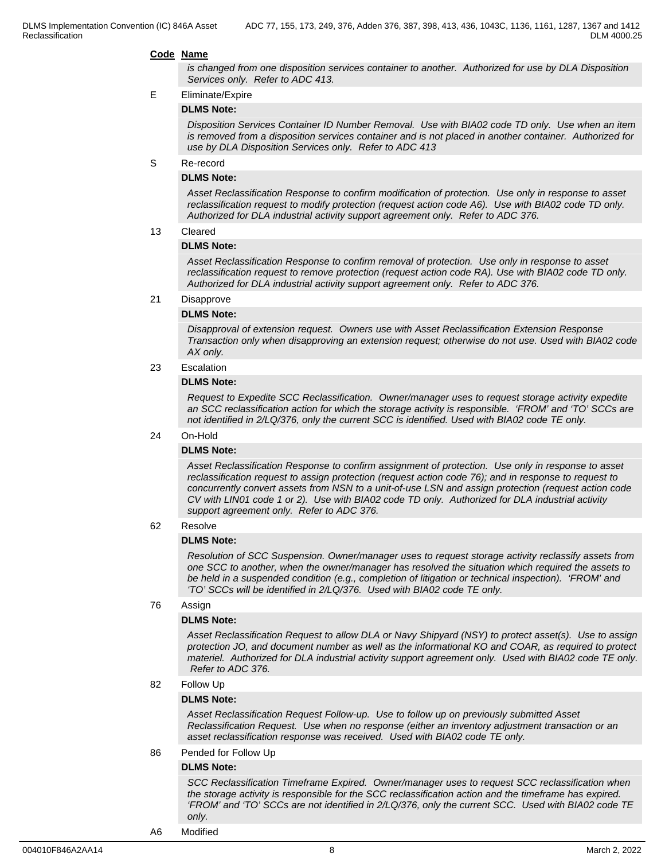*is changed from one disposition services container to another. Authorized for use by DLA Disposition Services only. Refer to ADC 413.*

#### E Eliminate/Expire

#### **DLMS Note:**

*Disposition Services Container ID Number Removal. Use with BIA02 code TD only. Use when an item is removed from a disposition services container and is not placed in another container. Authorized for use by DLA Disposition Services only. Refer to ADC 413*

#### S Re-record

#### **DLMS Note:**

*Asset Reclassification Response to confirm modification of protection. Use only in response to asset reclassification request to modify protection (request action code A6). Use with BIA02 code TD only. Authorized for DLA industrial activity support agreement only. Refer to ADC 376.*

#### 13 Cleared

#### **DLMS Note:**

*Asset Reclassification Response to confirm removal of protection. Use only in response to asset reclassification request to remove protection (request action code RA). Use with BIA02 code TD only. Authorized for DLA industrial activity support agreement only. Refer to ADC 376.*

#### 21 Disapprove

#### **DLMS Note:**

*Disapproval of extension request. Owners use with Asset Reclassification Extension Response Transaction only when disapproving an extension request; otherwise do not use. Used with BIA02 code AX only.*

#### 23 Escalation

#### **DLMS Note:**

*Request to Expedite SCC Reclassification. Owner/manager uses to request storage activity expedite an SCC reclassification action for which the storage activity is responsible. 'FROM' and 'TO' SCCs are not identified in 2/LQ/376, only the current SCC is identified. Used with BIA02 code TE only.*

#### 24 On-Hold

#### **DLMS Note:**

*Asset Reclassification Response to confirm assignment of protection. Use only in response to asset reclassification request to assign protection (request action code 76); and in response to request to concurrently convert assets from NSN to a unit-of-use LSN and assign protection (request action code CV with LIN01 code 1 or 2). Use with BIA02 code TD only. Authorized for DLA industrial activity support agreement only. Refer to ADC 376.*

#### 62 Resolve

#### **DLMS Note:**

*Resolution of SCC Suspension. Owner/manager uses to request storage activity reclassify assets from one SCC to another, when the owner/manager has resolved the situation which required the assets to be held in a suspended condition (e.g., completion of litigation or technical inspection). 'FROM' and 'TO' SCCs will be identified in 2/LQ/376. Used with BIA02 code TE only.*

#### 76 Assign

#### **DLMS Note:**

*Asset Reclassification Request to allow DLA or Navy Shipyard (NSY) to protect asset(s). Use to assign protection JO, and document number as well as the informational KO and COAR, as required to protect materiel. Authorized for DLA industrial activity support agreement only. Used with BIA02 code TE only. Refer to ADC 376.*

#### 82 Follow Up

#### **DLMS Note:**

*Asset Reclassification Request Follow-up. Use to follow up on previously submitted Asset Reclassification Request. Use when no response (either an inventory adjustment transaction or an asset reclassification response was received. Used with BIA02 code TE only.*

#### 86 Pended for Follow Up

### **DLMS Note:**

*SCC Reclassification Timeframe Expired. Owner/manager uses to request SCC reclassification when the storage activity is responsible for the SCC reclassification action and the timeframe has expired. 'FROM' and 'TO' SCCs are not identified in 2/LQ/376, only the current SCC. Used with BIA02 code TE only.*

A6 Modified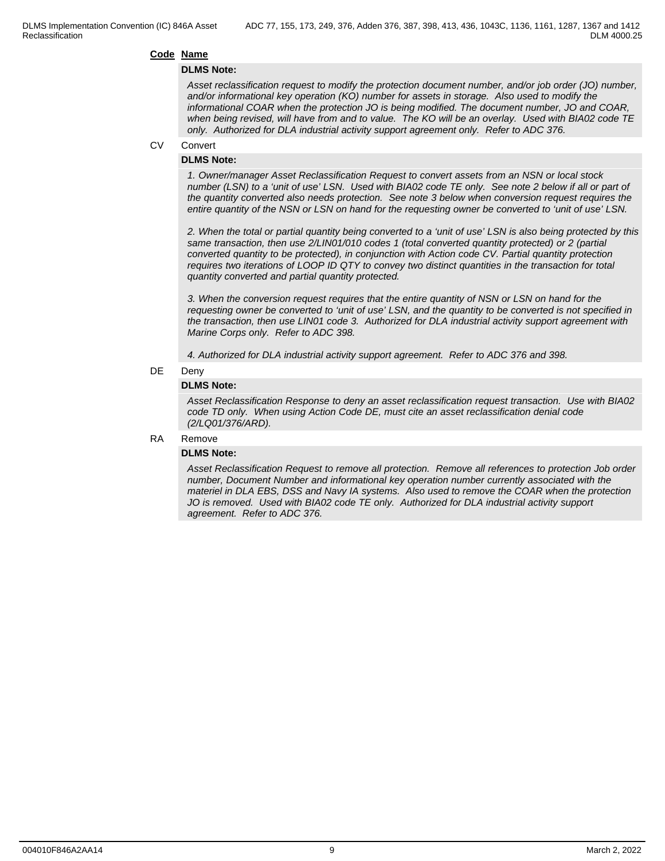#### **DLMS Note:**

*Asset reclassification request to modify the protection document number, and/or job order (JO) number, and/or informational key operation (KO) number for assets in storage. Also used to modify the informational COAR when the protection JO is being modified. The document number, JO and COAR, when being revised, will have from and to value. The KO will be an overlay. Used with BIA02 code TE only. Authorized for DLA industrial activity support agreement only. Refer to ADC 376.*

#### CV Convert

#### **DLMS Note:**

*1. Owner/manager Asset Reclassification Request to convert assets from an NSN or local stock number (LSN) to a 'unit of use' LSN. Used with BIA02 code TE only. See note 2 below if all or part of the quantity converted also needs protection. See note 3 below when conversion request requires the entire quantity of the NSN or LSN on hand for the requesting owner be converted to 'unit of use' LSN.*

*2. When the total or partial quantity being converted to a 'unit of use' LSN is also being protected by this same transaction, then use 2/LIN01/010 codes 1 (total converted quantity protected) or 2 (partial converted quantity to be protected), in conjunction with Action code CV. Partial quantity protection requires two iterations of LOOP ID QTY to convey two distinct quantities in the transaction for total quantity converted and partial quantity protected.* 

*3. When the conversion request requires that the entire quantity of NSN or LSN on hand for the requesting owner be converted to 'unit of use' LSN, and the quantity to be converted is not specified in the transaction, then use LIN01 code 3. Authorized for DLA industrial activity support agreement with Marine Corps only. Refer to ADC 398.*

*4. Authorized for DLA industrial activity support agreement. Refer to ADC 376 and 398.*

#### DE Deny

#### **DLMS Note:**

*Asset Reclassification Response to deny an asset reclassification request transaction. Use with BIA02 code TD only. When using Action Code DE, must cite an asset reclassification denial code (2/LQ01/376/ARD).*

#### RA Remove

#### **DLMS Note:**

*Asset Reclassification Request to remove all protection. Remove all references to protection Job order number, Document Number and informational key operation number currently associated with the materiel in DLA EBS, DSS and Navy IA systems. Also used to remove the COAR when the protection JO is removed. Used with BIA02 code TE only. Authorized for DLA industrial activity support agreement. Refer to ADC 376.*

DLM 4000.25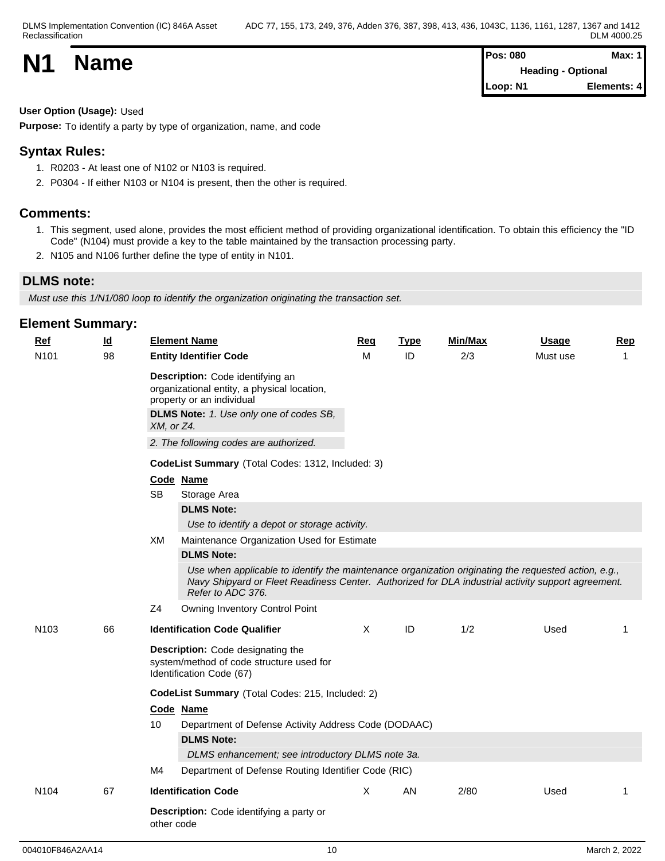| <b>N1</b> | <b>Name</b> | <b>Pos: 080</b><br><b>Heading - Optional</b> | <b>Max: 1</b> |  |
|-----------|-------------|----------------------------------------------|---------------|--|
|           |             | Loop: N1                                     | Elements: 4   |  |

## **User Option (Usage):** Used

**Purpose:** To identify a party by type of organization, name, and code

## **Syntax Rules:**

- 1. R0203 At least one of N102 or N103 is required.
- 2. P0304 If either N103 or N104 is present, then the other is required.

## **Comments:**

- 1. This segment, used alone, provides the most efficient method of providing organizational identification. To obtain this efficiency the "ID Code" (N104) must provide a key to the table maintained by the transaction processing party.
- 2. N105 and N106 further define the type of entity in N101.

## **DLMS note:**

*Must use this 1/N1/080 loop to identify the organization originating the transaction set.*

| <b>Ref</b>       | <u>ld</u> | <b>Element Name</b>                                                                                                                                                                                                             | Req      | <b>Type</b> | Min/Max | <b>Usage</b> | Rep          |  |  |  |  |  |  |
|------------------|-----------|---------------------------------------------------------------------------------------------------------------------------------------------------------------------------------------------------------------------------------|----------|-------------|---------|--------------|--------------|--|--|--|--|--|--|
| N <sub>101</sub> | 98        | <b>Entity Identifier Code</b>                                                                                                                                                                                                   | м        | ID          | 2/3     | Must use     | $\mathbf 1$  |  |  |  |  |  |  |
|                  |           | Description: Code identifying an<br>organizational entity, a physical location,<br>property or an individual<br><b>DLMS Note:</b> 1. Use only one of codes SB,<br>XM, or Z4.<br>2. The following codes are authorized.          |          |             |         |              |              |  |  |  |  |  |  |
|                  |           |                                                                                                                                                                                                                                 |          |             |         |              |              |  |  |  |  |  |  |
|                  |           | CodeList Summary (Total Codes: 1312, Included: 3)                                                                                                                                                                               |          |             |         |              |              |  |  |  |  |  |  |
|                  |           | Code Name<br><b>SB</b><br>Storage Area                                                                                                                                                                                          |          |             |         |              |              |  |  |  |  |  |  |
|                  |           | <b>DLMS Note:</b>                                                                                                                                                                                                               |          |             |         |              |              |  |  |  |  |  |  |
|                  |           | Use to identify a depot or storage activity.                                                                                                                                                                                    |          |             |         |              |              |  |  |  |  |  |  |
|                  |           | XM<br>Maintenance Organization Used for Estimate                                                                                                                                                                                |          |             |         |              |              |  |  |  |  |  |  |
|                  |           | <b>DLMS Note:</b>                                                                                                                                                                                                               |          |             |         |              |              |  |  |  |  |  |  |
|                  |           | Use when applicable to identify the maintenance organization originating the requested action, e.g.,<br>Navy Shipyard or Fleet Readiness Center. Authorized for DLA industrial activity support agreement.<br>Refer to ADC 376. |          |             |         |              |              |  |  |  |  |  |  |
|                  |           | Owning Inventory Control Point<br>Z <sub>4</sub>                                                                                                                                                                                |          |             |         |              |              |  |  |  |  |  |  |
| N <sub>103</sub> | 66        | <b>Identification Code Qualifier</b>                                                                                                                                                                                            | $\sf X$  | ID          | 1/2     | Used         | 1            |  |  |  |  |  |  |
|                  |           | Description: Code designating the<br>system/method of code structure used for<br>Identification Code (67)                                                                                                                       |          |             |         |              |              |  |  |  |  |  |  |
|                  |           | CodeList Summary (Total Codes: 215, Included: 2)                                                                                                                                                                                |          |             |         |              |              |  |  |  |  |  |  |
|                  |           | Code Name                                                                                                                                                                                                                       |          |             |         |              |              |  |  |  |  |  |  |
|                  |           | 10<br>Department of Defense Activity Address Code (DODAAC)                                                                                                                                                                      |          |             |         |              |              |  |  |  |  |  |  |
|                  |           | <b>DLMS Note:</b>                                                                                                                                                                                                               |          |             |         |              |              |  |  |  |  |  |  |
|                  |           | DLMS enhancement; see introductory DLMS note 3a.                                                                                                                                                                                |          |             |         |              |              |  |  |  |  |  |  |
|                  |           | Department of Defense Routing Identifier Code (RIC)<br>M4                                                                                                                                                                       |          |             |         |              |              |  |  |  |  |  |  |
| N <sub>104</sub> | 67        | <b>Identification Code</b>                                                                                                                                                                                                      | $\times$ | AN          | 2/80    | Used         | $\mathbf{1}$ |  |  |  |  |  |  |
|                  |           | Description: Code identifying a party or<br>other code                                                                                                                                                                          |          |             |         |              |              |  |  |  |  |  |  |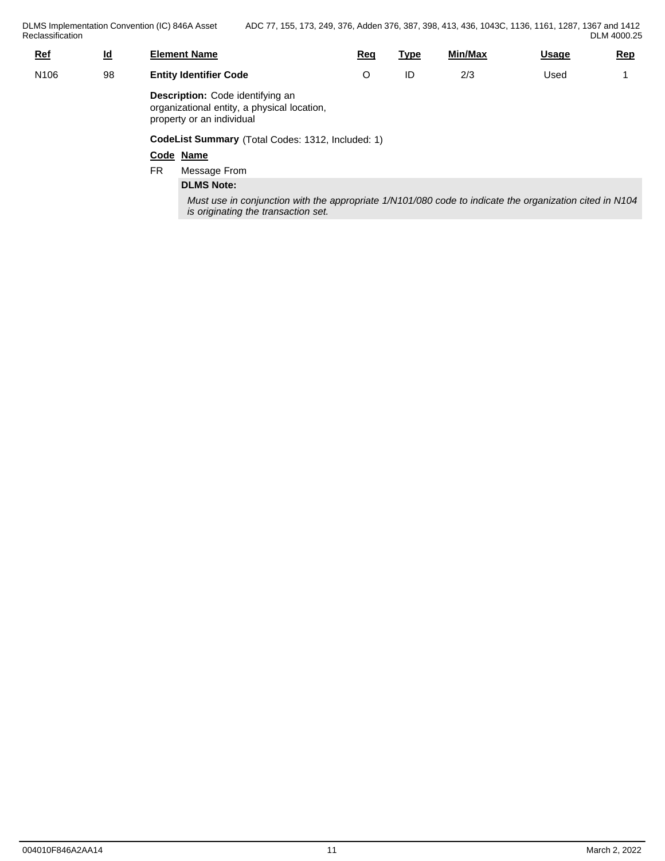DLMS Implementation Convention (IC) 846A Asset Reclassification **Reclassification** 

| <u>Ref</u>       | $\underline{\mathsf{Id}}$ | <b>Element Name</b>                                                                                                 | <u>Req</u> | <u>Type</u> | Min/Max | <b>Usage</b> | <u>Rep</u> |  |  |  |
|------------------|---------------------------|---------------------------------------------------------------------------------------------------------------------|------------|-------------|---------|--------------|------------|--|--|--|
| N <sub>106</sub> | 98                        | <b>Entity Identifier Code</b>                                                                                       | O          | ID          | 2/3     | Used         |            |  |  |  |
|                  |                           | <b>Description:</b> Code identifying an<br>organizational entity, a physical location,<br>property or an individual |            |             |         |              |            |  |  |  |
|                  |                           | CodeList Summary (Total Codes: 1312, Included: 1)                                                                   |            |             |         |              |            |  |  |  |
|                  |                           | Code Name                                                                                                           |            |             |         |              |            |  |  |  |
|                  |                           | <b>FR</b><br>Message From                                                                                           |            |             |         |              |            |  |  |  |

## **DLMS Note:**

*Must use in conjunction with the appropriate 1/N101/080 code to indicate the organization cited in N104 is originating the transaction set.*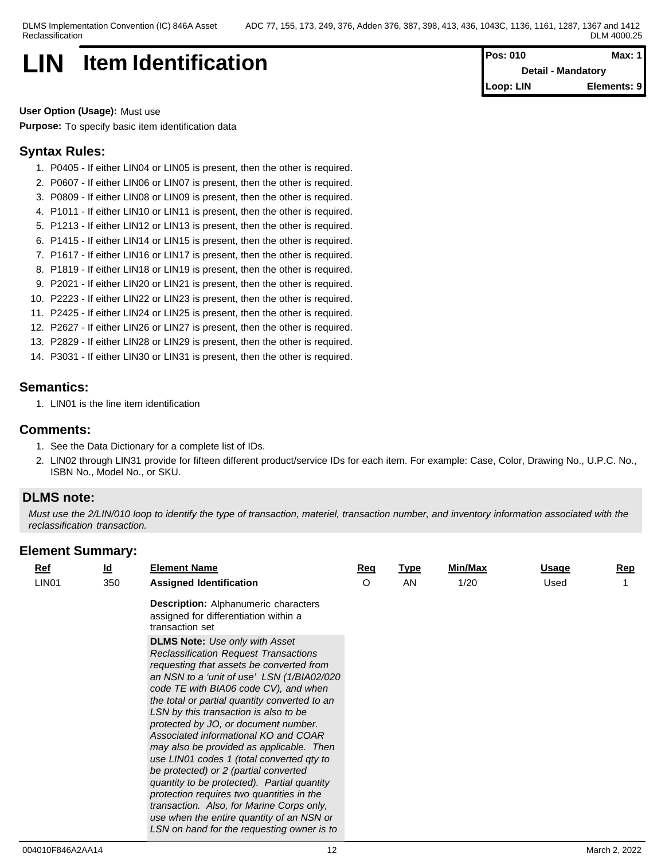## **LIN Item Identification Pos: 010 Max: 1**

**Detail - Mandatory Loop: LIN Elements: 9**

**User Option (Usage):** Must use **Purpose:** To specify basic item identification data

## **Syntax Rules:**

- 1. P0405 If either LIN04 or LIN05 is present, then the other is required.
- 2. P0607 If either LIN06 or LIN07 is present, then the other is required.
- 3. P0809 If either LIN08 or LIN09 is present, then the other is required.
- 4. P1011 If either LIN10 or LIN11 is present, then the other is required.
- 5. P1213 If either LIN12 or LIN13 is present, then the other is required.
- 6. P1415 If either LIN14 or LIN15 is present, then the other is required.
- 7. P1617 If either LIN16 or LIN17 is present, then the other is required.
- 8. P1819 If either LIN18 or LIN19 is present, then the other is required.
- 9. P2021 If either LIN20 or LIN21 is present, then the other is required.
- 10. P2223 If either LIN22 or LIN23 is present, then the other is required.
- 11. P2425 If either LIN24 or LIN25 is present, then the other is required.
- 12. P2627 If either LIN26 or LIN27 is present, then the other is required.
- 13. P2829 If either LIN28 or LIN29 is present, then the other is required.
- 14. P3031 If either LIN30 or LIN31 is present, then the other is required.

## **Semantics:**

1. LIN01 is the line item identification

## **Comments:**

- 1. See the Data Dictionary for a complete list of IDs.
- 2. LIN02 through LIN31 provide for fifteen different product/service IDs for each item. For example: Case, Color, Drawing No., U.P.C. No., ISBN No., Model No., or SKU.

## **DLMS note:**

*Must use the 2/LIN/010 loop to identify the type of transaction, materiel, transaction number, and inventory information associated with the reclassification transaction.*

| $Ref$             | $\underline{\mathsf{Id}}$ | <b>Element Name</b>                                                                                                                                                                                                                                                                                                                                                                                                                                                                                                                                                                                                                                                                                                                                                      | <b>Req</b> | <u>Type</u> | Min/Max | Usage | <b>Rep</b> |
|-------------------|---------------------------|--------------------------------------------------------------------------------------------------------------------------------------------------------------------------------------------------------------------------------------------------------------------------------------------------------------------------------------------------------------------------------------------------------------------------------------------------------------------------------------------------------------------------------------------------------------------------------------------------------------------------------------------------------------------------------------------------------------------------------------------------------------------------|------------|-------------|---------|-------|------------|
| LIN <sub>01</sub> | 350                       | <b>Assigned Identification</b>                                                                                                                                                                                                                                                                                                                                                                                                                                                                                                                                                                                                                                                                                                                                           | O          | AN          | 1/20    | Used  |            |
|                   |                           | <b>Description:</b> Alphanumeric characters<br>assigned for differentiation within a<br>transaction set                                                                                                                                                                                                                                                                                                                                                                                                                                                                                                                                                                                                                                                                  |            |             |         |       |            |
|                   |                           | <b>DLMS Note:</b> Use only with Asset<br><b>Reclassification Request Transactions</b><br>requesting that assets be converted from<br>an NSN to a 'unit of use' LSN (1/BIA02/020<br>code TE with BIA06 code CV), and when<br>the total or partial quantity converted to an<br>LSN by this transaction is also to be<br>protected by JO, or document number.<br>Associated informational KO and COAR<br>may also be provided as applicable. Then<br>use LIN01 codes 1 (total converted qty to<br>be protected) or 2 (partial converted<br>quantity to be protected). Partial quantity<br>protection requires two quantities in the<br>transaction. Also, for Marine Corps only,<br>use when the entire quantity of an NSN or<br>LSN on hand for the requesting owner is to |            |             |         |       |            |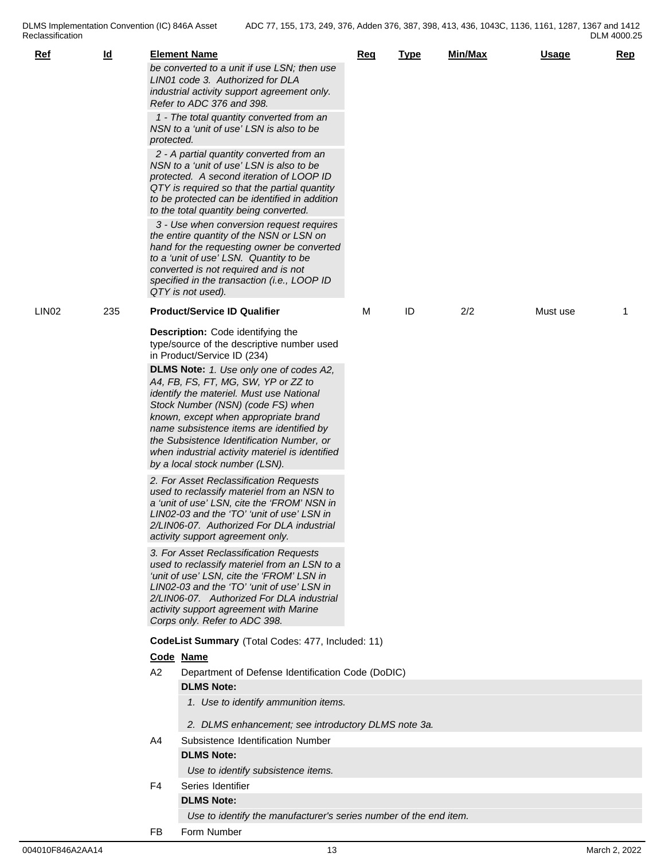DLMS Implementation Convention (IC) 846A Asset Reclassification **Reclassification** 

| <u>Ref</u> | $\underline{\mathsf{Id}}$ |                | <b>Element Name</b>                                                                                                                                                                                                                                                                                                                                                                   | <u>Req</u> | <b>Type</b> | Min/Max | <b>Usage</b> | <b>Rep</b> |
|------------|---------------------------|----------------|---------------------------------------------------------------------------------------------------------------------------------------------------------------------------------------------------------------------------------------------------------------------------------------------------------------------------------------------------------------------------------------|------------|-------------|---------|--------------|------------|
|            |                           |                | be converted to a unit if use LSN; then use<br>LIN01 code 3. Authorized for DLA<br>industrial activity support agreement only.<br>Refer to ADC 376 and 398.                                                                                                                                                                                                                           |            |             |         |              |            |
|            |                           | protected.     | 1 - The total quantity converted from an<br>NSN to a 'unit of use' LSN is also to be                                                                                                                                                                                                                                                                                                  |            |             |         |              |            |
|            |                           |                | 2 - A partial quantity converted from an<br>NSN to a 'unit of use' LSN is also to be<br>protected. A second iteration of LOOP ID<br>QTY is required so that the partial quantity<br>to be protected can be identified in addition<br>to the total quantity being converted.                                                                                                           |            |             |         |              |            |
|            |                           |                | 3 - Use when conversion request requires<br>the entire quantity of the NSN or LSN on<br>hand for the requesting owner be converted<br>to a 'unit of use' LSN. Quantity to be<br>converted is not required and is not<br>specified in the transaction (i.e., LOOP ID<br>QTY is not used).                                                                                              |            |             |         |              |            |
| LIN02      | 235                       |                | <b>Product/Service ID Qualifier</b>                                                                                                                                                                                                                                                                                                                                                   | м          | ID          | 2/2     | Must use     | -1         |
|            |                           |                | <b>Description:</b> Code identifying the<br>type/source of the descriptive number used<br>in Product/Service ID (234)                                                                                                                                                                                                                                                                 |            |             |         |              |            |
|            |                           |                | DLMS Note: 1. Use only one of codes A2,<br>A4, FB, FS, FT, MG, SW, YP or ZZ to<br>identify the materiel. Must use National<br>Stock Number (NSN) (code FS) when<br>known, except when appropriate brand<br>name subsistence items are identified by<br>the Subsistence Identification Number, or<br>when industrial activity materiel is identified<br>by a local stock number (LSN). |            |             |         |              |            |
|            |                           |                | 2. For Asset Reclassification Requests<br>used to reclassify materiel from an NSN to<br>a 'unit of use' LSN, cite the 'FROM' NSN in<br>LIN02-03 and the 'TO' 'unit of use' LSN in<br>2/LIN06-07. Authorized For DLA industrial<br>activity support agreement only.                                                                                                                    |            |             |         |              |            |
|            |                           |                | 3. For Asset Reclassification Requests<br>used to reclassify materiel from an LSN to a<br>'unit of use' LSN, cite the 'FROM' LSN in<br>LIN02-03 and the 'TO' 'unit of use' LSN in<br>2/LIN06-07. Authorized For DLA industrial<br>activity support agreement with Marine<br>Corps only. Refer to ADC 398.                                                                             |            |             |         |              |            |
|            |                           |                | CodeList Summary (Total Codes: 477, Included: 11)                                                                                                                                                                                                                                                                                                                                     |            |             |         |              |            |
|            |                           |                | Code Name                                                                                                                                                                                                                                                                                                                                                                             |            |             |         |              |            |
|            |                           | A2             | Department of Defense Identification Code (DoDIC)<br><b>DLMS Note:</b>                                                                                                                                                                                                                                                                                                                |            |             |         |              |            |
|            |                           |                | 1. Use to identify ammunition items.<br>2. DLMS enhancement; see introductory DLMS note 3a.                                                                                                                                                                                                                                                                                           |            |             |         |              |            |
|            |                           | A4             | Subsistence Identification Number                                                                                                                                                                                                                                                                                                                                                     |            |             |         |              |            |
|            |                           |                | <b>DLMS Note:</b>                                                                                                                                                                                                                                                                                                                                                                     |            |             |         |              |            |
|            |                           |                | Use to identify subsistence items.                                                                                                                                                                                                                                                                                                                                                    |            |             |         |              |            |
|            |                           | F <sub>4</sub> | Series Identifier                                                                                                                                                                                                                                                                                                                                                                     |            |             |         |              |            |
|            |                           |                | <b>DLMS Note:</b><br>Use to identify the manufacturer's series number of the end item.                                                                                                                                                                                                                                                                                                |            |             |         |              |            |
|            |                           |                |                                                                                                                                                                                                                                                                                                                                                                                       |            |             |         |              |            |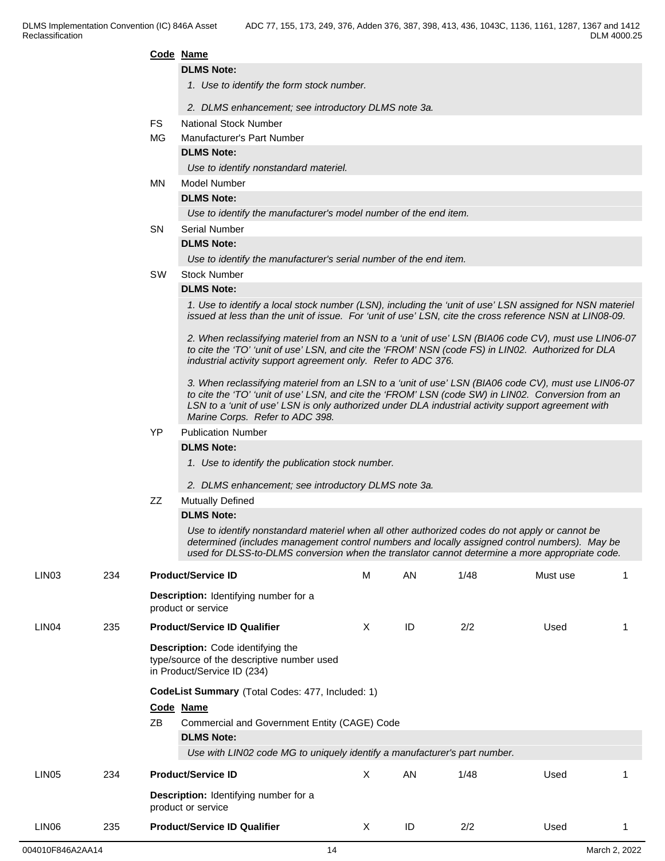|       |     |           | Code Name                                                                                                                                                                                                                                                                                                                                           |              |    |      |          |  |  |  |
|-------|-----|-----------|-----------------------------------------------------------------------------------------------------------------------------------------------------------------------------------------------------------------------------------------------------------------------------------------------------------------------------------------------------|--------------|----|------|----------|--|--|--|
|       |     |           | <b>DLMS Note:</b>                                                                                                                                                                                                                                                                                                                                   |              |    |      |          |  |  |  |
|       |     |           | 1. Use to identify the form stock number.                                                                                                                                                                                                                                                                                                           |              |    |      |          |  |  |  |
|       |     |           | 2. DLMS enhancement; see introductory DLMS note 3a.                                                                                                                                                                                                                                                                                                 |              |    |      |          |  |  |  |
|       |     | <b>FS</b> | <b>National Stock Number</b>                                                                                                                                                                                                                                                                                                                        |              |    |      |          |  |  |  |
|       |     | МG        | Manufacturer's Part Number                                                                                                                                                                                                                                                                                                                          |              |    |      |          |  |  |  |
|       |     |           | <b>DLMS Note:</b>                                                                                                                                                                                                                                                                                                                                   |              |    |      |          |  |  |  |
|       |     |           | Use to identify nonstandard materiel.                                                                                                                                                                                                                                                                                                               |              |    |      |          |  |  |  |
|       |     | MN        | <b>Model Number</b>                                                                                                                                                                                                                                                                                                                                 |              |    |      |          |  |  |  |
|       |     |           | <b>DLMS Note:</b>                                                                                                                                                                                                                                                                                                                                   |              |    |      |          |  |  |  |
|       |     |           | Use to identify the manufacturer's model number of the end item.                                                                                                                                                                                                                                                                                    |              |    |      |          |  |  |  |
|       |     | SN.       | <b>Serial Number</b>                                                                                                                                                                                                                                                                                                                                |              |    |      |          |  |  |  |
|       |     |           | <b>DLMS Note:</b>                                                                                                                                                                                                                                                                                                                                   |              |    |      |          |  |  |  |
|       |     |           | Use to identify the manufacturer's serial number of the end item.                                                                                                                                                                                                                                                                                   |              |    |      |          |  |  |  |
|       |     | <b>SW</b> | <b>Stock Number</b>                                                                                                                                                                                                                                                                                                                                 |              |    |      |          |  |  |  |
|       |     |           | <b>DLMS Note:</b>                                                                                                                                                                                                                                                                                                                                   |              |    |      |          |  |  |  |
|       |     |           | 1. Use to identify a local stock number (LSN), including the 'unit of use' LSN assigned for NSN materiel<br>issued at less than the unit of issue. For 'unit of use' LSN, cite the cross reference NSN at LIN08-09.                                                                                                                                 |              |    |      |          |  |  |  |
|       |     |           | 2. When reclassifying materiel from an NSN to a 'unit of use' LSN (BIA06 code CV), must use LIN06-07<br>to cite the 'TO' 'unit of use' LSN, and cite the 'FROM' NSN (code FS) in LIN02. Authorized for DLA<br>industrial activity support agreement only. Refer to ADC 376.                                                                         |              |    |      |          |  |  |  |
|       |     |           | 3. When reclassifying materiel from an LSN to a 'unit of use' LSN (BIA06 code CV), must use LIN06-07<br>to cite the 'TO' 'unit of use' LSN, and cite the 'FROM' LSN (code SW) in LIN02. Conversion from an<br>LSN to a 'unit of use' LSN is only authorized under DLA industrial activity support agreement with<br>Marine Corps. Refer to ADC 398. |              |    |      |          |  |  |  |
|       |     | YP        | <b>Publication Number</b>                                                                                                                                                                                                                                                                                                                           |              |    |      |          |  |  |  |
|       |     |           | <b>DLMS Note:</b>                                                                                                                                                                                                                                                                                                                                   |              |    |      |          |  |  |  |
|       |     |           | 1. Use to identify the publication stock number.                                                                                                                                                                                                                                                                                                    |              |    |      |          |  |  |  |
|       |     |           | 2. DLMS enhancement; see introductory DLMS note 3a.                                                                                                                                                                                                                                                                                                 |              |    |      |          |  |  |  |
|       |     |           |                                                                                                                                                                                                                                                                                                                                                     |              |    |      |          |  |  |  |
|       |     | ZZ        | <b>Mutually Defined</b><br><b>DLMS Note:</b>                                                                                                                                                                                                                                                                                                        |              |    |      |          |  |  |  |
|       |     |           | Use to identify nonstandard materiel when all other authorized codes do not apply or cannot be                                                                                                                                                                                                                                                      |              |    |      |          |  |  |  |
|       |     |           | determined (includes management control numbers and locally assigned control numbers). May be<br>used for DLSS-to-DLMS conversion when the translator cannot determine a more appropriate code.                                                                                                                                                     |              |    |      |          |  |  |  |
| LIN03 | 234 |           | <b>Product/Service ID</b>                                                                                                                                                                                                                                                                                                                           | M            | AN | 1/48 | Must use |  |  |  |
|       |     |           | Description: Identifying number for a<br>product or service                                                                                                                                                                                                                                                                                         |              |    |      |          |  |  |  |
| LIN04 | 235 |           | <b>Product/Service ID Qualifier</b>                                                                                                                                                                                                                                                                                                                 | X            | ID | 2/2  | Used     |  |  |  |
|       |     |           | Description: Code identifying the<br>type/source of the descriptive number used<br>in Product/Service ID (234)                                                                                                                                                                                                                                      |              |    |      |          |  |  |  |
|       |     |           | CodeList Summary (Total Codes: 477, Included: 1)                                                                                                                                                                                                                                                                                                    |              |    |      |          |  |  |  |
|       |     |           | Code Name                                                                                                                                                                                                                                                                                                                                           |              |    |      |          |  |  |  |
|       |     | ΖB        | Commercial and Government Entity (CAGE) Code                                                                                                                                                                                                                                                                                                        |              |    |      |          |  |  |  |
|       |     |           | <b>DLMS Note:</b>                                                                                                                                                                                                                                                                                                                                   |              |    |      |          |  |  |  |
|       |     |           | Use with LIN02 code MG to uniquely identify a manufacturer's part number.                                                                                                                                                                                                                                                                           |              |    |      |          |  |  |  |
| LIN05 | 234 |           | <b>Product/Service ID</b>                                                                                                                                                                                                                                                                                                                           | $\mathsf{X}$ | AN | 1/48 | Used     |  |  |  |
|       |     |           | Description: Identifying number for a                                                                                                                                                                                                                                                                                                               |              |    |      |          |  |  |  |
|       |     |           | product or service                                                                                                                                                                                                                                                                                                                                  |              |    |      |          |  |  |  |
| LIN06 | 235 |           | <b>Product/Service ID Qualifier</b>                                                                                                                                                                                                                                                                                                                 | X            | ID | 2/2  | Used     |  |  |  |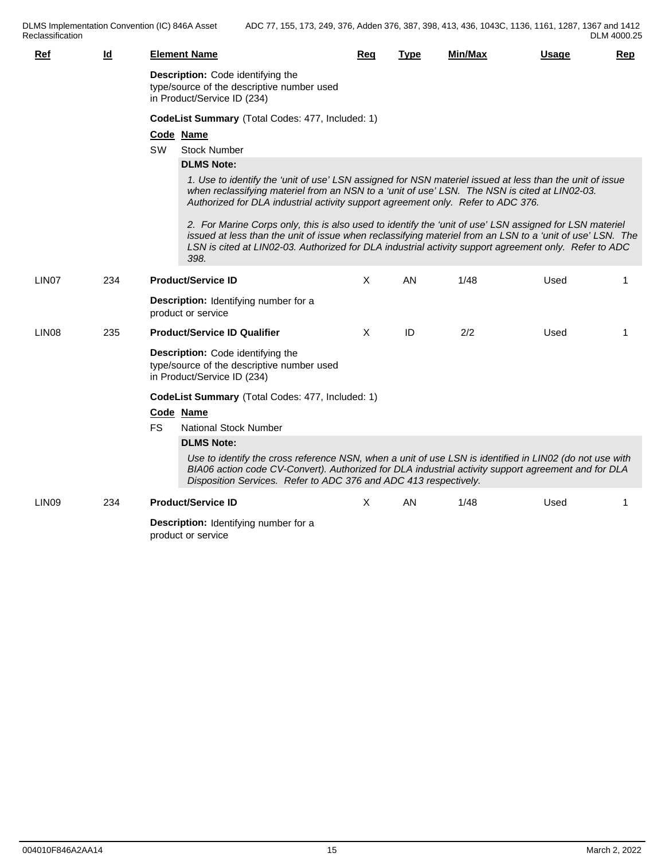DLMS Implementation Convention (IC) 846A Asset Reclassification **Reclassification** 

| <b>Ref</b>        | $\underline{\mathsf{Id}}$ | <b>Element Name</b>                                                                                                                                                                                                                                                                                                                   | Req      | <b>Type</b> | Min/Max | <u>Usage</u> | Rep |
|-------------------|---------------------------|---------------------------------------------------------------------------------------------------------------------------------------------------------------------------------------------------------------------------------------------------------------------------------------------------------------------------------------|----------|-------------|---------|--------------|-----|
|                   |                           | Description: Code identifying the<br>type/source of the descriptive number used<br>in Product/Service ID (234)                                                                                                                                                                                                                        |          |             |         |              |     |
|                   |                           | CodeList Summary (Total Codes: 477, Included: 1)                                                                                                                                                                                                                                                                                      |          |             |         |              |     |
|                   |                           | Code Name                                                                                                                                                                                                                                                                                                                             |          |             |         |              |     |
|                   |                           | <b>Stock Number</b><br>SW.                                                                                                                                                                                                                                                                                                            |          |             |         |              |     |
|                   |                           | <b>DLMS Note:</b>                                                                                                                                                                                                                                                                                                                     |          |             |         |              |     |
|                   |                           | 1. Use to identify the 'unit of use' LSN assigned for NSN materiel issued at less than the unit of issue<br>when reclassifying materiel from an NSN to a 'unit of use' LSN. The NSN is cited at LIN02-03.<br>Authorized for DLA industrial activity support agreement only. Refer to ADC 376.                                         |          |             |         |              |     |
|                   |                           | 2. For Marine Corps only, this is also used to identify the 'unit of use' LSN assigned for LSN materiel<br>issued at less than the unit of issue when reclassifying materiel from an LSN to a 'unit of use' LSN. The<br>LSN is cited at LIN02-03. Authorized for DLA industrial activity support agreement only. Refer to ADC<br>398. |          |             |         |              |     |
| LIN <sub>07</sub> | 234                       | <b>Product/Service ID</b>                                                                                                                                                                                                                                                                                                             | $\times$ | AN.         | 1/48    | Used         | -1  |
|                   |                           | Description: Identifying number for a<br>product or service                                                                                                                                                                                                                                                                           |          |             |         |              |     |
| LIN <sub>08</sub> | 235                       | <b>Product/Service ID Qualifier</b>                                                                                                                                                                                                                                                                                                   | $\times$ | ID          | 2/2     | Used         | -1  |
|                   |                           | Description: Code identifying the<br>type/source of the descriptive number used<br>in Product/Service ID (234)                                                                                                                                                                                                                        |          |             |         |              |     |
|                   |                           | CodeList Summary (Total Codes: 477, Included: 1)                                                                                                                                                                                                                                                                                      |          |             |         |              |     |
|                   |                           | Code Name                                                                                                                                                                                                                                                                                                                             |          |             |         |              |     |
|                   |                           | FS.<br>National Stock Number                                                                                                                                                                                                                                                                                                          |          |             |         |              |     |
|                   |                           | <b>DLMS Note:</b>                                                                                                                                                                                                                                                                                                                     |          |             |         |              |     |
|                   |                           | Use to identify the cross reference NSN, when a unit of use LSN is identified in LIN02 (do not use with<br>BIA06 action code CV-Convert). Authorized for DLA industrial activity support agreement and for DLA<br>Disposition Services. Refer to ADC 376 and ADC 413 respectively.                                                    |          |             |         |              |     |
| LIN <sub>09</sub> | 234                       | <b>Product/Service ID</b>                                                                                                                                                                                                                                                                                                             | X        | AN.         | 1/48    | Used         | 1   |
|                   |                           | Description: Identifying number for a<br>product or service                                                                                                                                                                                                                                                                           |          |             |         |              |     |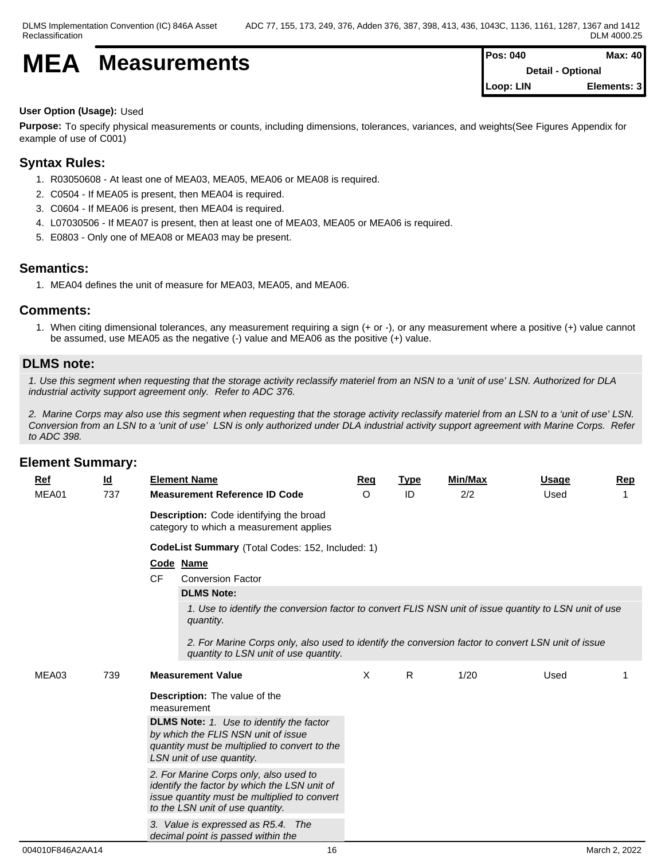$$
\textbf{MEA} \quad \textbf{Measurements} \quad \textcolor{red}{\left\| \begin{matrix} \text{Pos: 040} \\ \text{Detail - Optional} \end{matrix} \right\|} \quad \textcolor{red}{\left\| \begin{matrix} \text{Pos: 040} \\ \text{Detail - Optional} \end{matrix} \right\|} \quad \textcolor{red}{\left\| \begin{matrix} \text{Max: 40} \\ \text{D} \end{matrix} \right\|} \quad \textcolor{red}{\left\| \begin{matrix} \text{Discrete 0.040} \\ \text{Discrete 0.040} \end{matrix} \right\|} \quad \textcolor{red}{\left\| \begin{matrix} \text{Discrete 0.040} \\ \text{Discrete 0.040} \end{matrix} \right\|} \quad \textcolor{red}{\left\| \begin{matrix} \text{Discrete 0.040} \\ \text{Discrete 0.040} \end{matrix} \right\|} \quad \textcolor{red}{\left\| \begin{matrix} \text{Discrete 0.040} \\ \text{Discrete 0.040} \end{matrix} \right\|} \quad \textcolor{red}{\left\| \begin{matrix} \text{Discrete 0.040} \\ \text{Discrete 0.040} \end{matrix} \right\|} \quad \textcolor{red}{\left\| \begin{matrix} \text{Discrete 0.040} \\ \text{Discrete 0.040} \end{matrix} \right\|} \quad \textcolor{red}{\left\| \begin{matrix} \text{Discrete 0.040} \\ \text{Discrete 0.040} \end{matrix} \right\|} \quad \textcolor{red}{\left\| \begin{matrix} \text{Discrete 0.040} \\ \text{Discrete 0.040} \end{matrix} \right\|} \quad \textcolor{red}{\left\| \begin{matrix} \text{Discrete 0.040} \\ \text{Discrete 0.040} \end{matrix} \right\|} \quad \textcolor{red}{\left\| \begin{matrix} \text{Discrete 0.040} \\ \text{Discrete 0.040} \end{matrix} \right\|} \quad \textcolor{red}{\left\| \begin{matrix} \text{Discrete 0.040} \\ \text{Discrete 0.040} \end{matrix} \right\|} \quad \textcolor{red}{\left\| \begin{matrix} \text{Discrete 0.040} \\ \text{Discrete
$$

| $Proof 040$ | Max: 40                  |
|-------------|--------------------------|
|             | <b>Detail - Optional</b> |
| Loop: LIN   | Elements: 3              |

## **User Option (Usage):** Used

**Purpose:** To specify physical measurements or counts, including dimensions, tolerances, variances, and weights(See Figures Appendix for example of use of C001)

## **Syntax Rules:**

- 1. R03050608 At least one of MEA03, MEA05, MEA06 or MEA08 is required.
- 2. C0504 If MEA05 is present, then MEA04 is required.
- 3. C0604 If MEA06 is present, then MEA04 is required.
- 4. L07030506 If MEA07 is present, then at least one of MEA03, MEA05 or MEA06 is required.
- 5. E0803 Only one of MEA08 or MEA03 may be present.

## **Semantics:**

1. MEA04 defines the unit of measure for MEA03, MEA05, and MEA06.

## **Comments:**

1. When citing dimensional tolerances, any measurement requiring a sign (+ or -), or any measurement where a positive (+) value cannot be assumed, use MEA05 as the negative (-) value and MEA06 as the positive (+) value.

## **DLMS note:**

*1. Use this segment when requesting that the storage activity reclassify materiel from an NSN to a 'unit of use' LSN. Authorized for DLA industrial activity support agreement only. Refer to ADC 376.*

*2. Marine Corps may also use this segment when requesting that the storage activity reclassify materiel from an LSN to a 'unit of use' LSN. Conversion from an LSN to a 'unit of use' LSN is only authorized under DLA industrial activity support agreement with Marine Corps. Refer to ADC 398.*

| <b>Ref</b> | $\underline{\mathsf{Id}}$ | <b>Element Name</b>                                                                                                                                                                                                         | Req | <b>Type</b>  | Min/Max | <b>Usage</b> | Rep |
|------------|---------------------------|-----------------------------------------------------------------------------------------------------------------------------------------------------------------------------------------------------------------------------|-----|--------------|---------|--------------|-----|
| MEA01      | 737                       | <b>Measurement Reference ID Code</b>                                                                                                                                                                                        | O   | ID           | 2/2     | Used         |     |
|            |                           | Description: Code identifying the broad<br>category to which a measurement applies                                                                                                                                          |     |              |         |              |     |
|            |                           | CodeList Summary (Total Codes: 152, Included: 1)                                                                                                                                                                            |     |              |         |              |     |
|            |                           | Code Name                                                                                                                                                                                                                   |     |              |         |              |     |
|            |                           | <b>CF</b><br><b>Conversion Factor</b>                                                                                                                                                                                       |     |              |         |              |     |
|            |                           | <b>DLMS Note:</b>                                                                                                                                                                                                           |     |              |         |              |     |
|            |                           | 1. Use to identify the conversion factor to convert FLIS NSN unit of issue quantity to LSN unit of use<br>quantity.                                                                                                         |     |              |         |              |     |
|            |                           | 2. For Marine Corps only, also used to identify the conversion factor to convert LSN unit of issue<br>quantity to LSN unit of use quantity.                                                                                 |     |              |         |              |     |
| MEA03      | 739                       | <b>Measurement Value</b>                                                                                                                                                                                                    | X   | $\mathsf{R}$ | 1/20    | Used         |     |
|            |                           | <b>Description:</b> The value of the<br>measurement<br><b>DLMS Note:</b> 1. Use to identify the factor<br>by which the FLIS NSN unit of issue<br>quantity must be multiplied to convert to the<br>LSN unit of use quantity. |     |              |         |              |     |
|            |                           | 2. For Marine Corps only, also used to<br>identify the factor by which the LSN unit of<br>issue quantity must be multiplied to convert<br>to the LSN unit of use quantity.                                                  |     |              |         |              |     |
|            |                           | 3. Value is expressed as R5.4. The<br>decimal point is passed within the                                                                                                                                                    |     |              |         |              |     |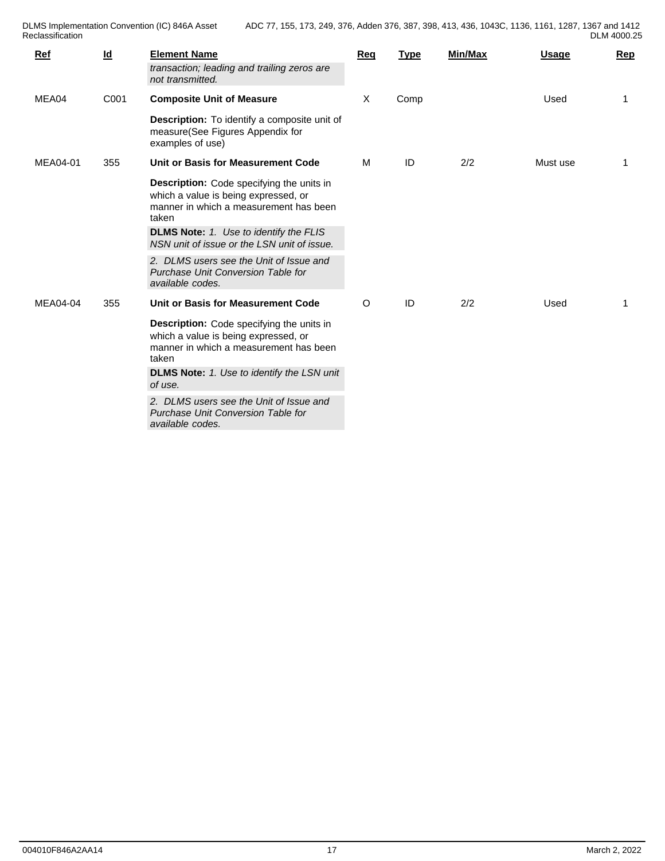DLMS Implementation Convention (IC) 846A Asset Reclassification **Reclassification** 

| 1136, 1161, 1287, 1367 and 1412 |  |             |
|---------------------------------|--|-------------|
|                                 |  | DLM 4000.25 |

| X<br>Comp<br>MEA04<br>C001<br><b>Composite Unit of Measure</b><br>Used<br>Description: To identify a composite unit of<br>measure(See Figures Appendix for<br>examples of use)<br>ID<br>2/2<br>MEA04-01<br>Unit or Basis for Measurement Code<br>м<br>355<br>Must use<br>1<br><b>Description:</b> Code specifying the units in<br>which a value is being expressed, or<br>manner in which a measurement has been<br>taken<br><b>DLMS Note:</b> 1. Use to identify the FLIS<br>NSN unit of issue or the LSN unit of issue.<br>2. DLMS users see the Unit of Issue and<br>Purchase Unit Conversion Table for<br>available codes.<br>2/2<br>MEA04-04<br>Unit or Basis for Measurement Code<br>ID<br>O<br>Used<br>355<br>Description: Code specifying the units in<br>which a value is being expressed, or<br>manner in which a measurement has been<br>taken<br><b>DLMS Note:</b> 1. Use to identify the LSN unit<br>of use.<br>2. DLMS users see the Unit of Issue and<br>Purchase Unit Conversion Table for<br>available codes. | Ref | $\underline{\mathsf{Id}}$ | <b>Element Name</b><br>transaction; leading and trailing zeros are<br>not transmitted. | <b>Req</b> | <b>Type</b> | Min/Max | Usage | Rep |
|--------------------------------------------------------------------------------------------------------------------------------------------------------------------------------------------------------------------------------------------------------------------------------------------------------------------------------------------------------------------------------------------------------------------------------------------------------------------------------------------------------------------------------------------------------------------------------------------------------------------------------------------------------------------------------------------------------------------------------------------------------------------------------------------------------------------------------------------------------------------------------------------------------------------------------------------------------------------------------------------------------------------------------|-----|---------------------------|----------------------------------------------------------------------------------------|------------|-------------|---------|-------|-----|
|                                                                                                                                                                                                                                                                                                                                                                                                                                                                                                                                                                                                                                                                                                                                                                                                                                                                                                                                                                                                                                |     |                           |                                                                                        |            |             |         |       |     |
|                                                                                                                                                                                                                                                                                                                                                                                                                                                                                                                                                                                                                                                                                                                                                                                                                                                                                                                                                                                                                                |     |                           |                                                                                        |            |             |         |       |     |
|                                                                                                                                                                                                                                                                                                                                                                                                                                                                                                                                                                                                                                                                                                                                                                                                                                                                                                                                                                                                                                |     |                           |                                                                                        |            |             |         |       |     |
|                                                                                                                                                                                                                                                                                                                                                                                                                                                                                                                                                                                                                                                                                                                                                                                                                                                                                                                                                                                                                                |     |                           |                                                                                        |            |             |         |       |     |
|                                                                                                                                                                                                                                                                                                                                                                                                                                                                                                                                                                                                                                                                                                                                                                                                                                                                                                                                                                                                                                |     |                           |                                                                                        |            |             |         |       |     |
|                                                                                                                                                                                                                                                                                                                                                                                                                                                                                                                                                                                                                                                                                                                                                                                                                                                                                                                                                                                                                                |     |                           |                                                                                        |            |             |         |       |     |
|                                                                                                                                                                                                                                                                                                                                                                                                                                                                                                                                                                                                                                                                                                                                                                                                                                                                                                                                                                                                                                |     |                           |                                                                                        |            |             |         |       |     |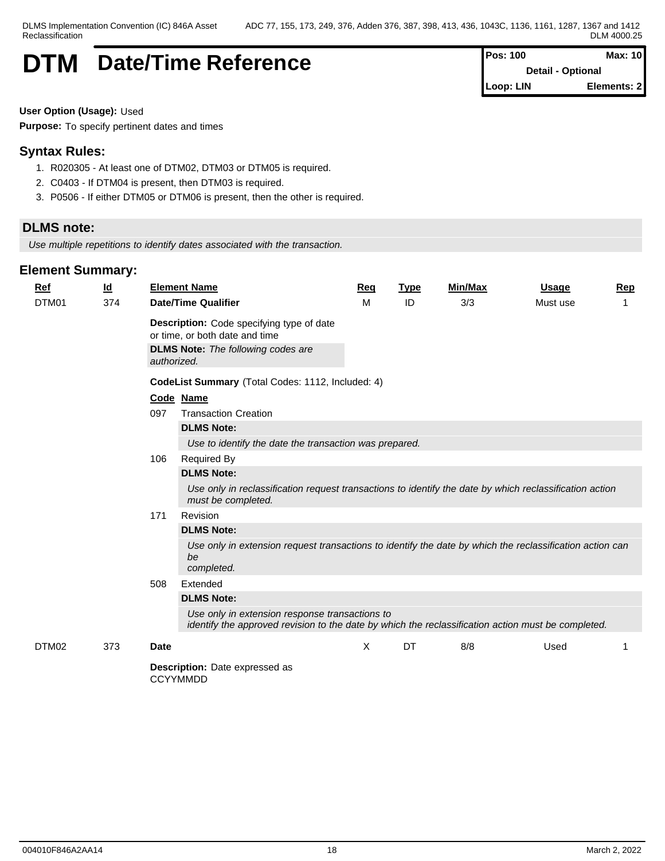# **DTM** Date/Time Reference **Pos: 100** Max: 10

**Detail - Optional Loop: LIN Elements: 2**

**User Option (Usage):** Used

**Purpose:** To specify pertinent dates and times

## **Syntax Rules:**

- 1. R020305 At least one of DTM02, DTM03 or DTM05 is required.
- 2. C0403 If DTM04 is present, then DTM03 is required.
- 3. P0506 If either DTM05 or DTM06 is present, then the other is required.

## **DLMS note:**

*Use multiple repetitions to identify dates associated with the transaction.*

| <u>Ref</u> | $\underline{\mathsf{Id}}$ |             | <b>Element Name</b>                                                                                                                                                                                                                                                           | Req | <b>Type</b> | Min/Max | <u>Usage</u> | <b>Rep</b> |
|------------|---------------------------|-------------|-------------------------------------------------------------------------------------------------------------------------------------------------------------------------------------------------------------------------------------------------------------------------------|-----|-------------|---------|--------------|------------|
| DTM01      | 374                       |             | <b>Date/Time Qualifier</b>                                                                                                                                                                                                                                                    | M   | ID          | 3/3     | Must use     | 1          |
|            |                           | authorized. | Description: Code specifying type of date<br>or time, or both date and time<br><b>DLMS Note:</b> The following codes are                                                                                                                                                      |     |             |         |              |            |
|            |                           |             | CodeList Summary (Total Codes: 1112, Included: 4)                                                                                                                                                                                                                             |     |             |         |              |            |
|            |                           | 097<br>106  | Code Name<br><b>Transaction Creation</b><br><b>DLMS Note:</b><br>Use to identify the date the transaction was prepared.<br><b>Required By</b><br><b>DLMS Note:</b><br>Use only in reclassification request transactions to identify the date by which reclassification action |     |             |         |              |            |
|            |                           | 171         | must be completed.<br>Revision<br><b>DLMS Note:</b><br>Use only in extension request transactions to identify the date by which the reclassification action can<br>be<br>completed.                                                                                           |     |             |         |              |            |
|            |                           | 508         | Extended<br><b>DLMS Note:</b><br>Use only in extension response transactions to<br>identify the approved revision to the date by which the reclassification action must be completed.                                                                                         |     |             |         |              |            |
| DTM02      | 373                       | <b>Date</b> | <b>Description:</b> Date expressed as<br><b>CCYYMMDD</b>                                                                                                                                                                                                                      | X   | DT          | 8/8     | Used         | 1          |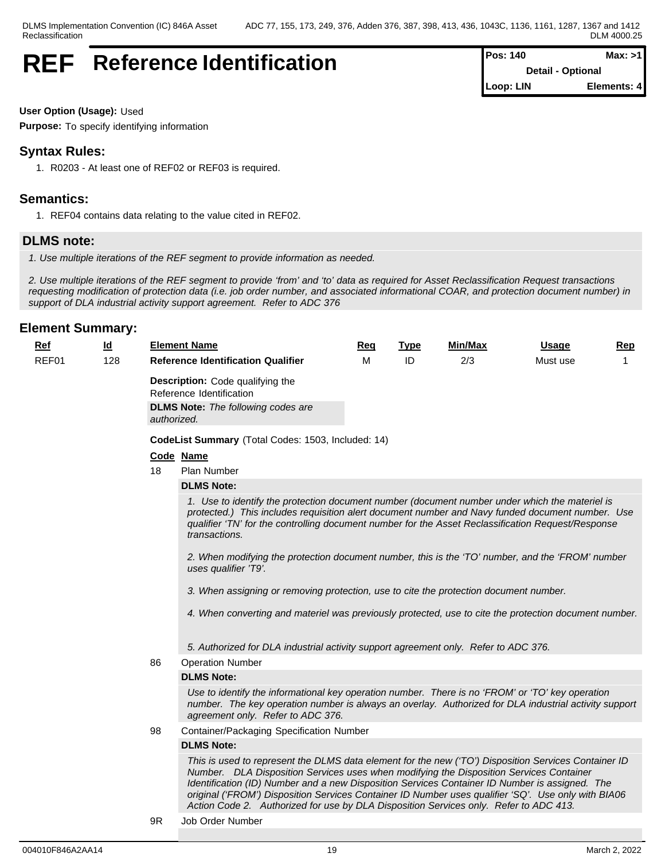## **REF** Reference Identification

| <b>Pos: 140</b> | Max: >11                 |
|-----------------|--------------------------|
|                 | <b>Detail - Optional</b> |
| Loop: LIN       | Elements: 4              |

**User Option (Usage):** Used

**Purpose:** To specify identifying information

## **Syntax Rules:**

1. R0203 - At least one of REF02 or REF03 is required.

## **Semantics:**

1. REF04 contains data relating to the value cited in REF02.

## **DLMS note:**

*1. Use multiple iterations of the REF segment to provide information as needed.*

*2. Use multiple iterations of the REF segment to provide 'from' and 'to' data as required for Asset Reclassification Request transactions requesting modification of protection data (i.e. job order number, and associated informational COAR, and protection document number) in support of DLA industrial activity support agreement. Refer to ADC 376*

### **Element Summary:**

| Ref   | $\underline{\mathsf{Id}}$ | <b>Element Name</b>                                                                                                                                                                                                                                                                                                                                                                                                                                                                               | Req | <b>Type</b> | Min/Max | <u>Usage</u> | <b>Rep</b> |
|-------|---------------------------|---------------------------------------------------------------------------------------------------------------------------------------------------------------------------------------------------------------------------------------------------------------------------------------------------------------------------------------------------------------------------------------------------------------------------------------------------------------------------------------------------|-----|-------------|---------|--------------|------------|
| REF01 | 128                       | <b>Reference Identification Qualifier</b>                                                                                                                                                                                                                                                                                                                                                                                                                                                         | M   | ID          | 2/3     | Must use     |            |
|       |                           | <b>Description:</b> Code qualifying the<br>Reference Identification                                                                                                                                                                                                                                                                                                                                                                                                                               |     |             |         |              |            |
|       |                           | <b>DLMS Note:</b> The following codes are<br>authorized.                                                                                                                                                                                                                                                                                                                                                                                                                                          |     |             |         |              |            |
|       |                           | CodeList Summary (Total Codes: 1503, Included: 14)                                                                                                                                                                                                                                                                                                                                                                                                                                                |     |             |         |              |            |
|       |                           | Code Name                                                                                                                                                                                                                                                                                                                                                                                                                                                                                         |     |             |         |              |            |
|       |                           | 18<br><b>Plan Number</b>                                                                                                                                                                                                                                                                                                                                                                                                                                                                          |     |             |         |              |            |
|       |                           | <b>DLMS Note:</b>                                                                                                                                                                                                                                                                                                                                                                                                                                                                                 |     |             |         |              |            |
|       |                           | 1. Use to identify the protection document number (document number under which the materiel is<br>protected.) This includes requisition alert document number and Navy funded document number. Use<br>qualifier 'TN' for the controlling document number for the Asset Reclassification Request/Response<br>transactions.<br>2. When modifying the protection document number, this is the 'TO' number, and the 'FROM' number<br>uses qualifier 'T9'.                                             |     |             |         |              |            |
|       |                           | 3. When assigning or removing protection, use to cite the protection document number.<br>4. When converting and materiel was previously protected, use to cite the protection document number.                                                                                                                                                                                                                                                                                                    |     |             |         |              |            |
|       |                           | 5. Authorized for DLA industrial activity support agreement only. Refer to ADC 376.                                                                                                                                                                                                                                                                                                                                                                                                               |     |             |         |              |            |
|       |                           | 86<br><b>Operation Number</b>                                                                                                                                                                                                                                                                                                                                                                                                                                                                     |     |             |         |              |            |
|       |                           | <b>DLMS Note:</b>                                                                                                                                                                                                                                                                                                                                                                                                                                                                                 |     |             |         |              |            |
|       |                           | Use to identify the informational key operation number. There is no 'FROM' or 'TO' key operation<br>number. The key operation number is always an overlay. Authorized for DLA industrial activity support<br>agreement only. Refer to ADC 376.                                                                                                                                                                                                                                                    |     |             |         |              |            |
|       |                           | 98<br>Container/Packaging Specification Number                                                                                                                                                                                                                                                                                                                                                                                                                                                    |     |             |         |              |            |
|       |                           | <b>DLMS Note:</b>                                                                                                                                                                                                                                                                                                                                                                                                                                                                                 |     |             |         |              |            |
|       |                           | This is used to represent the DLMS data element for the new ('TO') Disposition Services Container ID<br>Number. DLA Disposition Services uses when modifying the Disposition Services Container<br>Identification (ID) Number and a new Disposition Services Container ID Number is assigned. The<br>original ('FROM') Disposition Services Container ID Number uses qualifier 'SQ'. Use only with BIA06<br>Action Code 2. Authorized for use by DLA Disposition Services only. Refer to ADC 413. |     |             |         |              |            |
|       |                           |                                                                                                                                                                                                                                                                                                                                                                                                                                                                                                   |     |             |         |              |            |

9R Job Order Number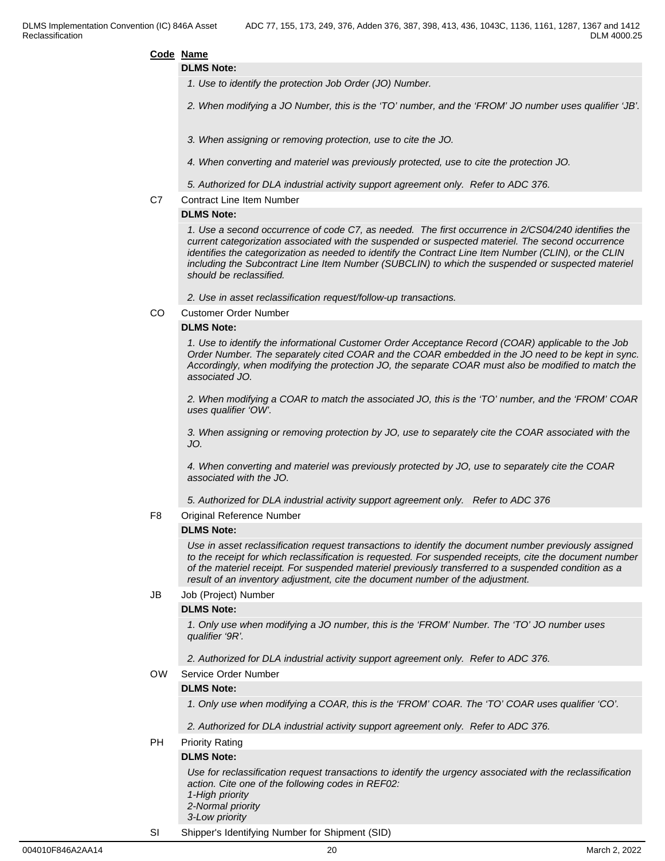**DLMS Note:**

- *1. Use to identify the protection Job Order (JO) Number.*
- *2. When modifying a JO Number, this is the 'TO' number, and the 'FROM' JO number uses qualifier 'JB'.*
- *3. When assigning or removing protection, use to cite the JO.*
- *4. When converting and materiel was previously protected, use to cite the protection JO.*
- *5. Authorized for DLA industrial activity support agreement only. Refer to ADC 376.*
- C7 Contract Line Item Number

#### **DLMS Note:**

*1. Use a second occurrence of code C7, as needed. The first occurrence in 2/CS04/240 identifies the current categorization associated with the suspended or suspected materiel. The second occurrence identifies the categorization as needed to identify the Contract Line Item Number (CLIN), or the CLIN including the Subcontract Line Item Number (SUBCLIN) to which the suspended or suspected materiel should be reclassified.*

*2. Use in asset reclassification request/follow-up transactions.*

CO Customer Order Number

#### **DLMS Note:**

*1. Use to identify the informational Customer Order Acceptance Record (COAR) applicable to the Job Order Number. The separately cited COAR and the COAR embedded in the JO need to be kept in sync. Accordingly, when modifying the protection JO, the separate COAR must also be modified to match the associated JO.* 

*2. When modifying a COAR to match the associated JO, this is the 'TO' number, and the 'FROM' COAR uses qualifier 'OW'.* 

*3. When assigning or removing protection by JO, use to separately cite the COAR associated with the JO.* 

*4. When converting and materiel was previously protected by JO, use to separately cite the COAR associated with the JO.*

*5. Authorized for DLA industrial activity support agreement only. Refer to ADC 376* 

F8 Original Reference Number

## **DLMS Note:**

*Use in asset reclassification request transactions to identify the document number previously assigned to the receipt for which reclassification is requested. For suspended receipts, cite the document number of the materiel receipt. For suspended materiel previously transferred to a suspended condition as a result of an inventory adjustment, cite the document number of the adjustment.*

JB Job (Project) Number

#### **DLMS Note:**

*1. Only use when modifying a JO number, this is the 'FROM' Number. The 'TO' JO number uses qualifier '9R'.* 

*2. Authorized for DLA industrial activity support agreement only. Refer to ADC 376.*

#### OW Service Order Number

### **DLMS Note:**

*1. Only use when modifying a COAR, this is the 'FROM' COAR. The 'TO' COAR uses qualifier 'CO'.*

*2. Authorized for DLA industrial activity support agreement only. Refer to ADC 376.*

PH Priority Rating

#### **DLMS Note:**

*Use for reclassification request transactions to identify the urgency associated with the reclassification action. Cite one of the following codes in REF02: 1-High priority 2-Normal priority 3-Low priority*

SI Shipper's Identifying Number for Shipment (SID)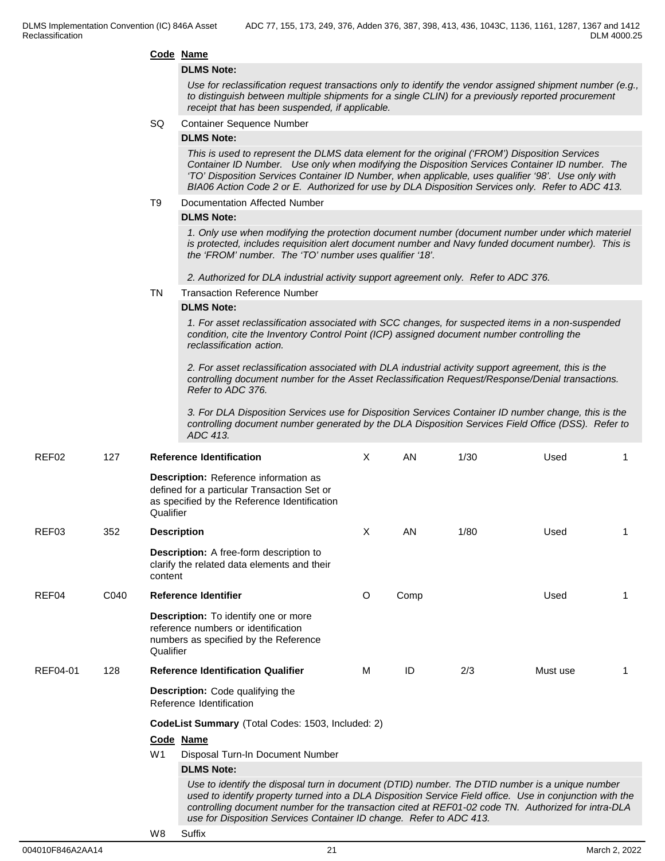#### **DLMS Note:**

*Use for reclassification request transactions only to identify the vendor assigned shipment number (e.g., to distinguish between multiple shipments for a single CLIN) for a previously reported procurement receipt that has been suspended, if applicable.*

#### SQ Container Sequence Number

#### **DLMS Note:**

*This is used to represent the DLMS data element for the original ('FROM') Disposition Services Container ID Number. Use only when modifying the Disposition Services Container ID number. The 'TO' Disposition Services Container ID Number, when applicable, uses qualifier '98'. Use only with BIA06 Action Code 2 or E. Authorized for use by DLA Disposition Services only. Refer to ADC 413.*

#### T9 Documentation Affected Number

#### **DLMS Note:**

*1. Only use when modifying the protection document number (document number under which materiel is protected, includes requisition alert document number and Navy funded document number). This is the 'FROM' number. The 'TO' number uses qualifier '18'.*

*2. Authorized for DLA industrial activity support agreement only. Refer to ADC 376.*

TN Transaction Reference Number

#### **DLMS Note:**

*1. For asset reclassification associated with SCC changes, for suspected items in a non-suspended condition, cite the Inventory Control Point (ICP) assigned document number controlling the reclassification action.*

*2. For asset reclassification associated with DLA industrial activity support agreement, this is the controlling document number for the Asset Reclassification Request/Response/Denial transactions. Refer to ADC 376.*

*3. For DLA Disposition Services use for Disposition Services Container ID number change, this is the controlling document number generated by the DLA Disposition Services Field Office (DSS). Refer to ADC 413.*

| REF02    | 127  |                | <b>Reference Identification</b>                                                                                                                                                                                                                                                                                                                                                            | X | AN   | 1/30 | Used     |   |
|----------|------|----------------|--------------------------------------------------------------------------------------------------------------------------------------------------------------------------------------------------------------------------------------------------------------------------------------------------------------------------------------------------------------------------------------------|---|------|------|----------|---|
|          |      | Qualifier      | <b>Description:</b> Reference information as<br>defined for a particular Transaction Set or<br>as specified by the Reference Identification                                                                                                                                                                                                                                                |   |      |      |          |   |
| REF03    | 352  |                | <b>Description</b>                                                                                                                                                                                                                                                                                                                                                                         | X | AN   | 1/80 | Used     |   |
|          |      | content        | <b>Description:</b> A free-form description to<br>clarify the related data elements and their                                                                                                                                                                                                                                                                                              |   |      |      |          |   |
| REF04    | C040 |                | <b>Reference Identifier</b>                                                                                                                                                                                                                                                                                                                                                                | O | Comp |      | Used     | 1 |
|          |      | Qualifier      | <b>Description:</b> To identify one or more<br>reference numbers or identification<br>numbers as specified by the Reference                                                                                                                                                                                                                                                                |   |      |      |          |   |
| REF04-01 | 128  |                | <b>Reference Identification Qualifier</b>                                                                                                                                                                                                                                                                                                                                                  | M | ID   | 2/3  | Must use |   |
|          |      |                | <b>Description:</b> Code qualifying the<br>Reference Identification                                                                                                                                                                                                                                                                                                                        |   |      |      |          |   |
|          |      |                | CodeList Summary (Total Codes: 1503, Included: 2)                                                                                                                                                                                                                                                                                                                                          |   |      |      |          |   |
|          |      |                | Code Name                                                                                                                                                                                                                                                                                                                                                                                  |   |      |      |          |   |
|          |      | W <sub>1</sub> | Disposal Turn-In Document Number                                                                                                                                                                                                                                                                                                                                                           |   |      |      |          |   |
|          |      |                | <b>DLMS Note:</b>                                                                                                                                                                                                                                                                                                                                                                          |   |      |      |          |   |
|          |      |                | Use to identify the disposal turn in document (DTID) number. The DTID number is a unique number<br>used to identify property turned into a DLA Disposition Service Field office. Use in conjunction with the<br>controlling document number for the transaction cited at REF01-02 code TN. Authorized for intra-DLA<br>use for Disposition Services Container ID change. Refer to ADC 413. |   |      |      |          |   |
|          |      | 1110           | $\sim$ $\sim$                                                                                                                                                                                                                                                                                                                                                                              |   |      |      |          |   |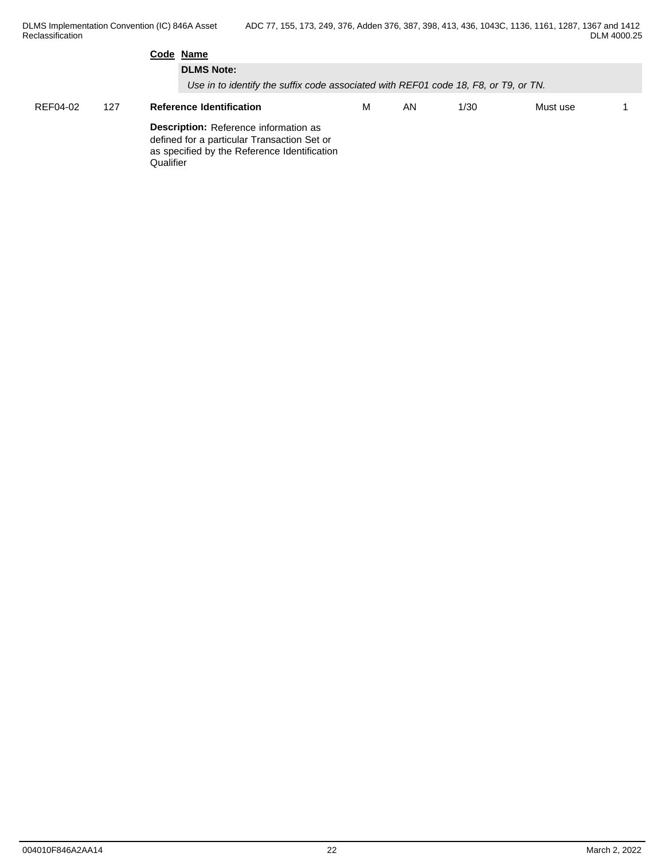DLMS Implementation Convention (IC) 846A Asset Reclassification **Reclassification** ADC 77, 155, 173, 249, 376, Adden 376, 387, 398, 413, 436, 1043C, 1136, 1161, 1287, 1367 and 1412 DLM 4000.25

|          |     | Code Name                                                                                                                                         |   |    |      |          |  |
|----------|-----|---------------------------------------------------------------------------------------------------------------------------------------------------|---|----|------|----------|--|
|          |     | <b>DLMS Note:</b><br>Use in to identify the suffix code associated with REF01 code 18, F8, or T9, or TN.                                          |   |    |      |          |  |
| REF04-02 | 127 | <b>Reference Identification</b>                                                                                                                   | м | AN | 1/30 | Must use |  |
|          |     | Description: Reference information as<br>defined for a particular Transaction Set or<br>as specified by the Reference Identification<br>Qualifier |   |    |      |          |  |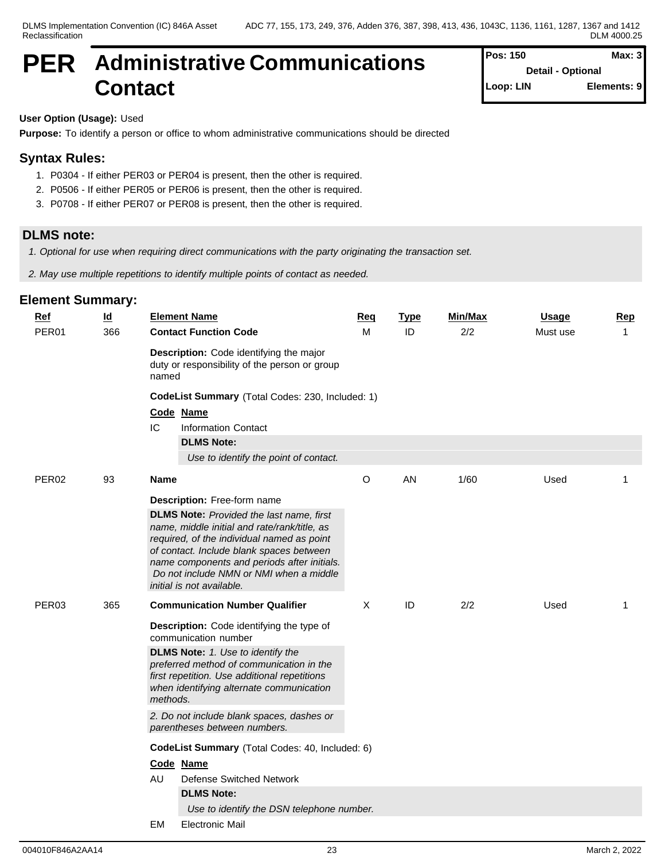## **PER Administrative Communications Contact**

| Pos: 150  | Max: 3                   |
|-----------|--------------------------|
|           | <b>Detail - Optional</b> |
| Loop: LIN | Elements: 9              |

## **User Option (Usage):** Used

**Purpose:** To identify a person or office to whom administrative communications should be directed

## **Syntax Rules:**

- 1. P0304 If either PER03 or PER04 is present, then the other is required.
- 2. P0506 If either PER05 or PER06 is present, then the other is required.
- 3. P0708 If either PER07 or PER08 is present, then the other is required.

## **DLMS note:**

*1. Optional for use when requiring direct communications with the party originating the transaction set.*

*2. May use multiple repetitions to identify multiple points of contact as needed.*

| <u>Ref</u>        | <u>ld</u> | <b>Element Name</b>                                  |                                                                                                                                                                                                                                                                                     | <u>Req</u> | <b>Type</b> | Min/Max | <b>Usage</b> | Rep          |
|-------------------|-----------|------------------------------------------------------|-------------------------------------------------------------------------------------------------------------------------------------------------------------------------------------------------------------------------------------------------------------------------------------|------------|-------------|---------|--------------|--------------|
| PER01             | 366       | <b>Contact Function Code</b>                         |                                                                                                                                                                                                                                                                                     | M          | ID          | 2/2     | Must use     | $\mathbf{1}$ |
|                   |           | named                                                | Description: Code identifying the major<br>duty or responsibility of the person or group                                                                                                                                                                                            |            |             |         |              |              |
|                   |           |                                                      | CodeList Summary (Total Codes: 230, Included: 1)                                                                                                                                                                                                                                    |            |             |         |              |              |
|                   |           | Code Name                                            |                                                                                                                                                                                                                                                                                     |            |             |         |              |              |
|                   |           | IC<br><b>Information Contact</b>                     |                                                                                                                                                                                                                                                                                     |            |             |         |              |              |
|                   |           | <b>DLMS Note:</b>                                    |                                                                                                                                                                                                                                                                                     |            |             |         |              |              |
|                   |           |                                                      | Use to identify the point of contact.                                                                                                                                                                                                                                               |            |             |         |              |              |
| PER <sub>02</sub> | 93        | Name                                                 |                                                                                                                                                                                                                                                                                     | O          | AN          | 1/60    | Used         | 1            |
|                   |           | Description: Free-form name                          |                                                                                                                                                                                                                                                                                     |            |             |         |              |              |
|                   |           | initial is not available.                            | <b>DLMS Note:</b> Provided the last name, first<br>name, middle initial and rate/rank/title, as<br>required, of the individual named as point<br>of contact. Include blank spaces between<br>name components and periods after initials.<br>Do not include NMN or NMI when a middle |            |             |         |              |              |
| PER03             | 365       |                                                      | <b>Communication Number Qualifier</b>                                                                                                                                                                                                                                               | Χ          | ID          | 2/2     | Used         | 1            |
|                   |           | communication number                                 | Description: Code identifying the type of                                                                                                                                                                                                                                           |            |             |         |              |              |
|                   |           | <b>DLMS Note:</b> 1. Use to identify the<br>methods. | preferred method of communication in the<br>first repetition. Use additional repetitions<br>when identifying alternate communication                                                                                                                                                |            |             |         |              |              |
|                   |           | parentheses between numbers.                         | 2. Do not include blank spaces, dashes or                                                                                                                                                                                                                                           |            |             |         |              |              |
|                   |           |                                                      | CodeList Summary (Total Codes: 40, Included: 6)                                                                                                                                                                                                                                     |            |             |         |              |              |
|                   |           | Code Name                                            |                                                                                                                                                                                                                                                                                     |            |             |         |              |              |
|                   |           | AU                                                   | <b>Defense Switched Network</b>                                                                                                                                                                                                                                                     |            |             |         |              |              |
|                   |           | <b>DLMS Note:</b>                                    |                                                                                                                                                                                                                                                                                     |            |             |         |              |              |
|                   |           |                                                      | Use to identify the DSN telephone number.                                                                                                                                                                                                                                           |            |             |         |              |              |
|                   |           | EM<br><b>Electronic Mail</b>                         |                                                                                                                                                                                                                                                                                     |            |             |         |              |              |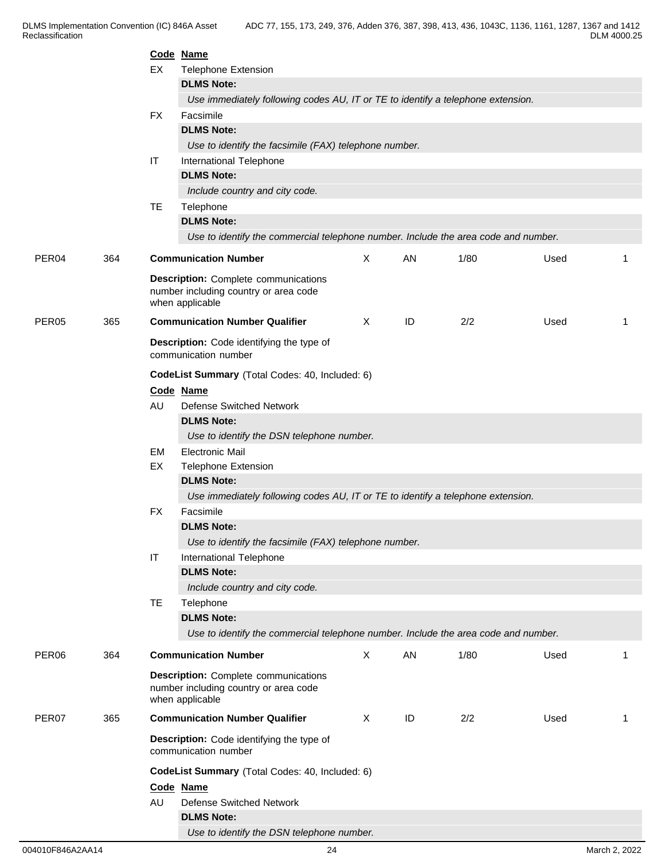|                   |     |           | Code Name                                                                                               |              |    |      |      |    |
|-------------------|-----|-----------|---------------------------------------------------------------------------------------------------------|--------------|----|------|------|----|
|                   |     | EX        | <b>Telephone Extension</b>                                                                              |              |    |      |      |    |
|                   |     |           | <b>DLMS Note:</b>                                                                                       |              |    |      |      |    |
|                   |     |           | Use immediately following codes AU, IT or TE to identify a telephone extension.                         |              |    |      |      |    |
|                   |     | <b>FX</b> | Facsimile                                                                                               |              |    |      |      |    |
|                   |     |           | <b>DLMS Note:</b>                                                                                       |              |    |      |      |    |
|                   |     |           | Use to identify the facsimile (FAX) telephone number.                                                   |              |    |      |      |    |
|                   |     | IT        | International Telephone                                                                                 |              |    |      |      |    |
|                   |     |           | <b>DLMS Note:</b>                                                                                       |              |    |      |      |    |
|                   |     |           | Include country and city code.                                                                          |              |    |      |      |    |
|                   |     | <b>TE</b> | Telephone                                                                                               |              |    |      |      |    |
|                   |     |           | <b>DLMS Note:</b>                                                                                       |              |    |      |      |    |
|                   |     |           | Use to identify the commercial telephone number. Include the area code and number.                      |              |    |      |      |    |
| PER <sub>04</sub> | 364 |           | <b>Communication Number</b>                                                                             | $\mathsf{X}$ | AN | 1/80 | Used | -1 |
|                   |     |           | <b>Description:</b> Complete communications<br>number including country or area code<br>when applicable |              |    |      |      |    |
| PER05             | 365 |           | <b>Communication Number Qualifier</b>                                                                   | Χ            | ID | 2/2  | Used | -1 |
|                   |     |           | Description: Code identifying the type of<br>communication number                                       |              |    |      |      |    |
|                   |     |           | CodeList Summary (Total Codes: 40, Included: 6)                                                         |              |    |      |      |    |
|                   |     |           | Code Name                                                                                               |              |    |      |      |    |
|                   |     | AU        | Defense Switched Network                                                                                |              |    |      |      |    |
|                   |     |           | <b>DLMS Note:</b>                                                                                       |              |    |      |      |    |
|                   |     |           | Use to identify the DSN telephone number.                                                               |              |    |      |      |    |
|                   |     | <b>EM</b> | <b>Electronic Mail</b>                                                                                  |              |    |      |      |    |
|                   |     | EX        | <b>Telephone Extension</b>                                                                              |              |    |      |      |    |
|                   |     |           | <b>DLMS Note:</b>                                                                                       |              |    |      |      |    |
|                   |     |           | Use immediately following codes AU, IT or TE to identify a telephone extension.                         |              |    |      |      |    |
|                   |     | FX        | Facsimile                                                                                               |              |    |      |      |    |
|                   |     |           | <b>DLMS Note:</b>                                                                                       |              |    |      |      |    |
|                   |     |           | Use to identify the facsimile (FAX) telephone number.                                                   |              |    |      |      |    |
|                   |     | IT        | International Telephone<br><b>DLMS Note:</b>                                                            |              |    |      |      |    |
|                   |     |           | Include country and city code.                                                                          |              |    |      |      |    |
|                   |     | TE        | Telephone                                                                                               |              |    |      |      |    |
|                   |     |           | <b>DLMS Note:</b>                                                                                       |              |    |      |      |    |
|                   |     |           | Use to identify the commercial telephone number. Include the area code and number.                      |              |    |      |      |    |
|                   |     |           |                                                                                                         |              |    |      |      |    |
| PER <sub>06</sub> | 364 |           | <b>Communication Number</b>                                                                             | X            | AN | 1/80 | Used | -1 |
|                   |     |           | <b>Description:</b> Complete communications<br>number including country or area code<br>when applicable |              |    |      |      |    |
| PER07             | 365 |           | <b>Communication Number Qualifier</b>                                                                   | X            | ID | 2/2  | Used | -1 |
|                   |     |           | Description: Code identifying the type of<br>communication number                                       |              |    |      |      |    |
|                   |     |           | CodeList Summary (Total Codes: 40, Included: 6)                                                         |              |    |      |      |    |
|                   |     |           | Code Name                                                                                               |              |    |      |      |    |
|                   |     | AU        | <b>Defense Switched Network</b>                                                                         |              |    |      |      |    |
|                   |     |           | <b>DLMS Note:</b>                                                                                       |              |    |      |      |    |
|                   |     |           | Use to identify the DSN telephone number.                                                               |              |    |      |      |    |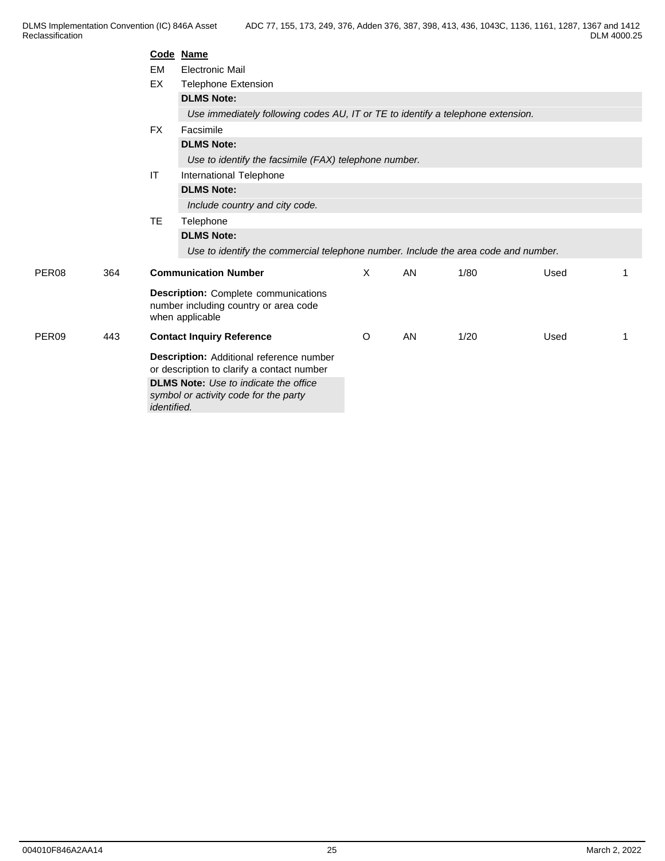DLMS Implementation Convention (IC) 846A Asset Reclassification **Reclassification** ADC 77, 155, 173, 249, 376, Adden 376, 387, 398, 413, 436, 1043C, 1136, 1161, 1287, 1367 and 1412 DLM 4000.25

|                   |     |                    | Code Name                                                                                               |   |    |      |      |    |
|-------------------|-----|--------------------|---------------------------------------------------------------------------------------------------------|---|----|------|------|----|
|                   |     | EM                 | <b>Electronic Mail</b>                                                                                  |   |    |      |      |    |
|                   |     | EX                 | <b>Telephone Extension</b>                                                                              |   |    |      |      |    |
|                   |     |                    | <b>DLMS Note:</b>                                                                                       |   |    |      |      |    |
|                   |     |                    | Use immediately following codes AU, IT or TE to identify a telephone extension.                         |   |    |      |      |    |
|                   |     | <b>FX</b>          | Facsimile                                                                                               |   |    |      |      |    |
|                   |     |                    | <b>DLMS Note:</b>                                                                                       |   |    |      |      |    |
|                   |     |                    | Use to identify the facsimile (FAX) telephone number.                                                   |   |    |      |      |    |
|                   |     | IT                 | International Telephone                                                                                 |   |    |      |      |    |
|                   |     |                    | <b>DLMS Note:</b>                                                                                       |   |    |      |      |    |
|                   |     |                    | Include country and city code.                                                                          |   |    |      |      |    |
|                   |     | TE.                | Telephone                                                                                               |   |    |      |      |    |
|                   |     |                    | <b>DLMS Note:</b>                                                                                       |   |    |      |      |    |
|                   |     |                    | Use to identify the commercial telephone number. Include the area code and number.                      |   |    |      |      |    |
| PER <sub>08</sub> | 364 |                    | <b>Communication Number</b>                                                                             | X | AN | 1/80 | Used |    |
|                   |     |                    | <b>Description:</b> Complete communications<br>number including country or area code<br>when applicable |   |    |      |      |    |
| PER <sub>09</sub> | 443 |                    | <b>Contact Inquiry Reference</b>                                                                        | O | AN | 1/20 | Used | -1 |
|                   |     |                    | Description: Additional reference number<br>or description to clarify a contact number                  |   |    |      |      |    |
|                   |     |                    | <b>DLMS Note:</b> Use to indicate the office                                                            |   |    |      |      |    |
|                   |     | <i>identified.</i> | symbol or activity code for the party                                                                   |   |    |      |      |    |
|                   |     |                    |                                                                                                         |   |    |      |      |    |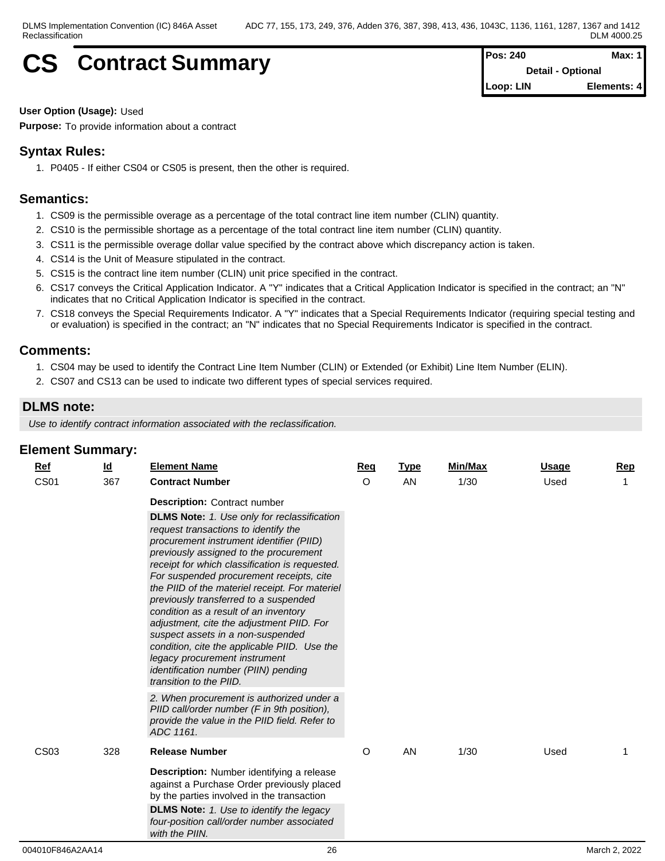# **CS** Contract Summary **Pos: 240 Pos: 240 Max: 1 Pos: 240 Max: 1**

**Detail - Optional Loop: LIN Elements: 4**

**User Option (Usage):** Used

**Purpose:** To provide information about a contract

## **Syntax Rules:**

1. P0405 - If either CS04 or CS05 is present, then the other is required.

## **Semantics:**

- 1. CS09 is the permissible overage as a percentage of the total contract line item number (CLIN) quantity.
- 2. CS10 is the permissible shortage as a percentage of the total contract line item number (CLIN) quantity.
- 3. CS11 is the permissible overage dollar value specified by the contract above which discrepancy action is taken.
- 4. CS14 is the Unit of Measure stipulated in the contract.
- 5. CS15 is the contract line item number (CLIN) unit price specified in the contract.
- 6. CS17 conveys the Critical Application Indicator. A "Y" indicates that a Critical Application Indicator is specified in the contract; an "N" indicates that no Critical Application Indicator is specified in the contract.
- 7. CS18 conveys the Special Requirements Indicator. A "Y" indicates that a Special Requirements Indicator (requiring special testing and or evaluation) is specified in the contract; an "N" indicates that no Special Requirements Indicator is specified in the contract.

## **Comments:**

- 1. CS04 may be used to identify the Contract Line Item Number (CLIN) or Extended (or Exhibit) Line Item Number (ELIN).
- 2. CS07 and CS13 can be used to indicate two different types of special services required.

## **DLMS note:**

*Use to identify contract information associated with the reclassification.*

| $\blacksquare$ Eiement Juminiary. |                           |                                                                                                                                                                                                                                                                                                                                                                                                                                                                                                                                             |         |             |         |              |            |
|-----------------------------------|---------------------------|---------------------------------------------------------------------------------------------------------------------------------------------------------------------------------------------------------------------------------------------------------------------------------------------------------------------------------------------------------------------------------------------------------------------------------------------------------------------------------------------------------------------------------------------|---------|-------------|---------|--------------|------------|
| $Ref$                             | $\underline{\mathsf{Id}}$ | <b>Element Name</b>                                                                                                                                                                                                                                                                                                                                                                                                                                                                                                                         | Req     | <b>Type</b> | Min/Max | <u>Usage</u> | <b>Rep</b> |
| <b>CS01</b>                       | 367                       | <b>Contract Number</b>                                                                                                                                                                                                                                                                                                                                                                                                                                                                                                                      | O       | AN          | 1/30    | Used         | 1          |
|                                   |                           | <b>Description:</b> Contract number<br><b>DLMS Note:</b> 1. Use only for reclassification<br>request transactions to identify the<br>procurement instrument identifier (PIID)<br>previously assigned to the procurement<br>receipt for which classification is requested.<br>For suspended procurement receipts, cite<br>the PIID of the materiel receipt. For materiel<br>previously transferred to a suspended<br>condition as a result of an inventory<br>adjustment, cite the adjustment PIID. For<br>suspect assets in a non-suspended |         |             |         |              |            |
|                                   |                           | condition, cite the applicable PIID. Use the<br>legacy procurement instrument<br>identification number (PIIN) pending<br>transition to the PIID.<br>2. When procurement is authorized under a<br>PIID call/order number (F in 9th position),<br>provide the value in the PIID field. Refer to<br>ADC 1161.                                                                                                                                                                                                                                  |         |             |         |              |            |
| <b>CS03</b>                       | 328                       | <b>Release Number</b>                                                                                                                                                                                                                                                                                                                                                                                                                                                                                                                       | $\circ$ | AN          | 1/30    | Used         |            |
|                                   |                           | <b>Description:</b> Number identifying a release<br>against a Purchase Order previously placed<br>by the parties involved in the transaction<br><b>DLMS Note:</b> 1. Use to identify the legacy<br>four-position call/order number associated<br>with the PIIN.                                                                                                                                                                                                                                                                             |         |             |         |              |            |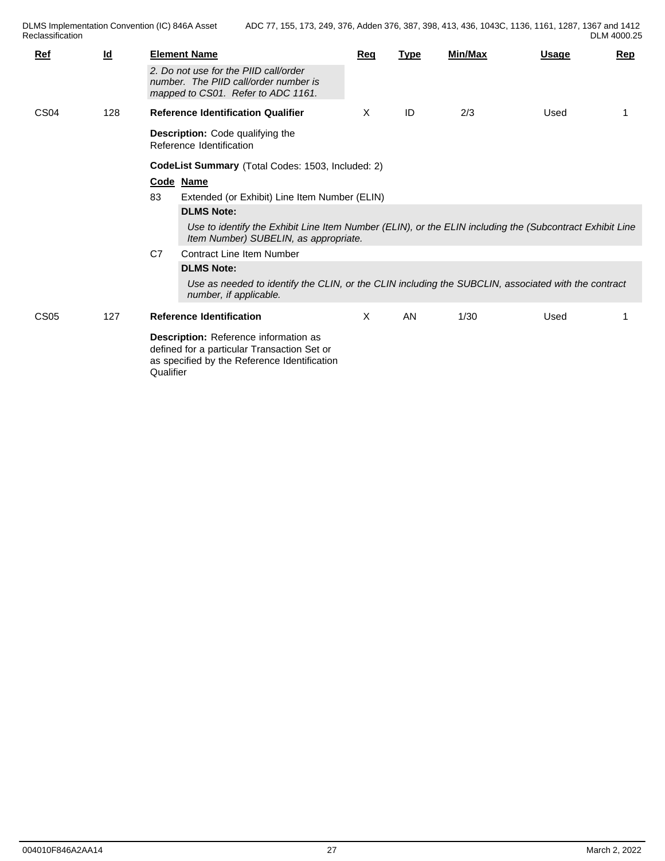| Ref              | $\underline{\mathsf{Id}}$ |           | <b>Element Name</b><br>2. Do not use for the PIID call/order<br>number. The PIID call/order number is                                                                                                                                                                                                                                                                                                                                                                               | <u>Req</u> | <b>Type</b> | Min/Max | <b>Usage</b> | <u>Rep</u> |
|------------------|---------------------------|-----------|-------------------------------------------------------------------------------------------------------------------------------------------------------------------------------------------------------------------------------------------------------------------------------------------------------------------------------------------------------------------------------------------------------------------------------------------------------------------------------------|------------|-------------|---------|--------------|------------|
| CS <sub>04</sub> | 128                       |           | mapped to CS01. Refer to ADC 1161.<br><b>Reference Identification Qualifier</b><br><b>Description:</b> Code qualifying the<br>Reference Identification                                                                                                                                                                                                                                                                                                                              | X          | ID          | 2/3     | Used         |            |
|                  |                           | 83<br>C7  | CodeList Summary (Total Codes: 1503, Included: 2)<br>Code Name<br>Extended (or Exhibit) Line Item Number (ELIN)<br><b>DLMS Note:</b><br>Use to identify the Exhibit Line Item Number (ELIN), or the ELIN including the (Subcontract Exhibit Line<br>Item Number) SUBELIN, as appropriate.<br><b>Contract Line Item Number</b><br><b>DLMS Note:</b><br>Use as needed to identify the CLIN, or the CLIN including the SUBCLIN, associated with the contract<br>number, if applicable. |            |             |         |              |            |
| CS <sub>05</sub> | 127                       | Qualifier | <b>Reference Identification</b><br>Description: Reference information as<br>defined for a particular Transaction Set or<br>as specified by the Reference Identification                                                                                                                                                                                                                                                                                                             | X.         | AN          | 1/30    | Used         |            |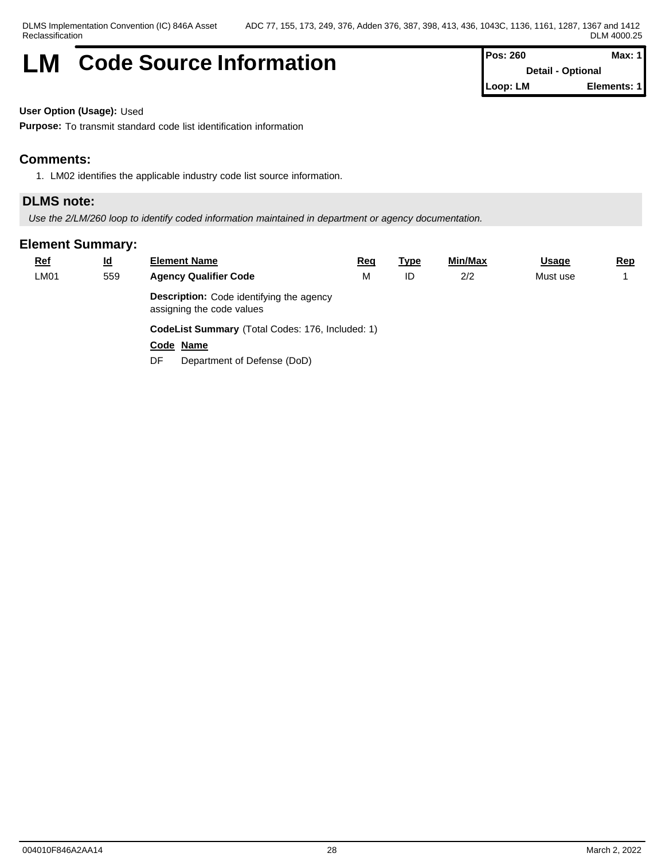## **LM** Code Source Information **Pos: 260** Max: 1

**Detail - Optional Loop: LM Elements: 1**

**User Option (Usage):** Used

**Purpose:** To transmit standard code list identification information

## **Comments:**

1. LM02 identifies the applicable industry code list source information.

## **DLMS note:**

*Use the 2/LM/260 loop to identify coded information maintained in department or agency documentation.*

| <b>Ref</b> | <u>ld</u> | <b>Element Name</b>                                                          | <u>Req</u> | <u>Type</u> | <u>Min/Max</u> | <b>Usage</b> | <u>Rep</u> |  |  |  |
|------------|-----------|------------------------------------------------------------------------------|------------|-------------|----------------|--------------|------------|--|--|--|
| LM01       | 559       | <b>Agency Qualifier Code</b>                                                 | M          | ID          | 2/2            | Must use     |            |  |  |  |
|            |           | <b>Description:</b> Code identifying the agency<br>assigning the code values |            |             |                |              |            |  |  |  |
|            |           | CodeList Summary (Total Codes: 176, Included: 1)                             |            |             |                |              |            |  |  |  |
|            |           | Code Name                                                                    |            |             |                |              |            |  |  |  |
|            |           | Department of Defense (DoD)<br>DF                                            |            |             |                |              |            |  |  |  |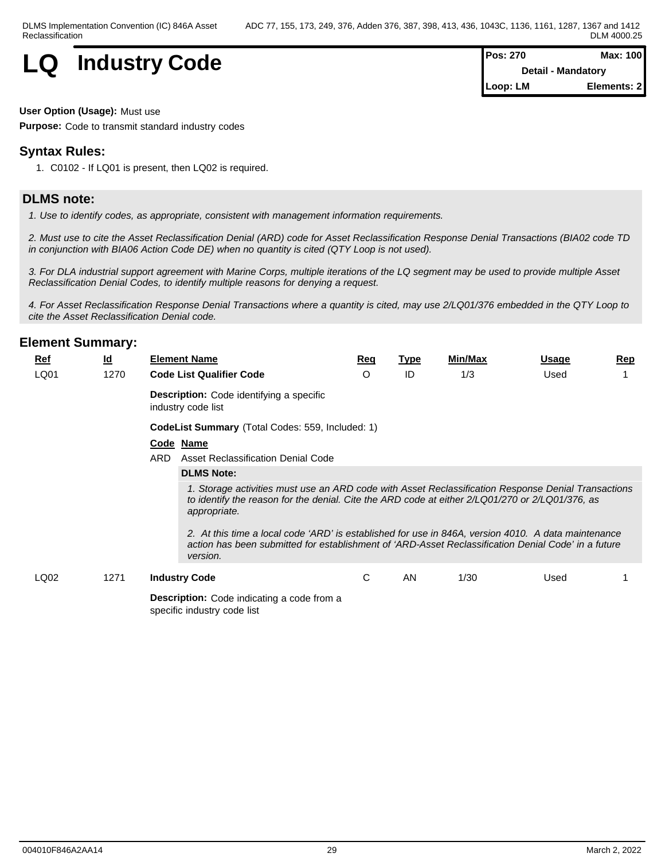

| $Pos: 270$                | Max: 100    |  |
|---------------------------|-------------|--|
| <b>Detail - Mandatory</b> |             |  |
| Loop: LM                  | Elements: 2 |  |

#### **User Option (Usage):** Must use

**Purpose:** Code to transmit standard industry codes

## **Syntax Rules:**

1. C0102 - If LQ01 is present, then LQ02 is required.

## **DLMS note:**

*1. Use to identify codes, as appropriate, consistent with management information requirements.*

*2. Must use to cite the Asset Reclassification Denial (ARD) code for Asset Reclassification Response Denial Transactions (BIA02 code TD in conjunction with BIA06 Action Code DE) when no quantity is cited (QTY Loop is not used).* 

*3. For DLA industrial support agreement with Marine Corps, multiple iterations of the LQ segment may be used to provide multiple Asset Reclassification Denial Codes, to identify multiple reasons for denying a request.*

*4. For Asset Reclassification Response Denial Transactions where a quantity is cited, may use 2/LQ01/376 embedded in the QTY Loop to cite the Asset Reclassification Denial code.*

| <u>Ref</u><br>LQ01 | $\underline{\mathsf{Id}}$<br>1270 |      | <b>Element Name</b><br><b>Code List Qualifier Code</b>                                                                                                                                                                                                                                                                                                                                                                                                                                                                   | <u>Req</u><br>$\circ$ | <u>Type</u><br>ID | Min/Max<br>1/3 | <u>Usage</u><br>Used | <u>Rep</u> |  |  |
|--------------------|-----------------------------------|------|--------------------------------------------------------------------------------------------------------------------------------------------------------------------------------------------------------------------------------------------------------------------------------------------------------------------------------------------------------------------------------------------------------------------------------------------------------------------------------------------------------------------------|-----------------------|-------------------|----------------|----------------------|------------|--|--|
|                    |                                   |      | <b>Description:</b> Code identifying a specific<br>industry code list                                                                                                                                                                                                                                                                                                                                                                                                                                                    |                       |                   |                |                      |            |  |  |
|                    |                                   |      | CodeList Summary (Total Codes: 559, Included: 1)                                                                                                                                                                                                                                                                                                                                                                                                                                                                         |                       |                   |                |                      |            |  |  |
|                    |                                   | ARD. | Code Name<br>Asset Reclassification Denial Code<br><b>DLMS Note:</b><br>1. Storage activities must use an ARD code with Asset Reclassification Response Denial Transactions<br>to identify the reason for the denial. Cite the ARD code at either 2/LQ01/270 or 2/LQ01/376, as<br>appropriate.<br>2. At this time a local code 'ARD' is established for use in 846A, version 4010. A data maintenance<br>action has been submitted for establishment of 'ARD-Asset Reclassification Denial Code' in a future<br>version. |                       |                   |                |                      |            |  |  |
| LQ02               | 1271                              |      | <b>Industry Code</b>                                                                                                                                                                                                                                                                                                                                                                                                                                                                                                     | C                     | AN                | 1/30           | Used                 |            |  |  |
|                    |                                   |      | <b>Description:</b> Code indicating a code from a<br>specific industry code list                                                                                                                                                                                                                                                                                                                                                                                                                                         |                       |                   |                |                      |            |  |  |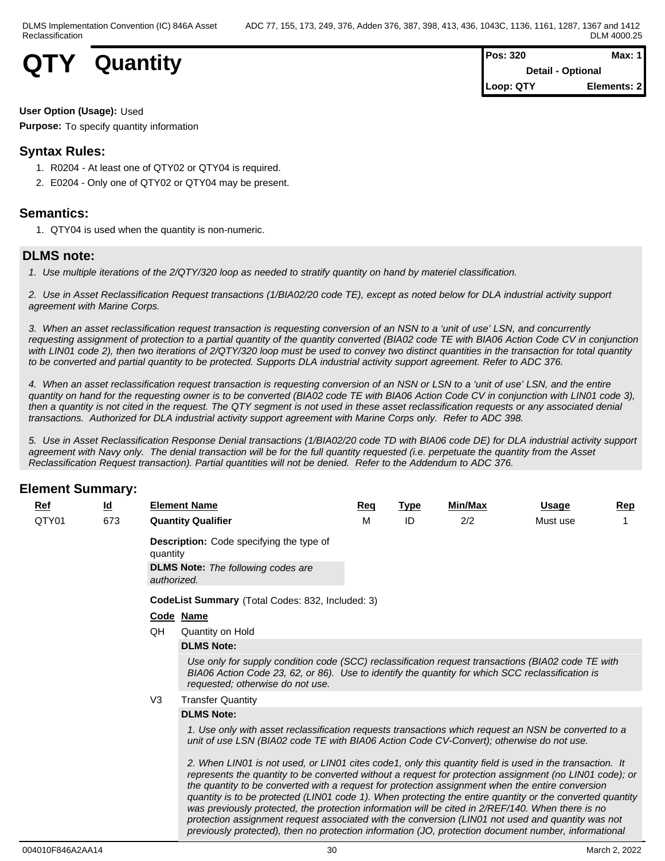

| <b>Pos: 320</b> | Max: 1 I                 |  |
|-----------------|--------------------------|--|
|                 | <b>Detail - Optional</b> |  |
| Loop: QTY       | Elements: 2              |  |

### **User Option (Usage):** Used

**Purpose:** To specify quantity information

## **Syntax Rules:**

- 1. R0204 At least one of QTY02 or QTY04 is required.
- 2. E0204 Only one of QTY02 or QTY04 may be present.

## **Semantics:**

1. QTY04 is used when the quantity is non-numeric.

## **DLMS note:**

*1. Use multiple iterations of the 2/QTY/320 loop as needed to stratify quantity on hand by materiel classification.*

*2. Use in Asset Reclassification Request transactions (1/BIA02/20 code TE), except as noted below for DLA industrial activity support agreement with Marine Corps.*

*3. When an asset reclassification request transaction is requesting conversion of an NSN to a 'unit of use' LSN, and concurrently requesting assignment of protection to a partial quantity of the quantity converted (BIA02 code TE with BIA06 Action Code CV in conjunction with LIN01 code 2), then two iterations of 2/QTY/320 loop must be used to convey two distinct quantities in the transaction for total quantity to be converted and partial quantity to be protected. Supports DLA industrial activity support agreement. Refer to ADC 376.*

*4. When an asset reclassification request transaction is requesting conversion of an NSN or LSN to a 'unit of use' LSN, and the entire quantity on hand for the requesting owner is to be converted (BIA02 code TE with BIA06 Action Code CV in conjunction with LIN01 code 3), then a quantity is not cited in the request. The QTY segment is not used in these asset reclassification requests or any associated denial transactions. Authorized for DLA industrial activity support agreement with Marine Corps only. Refer to ADC 398.*

*5. Use in Asset Reclassification Response Denial transactions (1/BIA02/20 code TD with BIA06 code DE) for DLA industrial activity support agreement with Navy only. The denial transaction will be for the full quantity requested (i.e. perpetuate the quantity from the Asset Reclassification Request transaction). Partial quantities will not be denied. Refer to the Addendum to ADC 376.*

## **Element Summary:**

| <u>Ref</u> | <u>ld</u> |                | <b>Element Name</b>                                                                                                                                                                                                                                                                                                                                                                                                                                                                                                                                                                                                                            | Req | Type | <u>Min/Max</u> | Usage    | <u>Rep</u> |
|------------|-----------|----------------|------------------------------------------------------------------------------------------------------------------------------------------------------------------------------------------------------------------------------------------------------------------------------------------------------------------------------------------------------------------------------------------------------------------------------------------------------------------------------------------------------------------------------------------------------------------------------------------------------------------------------------------------|-----|------|----------------|----------|------------|
| QTY01      | 673       |                | <b>Quantity Qualifier</b>                                                                                                                                                                                                                                                                                                                                                                                                                                                                                                                                                                                                                      | M   | ID   | 2/2            | Must use |            |
|            |           | quantity       | <b>Description:</b> Code specifying the type of                                                                                                                                                                                                                                                                                                                                                                                                                                                                                                                                                                                                |     |      |                |          |            |
|            |           |                | <b>DLMS Note:</b> The following codes are<br>authorized.                                                                                                                                                                                                                                                                                                                                                                                                                                                                                                                                                                                       |     |      |                |          |            |
|            |           |                | <b>CodeList Summary</b> (Total Codes: 832, Included: 3)                                                                                                                                                                                                                                                                                                                                                                                                                                                                                                                                                                                        |     |      |                |          |            |
|            |           |                | Code Name                                                                                                                                                                                                                                                                                                                                                                                                                                                                                                                                                                                                                                      |     |      |                |          |            |
|            |           | QH             | Quantity on Hold                                                                                                                                                                                                                                                                                                                                                                                                                                                                                                                                                                                                                               |     |      |                |          |            |
|            |           |                | <b>DLMS Note:</b>                                                                                                                                                                                                                                                                                                                                                                                                                                                                                                                                                                                                                              |     |      |                |          |            |
|            |           |                | Use only for supply condition code (SCC) reclassification request transactions (BIA02 code TE with<br>BIA06 Action Code 23, 62, or 86). Use to identify the quantity for which SCC reclassification is<br>requested; otherwise do not use.                                                                                                                                                                                                                                                                                                                                                                                                     |     |      |                |          |            |
|            |           | V <sub>3</sub> | <b>Transfer Quantity</b>                                                                                                                                                                                                                                                                                                                                                                                                                                                                                                                                                                                                                       |     |      |                |          |            |
|            |           |                | <b>DLMS Note:</b>                                                                                                                                                                                                                                                                                                                                                                                                                                                                                                                                                                                                                              |     |      |                |          |            |
|            |           |                | 1. Use only with asset reclassification requests transactions which request an NSN be converted to a<br>unit of use LSN (BIA02 code TE with BIA06 Action Code CV-Convert); otherwise do not use.                                                                                                                                                                                                                                                                                                                                                                                                                                               |     |      |                |          |            |
|            |           |                | 2. When LIN01 is not used, or LIN01 cites code1, only this quantity field is used in the transaction. It<br>represents the quantity to be converted without a request for protection assignment (no LIN01 code); or<br>the quantity to be converted with a request for protection assignment when the entire conversion<br>quantity is to be protected (LIN01 code 1). When protecting the entire quantity or the converted quantity<br>was previously protected, the protection information will be cited in 2/REF/140. When there is no<br>protection assignment request associated with the conversion (LIN01 not used and quantity was not |     |      |                |          |            |

*previously protected), then no protection information (JO, protection document number, informational*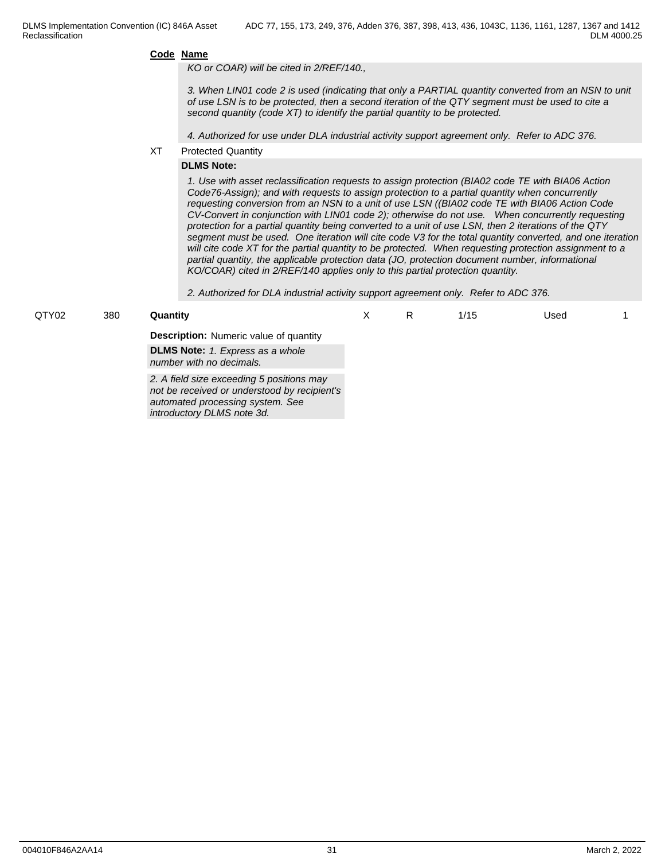*KO or COAR) will be cited in 2/REF/140.,* 

*3. When LIN01 code 2 is used (indicating that only a PARTIAL quantity converted from an NSN to unit of use LSN is to be protected, then a second iteration of the QTY segment must be used to cite a second quantity (code XT) to identify the partial quantity to be protected.* 

*4. Authorized for use under DLA industrial activity support agreement only. Refer to ADC 376.*

XT Protected Quantity

#### **DLMS Note:**

*automated processing system. See introductory DLMS note 3d.*

*1. Use with asset reclassification requests to assign protection (BIA02 code TE with BIA06 Action Code76-Assign); and with requests to assign protection to a partial quantity when concurrently requesting conversion from an NSN to a unit of use LSN ((BIA02 code TE with BIA06 Action Code CV-Convert in conjunction with LIN01 code 2); otherwise do not use. When concurrently requesting protection for a partial quantity being converted to a unit of use LSN, then 2 iterations of the QTY segment must be used. One iteration will cite code V3 for the total quantity converted, and one iteration will cite code XT for the partial quantity to be protected. When requesting protection assignment to a partial quantity, the applicable protection data (JO, protection document number, informational KO/COAR) cited in 2/REF/140 applies only to this partial protection quantity.* 

*2. Authorized for DLA industrial activity support agreement only. Refer to ADC 376.*

| QTY02 | 380 | Quantitv                                                                                  |  | 1/15 | Used |  |
|-------|-----|-------------------------------------------------------------------------------------------|--|------|------|--|
|       |     | <b>Description:</b> Numeric value of quantity                                             |  |      |      |  |
|       |     | <b>DLMS Note:</b> 1. Express as a whole<br>number with no decimals.                       |  |      |      |  |
|       |     | 2. A field size exceeding 5 positions may<br>not be received or understood by recipient's |  |      |      |  |

004010F846A2AA14 31 March 2, 2022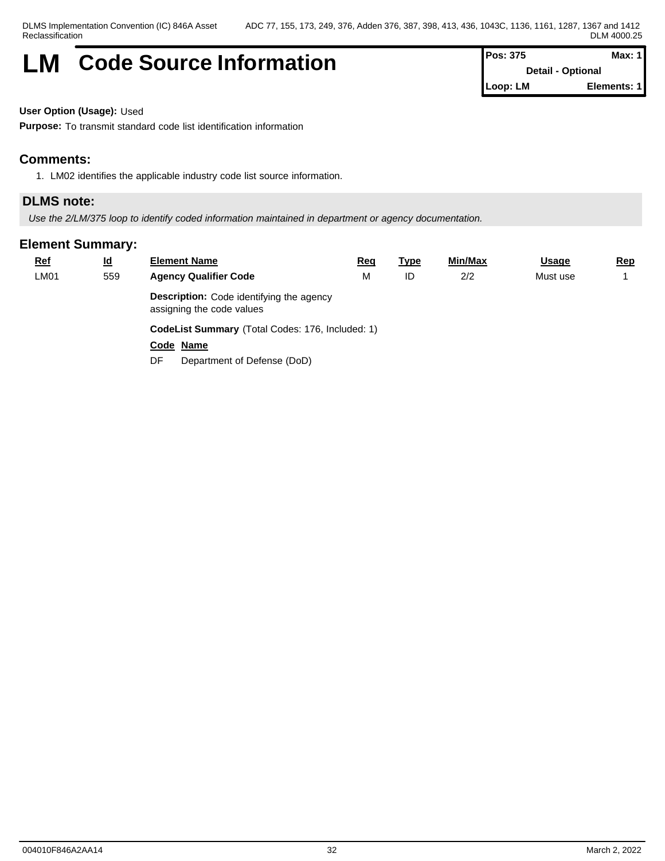## **LM** Code Source Information **Pos:** 375 Max: 1

**Detail - Optional Loop: LM Elements: 1**

**User Option (Usage):** Used

**Purpose:** To transmit standard code list identification information

## **Comments:**

1. LM02 identifies the applicable industry code list source information.

## **DLMS note:**

*Use the 2/LM/375 loop to identify coded information maintained in department or agency documentation.*

| <b>Ref</b> | <u>ld</u> | <b>Element Name</b>                                                          | <u>Req</u> | <u>Type</u> | <u>Min/Max</u> | <b>Usage</b> | <u>Rep</u> |  |  |  |
|------------|-----------|------------------------------------------------------------------------------|------------|-------------|----------------|--------------|------------|--|--|--|
| LM01       | 559       | <b>Agency Qualifier Code</b>                                                 | M          | ID          | 2/2            | Must use     |            |  |  |  |
|            |           | <b>Description:</b> Code identifying the agency<br>assigning the code values |            |             |                |              |            |  |  |  |
|            |           | CodeList Summary (Total Codes: 176, Included: 1)                             |            |             |                |              |            |  |  |  |
|            |           | Code Name                                                                    |            |             |                |              |            |  |  |  |
|            |           | Department of Defense (DoD)<br>DF                                            |            |             |                |              |            |  |  |  |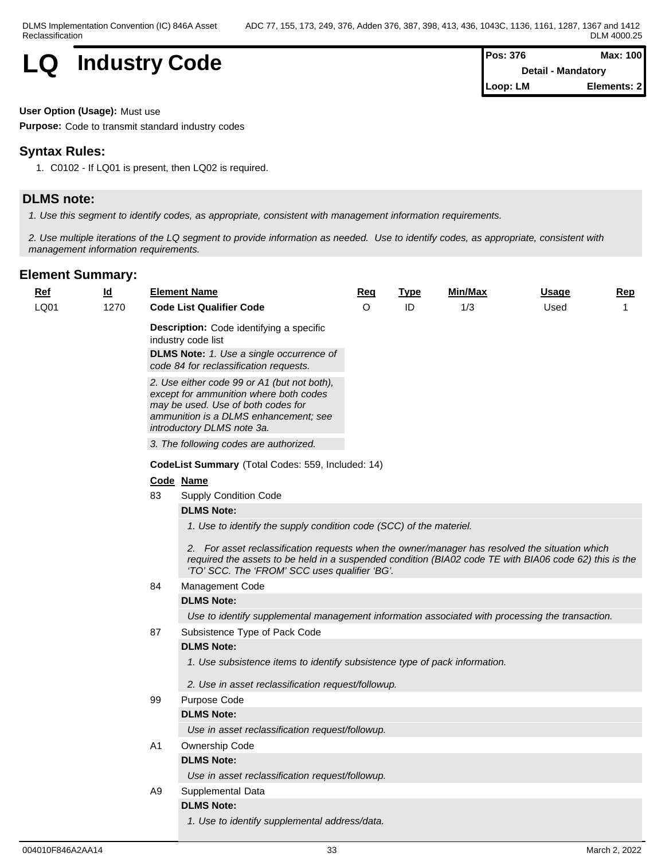

| <b>IPos: 376</b>          | Max: 100    |  |
|---------------------------|-------------|--|
| <b>Detail - Mandatory</b> |             |  |
| $\vert$ Loop: LM          | Elements: 2 |  |

#### **User Option (Usage):** Must use

**Purpose:** Code to transmit standard industry codes

## **Syntax Rules:**

1. C0102 - If LQ01 is present, then LQ02 is required.

## **DLMS note:**

*1. Use this segment to identify codes, as appropriate, consistent with management information requirements.*

*2. Use multiple iterations of the LQ segment to provide information as needed. Use to identify codes, as appropriate, consistent with management information requirements.*

| $Ref$ | $\underline{\mathsf{Id}}$ |                                                   | <b>Element Name</b>                                                                                                                                                                                                                                       | Req     | <b>Type</b> | Min/Max | <b>Usage</b> | <b>Rep</b> |  |  |  |
|-------|---------------------------|---------------------------------------------------|-----------------------------------------------------------------------------------------------------------------------------------------------------------------------------------------------------------------------------------------------------------|---------|-------------|---------|--------------|------------|--|--|--|
| LQ01  | 1270                      |                                                   | <b>Code List Qualifier Code</b>                                                                                                                                                                                                                           | $\circ$ | ID          | 1/3     | Used         |            |  |  |  |
|       |                           |                                                   | Description: Code identifying a specific<br>industry code list                                                                                                                                                                                            |         |             |         |              |            |  |  |  |
|       |                           |                                                   | <b>DLMS Note:</b> 1. Use a single occurrence of<br>code 84 for reclassification requests.                                                                                                                                                                 |         |             |         |              |            |  |  |  |
|       |                           |                                                   | 2. Use either code 99 or A1 (but not both),<br>except for ammunition where both codes<br>may be used. Use of both codes for<br>ammunition is a DLMS enhancement; see<br>introductory DLMS note 3a.                                                        |         |             |         |              |            |  |  |  |
|       |                           |                                                   | 3. The following codes are authorized.                                                                                                                                                                                                                    |         |             |         |              |            |  |  |  |
|       |                           | CodeList Summary (Total Codes: 559, Included: 14) |                                                                                                                                                                                                                                                           |         |             |         |              |            |  |  |  |
|       |                           |                                                   | Code Name                                                                                                                                                                                                                                                 |         |             |         |              |            |  |  |  |
|       |                           | 83                                                | Supply Condition Code                                                                                                                                                                                                                                     |         |             |         |              |            |  |  |  |
|       |                           |                                                   | <b>DLMS Note:</b>                                                                                                                                                                                                                                         |         |             |         |              |            |  |  |  |
|       |                           |                                                   | 1. Use to identify the supply condition code (SCC) of the materiel.                                                                                                                                                                                       |         |             |         |              |            |  |  |  |
|       |                           |                                                   | 2. For asset reclassification requests when the owner/manager has resolved the situation which<br>required the assets to be held in a suspended condition (BIA02 code TE with BIA06 code 62) this is the<br>'TO' SCC. The 'FROM' SCC uses qualifier 'BG'. |         |             |         |              |            |  |  |  |
|       |                           | 84                                                | Management Code                                                                                                                                                                                                                                           |         |             |         |              |            |  |  |  |
|       |                           |                                                   | <b>DLMS Note:</b>                                                                                                                                                                                                                                         |         |             |         |              |            |  |  |  |
|       |                           |                                                   | Use to identify supplemental management information associated with processing the transaction.                                                                                                                                                           |         |             |         |              |            |  |  |  |
|       |                           | 87                                                | Subsistence Type of Pack Code                                                                                                                                                                                                                             |         |             |         |              |            |  |  |  |
|       |                           |                                                   | <b>DLMS Note:</b>                                                                                                                                                                                                                                         |         |             |         |              |            |  |  |  |
|       |                           |                                                   | 1. Use subsistence items to identify subsistence type of pack information.                                                                                                                                                                                |         |             |         |              |            |  |  |  |
|       |                           |                                                   | 2. Use in asset reclassification request/followup.                                                                                                                                                                                                        |         |             |         |              |            |  |  |  |
|       |                           | 99                                                | Purpose Code                                                                                                                                                                                                                                              |         |             |         |              |            |  |  |  |
|       |                           |                                                   | <b>DLMS Note:</b>                                                                                                                                                                                                                                         |         |             |         |              |            |  |  |  |
|       |                           |                                                   | Use in asset reclassification request/followup.                                                                                                                                                                                                           |         |             |         |              |            |  |  |  |
|       |                           | A1                                                | Ownership Code                                                                                                                                                                                                                                            |         |             |         |              |            |  |  |  |
|       |                           |                                                   | <b>DLMS Note:</b>                                                                                                                                                                                                                                         |         |             |         |              |            |  |  |  |
|       |                           |                                                   | Use in asset reclassification request/followup.                                                                                                                                                                                                           |         |             |         |              |            |  |  |  |
|       |                           | A9                                                | Supplemental Data                                                                                                                                                                                                                                         |         |             |         |              |            |  |  |  |
|       |                           |                                                   | <b>DLMS Note:</b>                                                                                                                                                                                                                                         |         |             |         |              |            |  |  |  |
|       |                           |                                                   | 1. Use to identify supplemental address/data.                                                                                                                                                                                                             |         |             |         |              |            |  |  |  |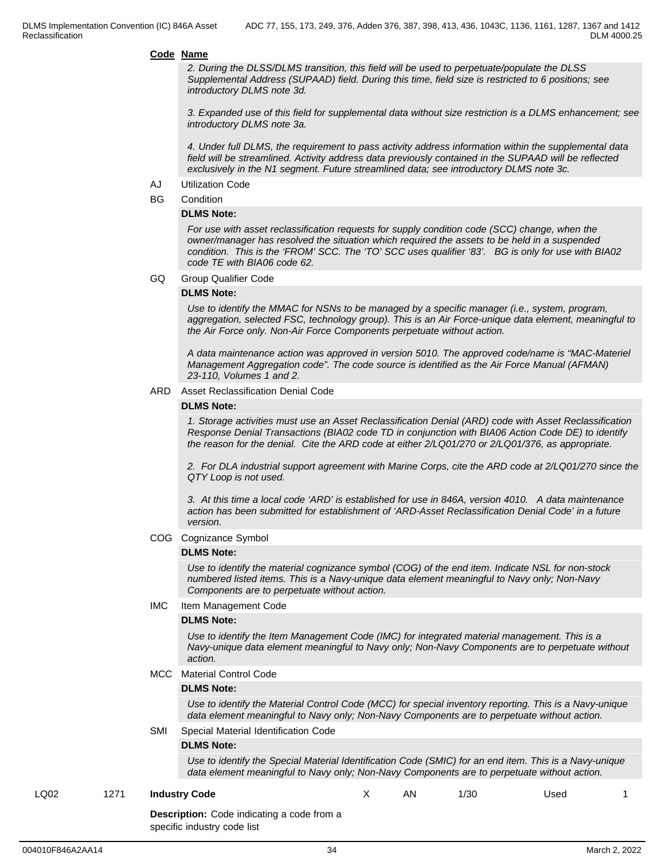*2. During the DLSS/DLMS transition, this field will be used to perpetuate/populate the DLSS Supplemental Address (SUPAAD) field. During this time, field size is restricted to 6 positions; see introductory DLMS note 3d.*

*3. Expanded use of this field for supplemental data without size restriction is a DLMS enhancement; see introductory DLMS note 3a.*

*4. Under full DLMS, the requirement to pass activity address information within the supplemental data field will be streamlined. Activity address data previously contained in the SUPAAD will be reflected exclusively in the N1 segment. Future streamlined data; see introductory DLMS note 3c.*

- AJ Utilization Code
- BG Condition

#### **DLMS Note:**

*For use with asset reclassification requests for supply condition code (SCC) change, when the owner/manager has resolved the situation which required the assets to be held in a suspended condition. This is the 'FROM' SCC. The 'TO' SCC uses qualifier '83'. BG is only for use with BIA02 code TE with BIA06 code 62.*

GQ Group Qualifier Code

#### **DLMS Note:**

*Use to identify the MMAC for NSNs to be managed by a specific manager (i.e., system, program, aggregation, selected FSC, technology group). This is an Air Force-unique data element, meaningful to the Air Force only. Non-Air Force Components perpetuate without action.*

*A data maintenance action was approved in version 5010. The approved code/name is "MAC-Materiel Management Aggregation code". The code source is identified as the Air Force Manual (AFMAN) 23-110, Volumes 1 and 2.*

#### ARD Asset Reclassification Denial Code

#### **DLMS Note:**

*1. Storage activities must use an Asset Reclassification Denial (ARD) code with Asset Reclassification Response Denial Transactions (BIA02 code TD in conjunction with BIA06 Action Code DE) to identify the reason for the denial. Cite the ARD code at either 2/LQ01/270 or 2/LQ01/376, as appropriate.*

*2. For DLA industrial support agreement with Marine Corps, cite the ARD code at 2/LQ01/270 since the QTY Loop is not used.* 

*3. At this time a local code 'ARD' is established for use in 846A, version 4010. A data maintenance action has been submitted for establishment of 'ARD-Asset Reclassification Denial Code' in a future version.*

COG Cognizance Symbol

#### **DLMS Note:**

*Use to identify the material cognizance symbol (COG) of the end item. Indicate NSL for non-stock numbered listed items. This is a Navy-unique data element meaningful to Navy only; Non-Navy Components are to perpetuate without action.*

IMC Item Management Code

#### **DLMS Note:**

*Use to identify the Item Management Code (IMC) for integrated material management. This is a Navy-unique data element meaningful to Navy only; Non-Navy Components are to perpetuate without action.*

MCC Material Control Code

#### **DLMS Note:**

*Use to identify the Material Control Code (MCC) for special inventory reporting. This is a Navy-unique data element meaningful to Navy only; Non-Navy Components are to perpetuate without action.*

SMI Special Material Identification Code

#### **DLMS Note:**

*Use to identify the Special Material Identification Code (SMIC) for an end item. This is a Navy-unique data element meaningful to Navy only; Non-Navy Components are to perpetuate without action.*

#### LQ02 1271 **Industry Code**

X AN 1/30 Used 1

**Description:** Code indicating a code from a specific industry code list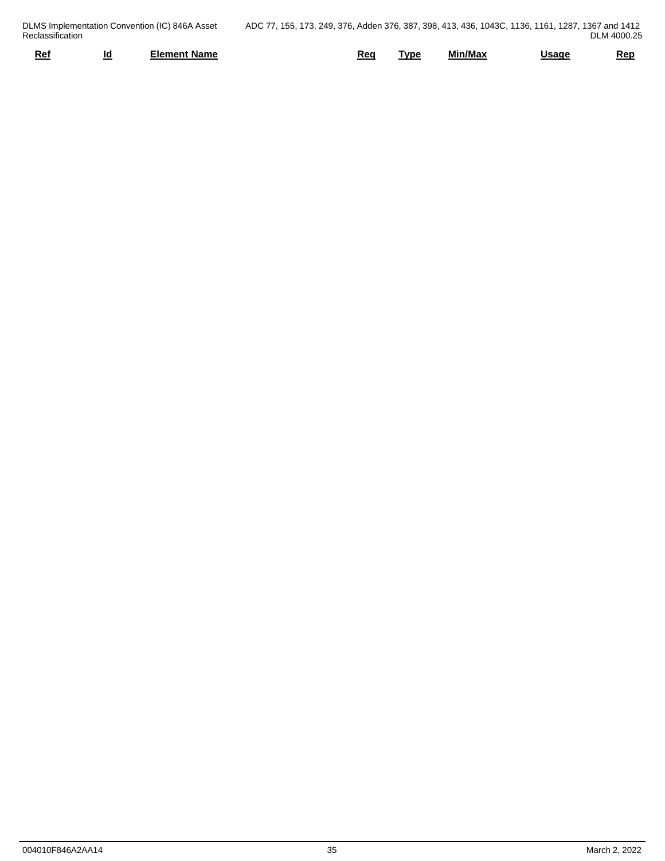|                  |    | DLMS Implementation Convention (IC) 846A Asset | ADC 77, 155, 173, 249, 376, Adden 376, 387, 398, 413, 436, 1043C, 1136, 1161, 1287, 1367 and 1412 |     |            |         |              |             |
|------------------|----|------------------------------------------------|---------------------------------------------------------------------------------------------------|-----|------------|---------|--------------|-------------|
| Reclassification |    |                                                |                                                                                                   |     |            |         |              | DLM 4000.25 |
| Ref              | __ | Element Name                                   |                                                                                                   | Req | <b>VDE</b> | Min/Max | <u>Usage</u> | <u>Rep</u>  |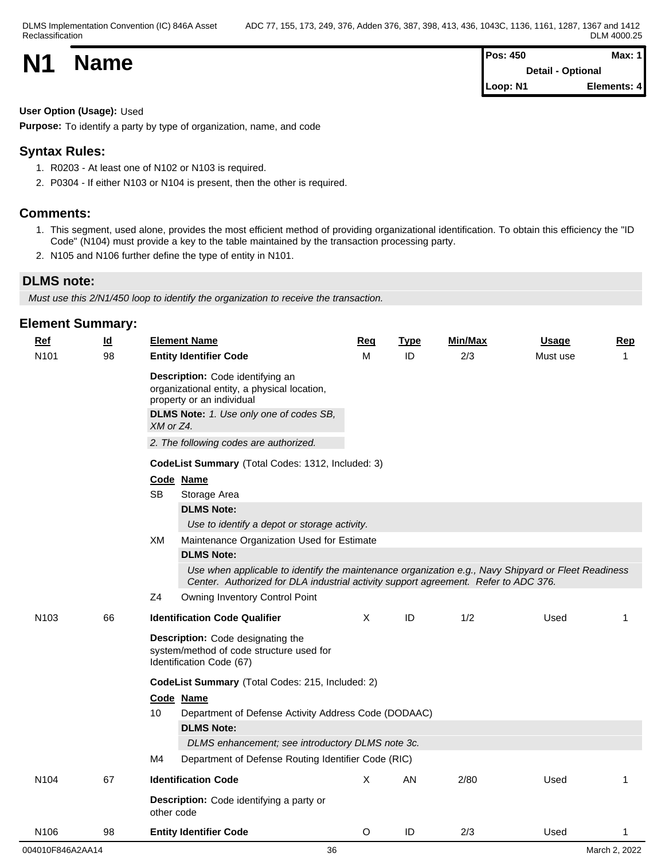| <b>N1</b> | <b>Name</b> | <b>Pos: 450</b>          | Max: 1      |  |
|-----------|-------------|--------------------------|-------------|--|
|           |             | <b>Detail - Optional</b> |             |  |
|           |             | Loop: N1                 | Elements: 4 |  |

### **User Option (Usage):** Used

**Purpose:** To identify a party by type of organization, name, and code

## **Syntax Rules:**

- 1. R0203 At least one of N102 or N103 is required.
- 2. P0304 If either N103 or N104 is present, then the other is required.

## **Comments:**

- 1. This segment, used alone, provides the most efficient method of providing organizational identification. To obtain this efficiency the "ID Code" (N104) must provide a key to the table maintained by the transaction processing party.
- 2. N105 and N106 further define the type of entity in N101.

## **DLMS note:**

*Must use this 2/N1/450 loop to identify the organization to receive the transaction.*

| <b>Ref</b><br>$\underline{\mathsf{Id}}$ |    | <b>Element Name</b> |                                                                                                                                                                                            |          | <b>Type</b> | Min/Max | <b>Usage</b> | <b>Rep</b> |  |
|-----------------------------------------|----|---------------------|--------------------------------------------------------------------------------------------------------------------------------------------------------------------------------------------|----------|-------------|---------|--------------|------------|--|
| N101                                    | 98 |                     | <b>Entity Identifier Code</b>                                                                                                                                                              | м        | ID          | 2/3     | Must use     | 1          |  |
|                                         |    | XM or Z4.           | Description: Code identifying an<br>organizational entity, a physical location,<br>property or an individual<br>DLMS Note: 1. Use only one of codes SB,                                    |          |             |         |              |            |  |
|                                         |    |                     |                                                                                                                                                                                            |          |             |         |              |            |  |
|                                         |    |                     | 2. The following codes are authorized.                                                                                                                                                     |          |             |         |              |            |  |
|                                         |    |                     | CodeList Summary (Total Codes: 1312, Included: 3)                                                                                                                                          |          |             |         |              |            |  |
|                                         |    |                     | Code Name                                                                                                                                                                                  |          |             |         |              |            |  |
|                                         |    | <b>SB</b><br>XM     | Storage Area                                                                                                                                                                               |          |             |         |              |            |  |
|                                         |    |                     | <b>DLMS Note:</b>                                                                                                                                                                          |          |             |         |              |            |  |
|                                         |    |                     | Use to identify a depot or storage activity.                                                                                                                                               |          |             |         |              |            |  |
|                                         |    |                     | Maintenance Organization Used for Estimate                                                                                                                                                 |          |             |         |              |            |  |
|                                         |    |                     | <b>DLMS Note:</b>                                                                                                                                                                          |          |             |         |              |            |  |
|                                         |    |                     | Use when applicable to identify the maintenance organization e.g., Navy Shipyard or Fleet Readiness<br>Center. Authorized for DLA industrial activity support agreement. Refer to ADC 376. |          |             |         |              |            |  |
|                                         |    | Z4                  | Owning Inventory Control Point                                                                                                                                                             |          |             |         |              |            |  |
| N103                                    | 66 |                     | <b>Identification Code Qualifier</b>                                                                                                                                                       | $\times$ | ID          | 1/2     | Used         | 1          |  |
|                                         |    |                     | Description: Code designating the<br>system/method of code structure used for<br>Identification Code (67)                                                                                  |          |             |         |              |            |  |
|                                         |    |                     | CodeList Summary (Total Codes: 215, Included: 2)                                                                                                                                           |          |             |         |              |            |  |
|                                         |    |                     | Code Name                                                                                                                                                                                  |          |             |         |              |            |  |
|                                         |    | 10                  | Department of Defense Activity Address Code (DODAAC)                                                                                                                                       |          |             |         |              |            |  |
|                                         |    |                     | <b>DLMS Note:</b>                                                                                                                                                                          |          |             |         |              |            |  |
|                                         |    |                     | DLMS enhancement; see introductory DLMS note 3c.                                                                                                                                           |          |             |         |              |            |  |
|                                         |    | M4                  | Department of Defense Routing Identifier Code (RIC)                                                                                                                                        |          |             |         |              |            |  |
| N <sub>104</sub>                        | 67 |                     | <b>Identification Code</b>                                                                                                                                                                 | X        | AN          | 2/80    | Used         | 1          |  |
|                                         |    |                     | Description: Code identifying a party or<br>other code                                                                                                                                     |          |             |         |              |            |  |
| N106                                    | 98 |                     | <b>Entity Identifier Code</b>                                                                                                                                                              | O        | ID          | 2/3     | Used         |            |  |
| 004010F846A2AA14                        |    | 36<br>March 2, 2022 |                                                                                                                                                                                            |          |             |         |              |            |  |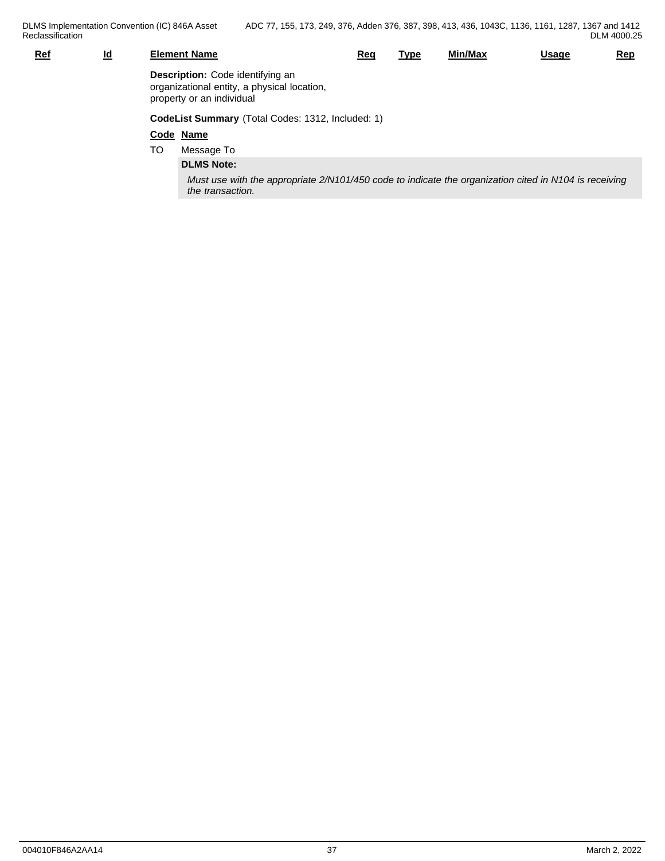| <b>Ref</b> | $\underline{\mathsf{Id}}$ |    | <b>Element Name</b>                                                                                                       | Req | <u>Type</u> | Min/Max | <u>Usage</u> | <u>Rep</u> |  |  |
|------------|---------------------------|----|---------------------------------------------------------------------------------------------------------------------------|-----|-------------|---------|--------------|------------|--|--|
|            |                           |    | Description: Code identifying an<br>organizational entity, a physical location,<br>property or an individual              |     |             |         |              |            |  |  |
|            |                           |    | CodeList Summary (Total Codes: 1312, Included: 1)                                                                         |     |             |         |              |            |  |  |
|            |                           |    | Code Name                                                                                                                 |     |             |         |              |            |  |  |
|            |                           | TO | Message To                                                                                                                |     |             |         |              |            |  |  |
|            |                           |    | <b>DLMS Note:</b>                                                                                                         |     |             |         |              |            |  |  |
|            |                           |    | Must use with the appropriate 2/N101/450 code to indicate the organization cited in N104 is receiving<br>the transaction. |     |             |         |              |            |  |  |